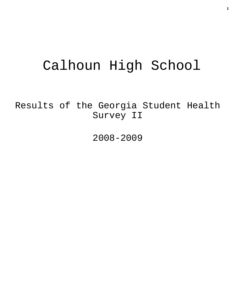# Calhoun High School

Results of the Georgia Student Health Survey II

2008-2009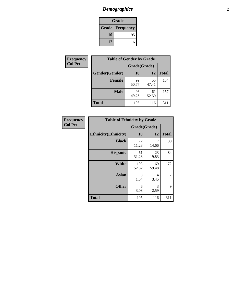# *Demographics* **2**

| Grade                    |     |  |  |  |
|--------------------------|-----|--|--|--|
| <b>Grade   Frequency</b> |     |  |  |  |
| 10                       | 195 |  |  |  |
| 12                       | 116 |  |  |  |

| <b>Frequency</b> | <b>Table of Gender by Grade</b> |              |             |              |  |  |
|------------------|---------------------------------|--------------|-------------|--------------|--|--|
| <b>Col Pct</b>   |                                 | Grade(Grade) |             |              |  |  |
|                  | Gender(Gender)                  | 10           | 12          | <b>Total</b> |  |  |
|                  | <b>Female</b>                   | 99<br>50.77  | 55<br>47.41 | 154          |  |  |
|                  | <b>Male</b>                     | 96<br>49.23  | 61<br>52.59 | 157          |  |  |
|                  | <b>Total</b>                    | 195          | 116         | 311          |  |  |

| <b>Frequency</b><br>Col Pct |
|-----------------------------|
|                             |

| <b>Table of Ethnicity by Grade</b> |              |             |              |  |  |  |
|------------------------------------|--------------|-------------|--------------|--|--|--|
|                                    | Grade(Grade) |             |              |  |  |  |
| <b>Ethnicity</b> (Ethnicity)       | 10           | 12          | <b>Total</b> |  |  |  |
| <b>Black</b>                       | 22<br>11.28  | 17<br>14.66 | 39           |  |  |  |
| <b>Hispanic</b>                    | 61<br>31.28  | 23<br>19.83 | 84           |  |  |  |
| White                              | 103<br>52.82 | 69<br>59.48 | 172          |  |  |  |
| <b>Asian</b>                       | 3<br>1.54    | 4<br>3.45   | 7            |  |  |  |
| <b>Other</b>                       | 6<br>3.08    | 3<br>2.59   | 9            |  |  |  |
| <b>Total</b>                       | 195          | 116         | 311          |  |  |  |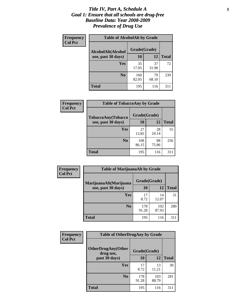#### *Title IV, Part A, Schedule A* **3** *Goal 1: Ensure that all schools are drug-free Baseline Data: Year 2008-2009 Prevalence of Drug Use*

| Frequency<br><b>Col Pct</b> | <b>Table of AlcoholAlt by Grade</b> |              |             |              |  |  |
|-----------------------------|-------------------------------------|--------------|-------------|--------------|--|--|
|                             | AlcoholAlt(Alcohol                  | Grade(Grade) |             |              |  |  |
|                             | use, past 30 days)                  | <b>10</b>    | 12          | <b>Total</b> |  |  |
|                             | Yes                                 | 35<br>17.95  | 37<br>31.90 | 72           |  |  |
|                             | N <sub>0</sub>                      | 160<br>82.05 | 79<br>68.10 | 239          |  |  |
|                             | Total                               | 195          | 116         | 311          |  |  |

| Frequency      | <b>Table of TobaccoAny by Grade</b> |              |             |              |  |  |
|----------------|-------------------------------------|--------------|-------------|--------------|--|--|
| <b>Col Pct</b> | TobaccoAny(Tobacco                  | Grade(Grade) |             |              |  |  |
|                | use, past 30 days)                  | 10           | 12          | <b>Total</b> |  |  |
|                | Yes                                 | 27<br>13.85  | 28<br>24.14 | 55           |  |  |
|                | N <sub>0</sub>                      | 168<br>86.15 | 88<br>75.86 | 256          |  |  |
|                | <b>Total</b>                        | 195          | 116         | 311          |  |  |

| Frequency<br><b>Col Pct</b> | <b>Table of MarijuanaAlt by Grade</b> |              |              |              |  |
|-----------------------------|---------------------------------------|--------------|--------------|--------------|--|
|                             | MarijuanaAlt(Marijuana                | Grade(Grade) |              |              |  |
|                             | use, past 30 days)                    | <b>10</b>    | 12           | <b>Total</b> |  |
|                             | Yes                                   | 17<br>8.72   | 14<br>12.07  | 31           |  |
|                             | N <sub>0</sub>                        | 178<br>91.28 | 102<br>87.93 | 280          |  |
|                             | <b>Total</b>                          | 195          | 116          | 311          |  |

| <b>Frequency</b> | <b>Table of OtherDrugAny by Grade</b>  |              |              |              |  |  |
|------------------|----------------------------------------|--------------|--------------|--------------|--|--|
| <b>Col Pct</b>   | <b>OtherDrugAny(Other</b><br>drug use, | Grade(Grade) |              |              |  |  |
|                  | past 30 days)                          | 10           | 12           | <b>Total</b> |  |  |
|                  | Yes                                    | 17<br>8.72   | 13<br>11.21  | 30           |  |  |
|                  | N <sub>0</sub>                         | 178<br>91.28 | 103<br>88.79 | 281          |  |  |
|                  | <b>Total</b>                           | 195          | 116          | 311          |  |  |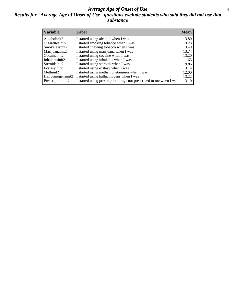#### *Average Age of Onset of Use* **4** *Results for "Average Age of Onset of Use" questions exclude students who said they did not use that substance*

| <b>Variable</b>    | Label                                                              | <b>Mean</b> |
|--------------------|--------------------------------------------------------------------|-------------|
| Alcoholinit2       | I started using alcohol when I was                                 | 13.80       |
| Cigarettesinit2    | I started smoking tobacco when I was                               | 13.23       |
| Smokelessinit2     | I started chewing tobacco when I was                               | 13.49       |
| Marijuanainit2     | I started using marijuana when I was                               | 13.74       |
| Cocaineinit2       | I started using cocaine when I was                                 | 13.20       |
| Inhalantsinit2     | I started using inhalants when I was                               | 11.63       |
| Steroidsinit2      | I started using steroids when I was                                | 9.86        |
| Ecstasyinit2       | I started using ecstasy when I was                                 | 13.14       |
| Methinit2          | I started using methamphetamines when I was                        | 12.00       |
| Hallucinogensinit2 | I started using hallucinogens when I was                           | 13.22       |
| Prescriptioninit2  | I started using prescription drugs not prescribed to me when I was | 13.10       |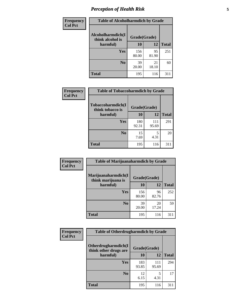# *Perception of Health Risk* **5**

| Frequency      | <b>Table of Alcoholharmdich by Grade</b> |              |             |              |  |
|----------------|------------------------------------------|--------------|-------------|--------------|--|
| <b>Col Pct</b> | Alcoholharmdich(I<br>think alcohol is    | Grade(Grade) |             |              |  |
|                | harmful)                                 | 10           | 12          | <b>Total</b> |  |
|                | <b>Yes</b>                               | 156<br>80.00 | 95<br>81.90 | 251          |  |
|                | N <sub>0</sub>                           | 39<br>20.00  | 21<br>18.10 | 60           |  |
|                | <b>Total</b>                             | 195          | 116         | 311          |  |

| Frequency      | <b>Table of Tobaccoharmdich by Grade</b> |              |              |              |  |
|----------------|------------------------------------------|--------------|--------------|--------------|--|
| <b>Col Pct</b> | Tobaccoharmdich(I<br>think tobacco is    | Grade(Grade) |              |              |  |
|                | harmful)                                 | 10           | 12           | <b>Total</b> |  |
|                | Yes                                      | 180<br>92.31 | 111<br>95.69 | 291          |  |
|                | N <sub>0</sub>                           | 15<br>7.69   | 5<br>4.31    | 20           |  |
|                | <b>Total</b>                             | 195          | 116          | 311          |  |

| <b>Frequency</b> | <b>Table of Marijuanaharmdich by Grade</b>                |              |             |              |  |  |
|------------------|-----------------------------------------------------------|--------------|-------------|--------------|--|--|
| <b>Col Pct</b>   | Marijuanaharmdich(I<br>Grade(Grade)<br>think marijuana is |              |             |              |  |  |
|                  | harmful)                                                  | <b>10</b>    | 12          | <b>Total</b> |  |  |
|                  | Yes                                                       | 156<br>80.00 | 96<br>82.76 | 252          |  |  |
|                  | N <sub>0</sub>                                            | 39<br>20.00  | 20<br>17.24 | 59           |  |  |
|                  | <b>Total</b>                                              | 195          | 116         | 311          |  |  |

| <b>Frequency</b> | <b>Table of Otherdrugharmdich by Grade</b>                   |              |              |              |  |  |  |  |
|------------------|--------------------------------------------------------------|--------------|--------------|--------------|--|--|--|--|
| <b>Col Pct</b>   | Otherdrugharmdich(I<br>Grade(Grade)<br>think other drugs are |              |              |              |  |  |  |  |
|                  | harmful)                                                     | <b>10</b>    | 12           | <b>Total</b> |  |  |  |  |
|                  | <b>Yes</b>                                                   | 183<br>93.85 | 111<br>95.69 | 294          |  |  |  |  |
|                  | N <sub>0</sub>                                               | 12<br>6.15   | 5<br>4.31    | 17           |  |  |  |  |
|                  | <b>Total</b>                                                 | 195          | 116          | 311          |  |  |  |  |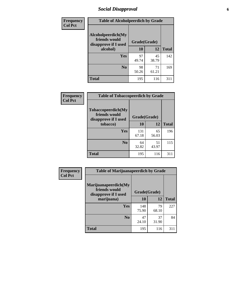# *Social Disapproval* **6**

| Frequency      | <b>Table of Alcoholpeerdich by Grade</b>                    |              |              |     |
|----------------|-------------------------------------------------------------|--------------|--------------|-----|
| <b>Col Pct</b> | Alcoholpeerdich(My<br>friends would<br>disapprove if I used | Grade(Grade) |              |     |
|                | alcohol)                                                    | 10           | <b>Total</b> |     |
|                | Yes                                                         | 97<br>49.74  | 45<br>38.79  | 142 |
|                | N <sub>0</sub>                                              | 98<br>50.26  | 71<br>61.21  | 169 |
|                | Total                                                       | 195          | 116          | 311 |

| <b>Frequency</b> |
|------------------|
| <b>Col Pct</b>   |

| <b>Table of Tobaccopeerdich by Grade</b>                    |              |             |              |  |  |  |  |
|-------------------------------------------------------------|--------------|-------------|--------------|--|--|--|--|
| Tobaccopeerdich(My<br>friends would<br>disapprove if I used | Grade(Grade) |             |              |  |  |  |  |
| tobacco)                                                    | 10           | 12          | <b>Total</b> |  |  |  |  |
| Yes                                                         | 131<br>67.18 | 65<br>56.03 | 196          |  |  |  |  |
| N <sub>0</sub>                                              | 64<br>32.82  | 51<br>43.97 | 115          |  |  |  |  |
| <b>Total</b>                                                | 195          | 116         | 311          |  |  |  |  |

| Frequency      | <b>Table of Marijuanapeerdich by Grade</b>                    |              |             |              |  |  |  |  |  |
|----------------|---------------------------------------------------------------|--------------|-------------|--------------|--|--|--|--|--|
| <b>Col Pct</b> | Marijuanapeerdich(My<br>friends would<br>disapprove if I used | Grade(Grade) |             |              |  |  |  |  |  |
|                | marijuana)                                                    | 10           | 12          | <b>Total</b> |  |  |  |  |  |
|                | <b>Yes</b>                                                    | 148<br>75.90 | 79<br>68.10 | 227          |  |  |  |  |  |
|                | N <sub>0</sub>                                                | 47<br>24.10  | 37<br>31.90 | 84           |  |  |  |  |  |
|                | <b>Total</b>                                                  | 195          | 116         | 311          |  |  |  |  |  |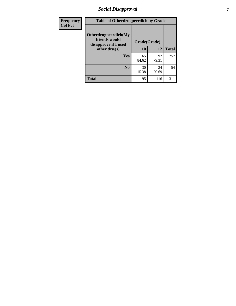# *Social Disapproval* **7**

| Frequency      | <b>Table of Otherdrugpeerdich by Grade</b>                    |              |             |              |  |  |  |  |
|----------------|---------------------------------------------------------------|--------------|-------------|--------------|--|--|--|--|
| <b>Col Pct</b> | Otherdrugpeerdich(My<br>friends would<br>disapprove if I used | Grade(Grade) |             |              |  |  |  |  |
|                | other drugs)                                                  | 10           | 12          | <b>Total</b> |  |  |  |  |
|                | Yes                                                           | 165<br>84.62 | 92<br>79.31 | 257          |  |  |  |  |
|                | N <sub>0</sub>                                                | 30<br>15.38  | 24<br>20.69 | 54           |  |  |  |  |
|                | <b>Total</b>                                                  | 195          | 116         | 311          |  |  |  |  |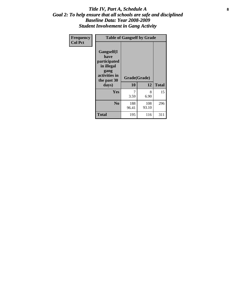#### Title IV, Part A, Schedule A **8** *Goal 2: To help ensure that all schools are safe and disciplined Baseline Data: Year 2008-2009 Student Involvement in Gang Activity*

| Frequency      | <b>Table of Gangself by Grade</b>                                                                 |                    |              |              |
|----------------|---------------------------------------------------------------------------------------------------|--------------------|--------------|--------------|
| <b>Col Pct</b> | Gangself(I<br>have<br>participated<br>in illegal<br>gang<br>activities in<br>the past 30<br>days) | Grade(Grade)<br>10 | 12           | <b>Total</b> |
|                | Yes                                                                                               | 7<br>3.59          | 8<br>6.90    | 15           |
|                | N <sub>0</sub>                                                                                    | 188<br>96.41       | 108<br>93.10 | 296          |
|                | <b>Total</b>                                                                                      | 195                | 116          | 311          |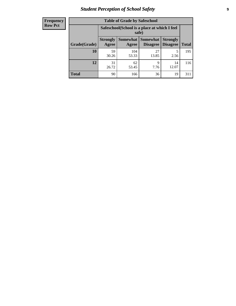# *Student Perception of School Safety* **9**

| <b>Frequency</b><br>Row Pct |
|-----------------------------|
|                             |

| <b>Table of Grade by Safeschool</b> |                                                        |                   |                             |                                    |              |  |  |
|-------------------------------------|--------------------------------------------------------|-------------------|-----------------------------|------------------------------------|--------------|--|--|
|                                     | Safeschool (School is a place at which I feel<br>safe) |                   |                             |                                    |              |  |  |
| Grade(Grade)                        | <b>Strongly</b><br>Agree                               | Somewhat<br>Agree | <b>Somewhat</b><br>Disagree | <b>Strongly</b><br><b>Disagree</b> | <b>Total</b> |  |  |
| 10                                  | 59<br>30.26                                            | 104<br>53.33      | 27<br>13.85                 | 5<br>2.56                          | 195          |  |  |
| 12                                  | 31<br>26.72                                            | 62<br>53.45       | 9<br>7.76                   | 14<br>12.07                        | 116          |  |  |
| <b>Total</b>                        | 90                                                     | 166               | 36                          | 19                                 | 311          |  |  |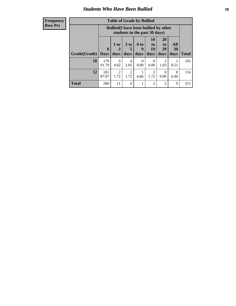#### *Students Who Have Been Bullied* **10**

| <b>Frequency</b> |
|------------------|
| Row Pct          |

| <b>Table of Grade by Bullied</b> |                             |                                                                               |                              |                   |                        |                        |                          |              |
|----------------------------------|-----------------------------|-------------------------------------------------------------------------------|------------------------------|-------------------|------------------------|------------------------|--------------------------|--------------|
|                                  |                             | <b>Bullied</b> (I have been bullied by other<br>students in the past 30 days) |                              |                   |                        |                        |                          |              |
| Grade(Grade)                     | $\mathbf{0}$<br><b>Days</b> | 1 or<br>2<br>days                                                             | 3 <sub>to</sub><br>5<br>days | 6 to<br>9<br>days | 10<br>to<br>19<br>days | 20<br>to<br>29<br>days | All<br><b>30</b><br>days | <b>Total</b> |
| 10                               | 179<br>91.79                | 9<br>4.62                                                                     | 4<br>2.05                    | $\theta$<br>0.00  | $\theta$<br>0.00       | 2<br>1.03              | 0.51                     | 195          |
| 12                               | 101<br>87.07                | 2<br>1.72                                                                     | 2<br>1.72                    | 0.86              | 2<br>1.72              | $\Omega$<br>0.00       | 8<br>6.90                | 116          |
| Total                            | 280                         | 11                                                                            | 6                            |                   | 2                      | 2                      | 9                        | 311          |

 $\blacksquare$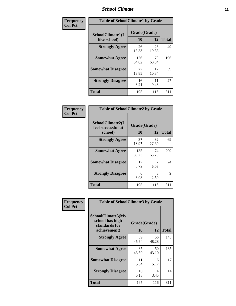### *School Climate* **11**

| <b>Frequency</b> | <b>Table of SchoolClimate1 by Grade</b> |                    |             |              |  |  |  |
|------------------|-----------------------------------------|--------------------|-------------|--------------|--|--|--|
| <b>Col Pct</b>   | SchoolClimate1(I<br>like school)        | Grade(Grade)<br>10 | 12          | <b>Total</b> |  |  |  |
|                  | <b>Strongly Agree</b>                   | 26<br>13.33        | 23<br>19.83 | 49           |  |  |  |
|                  | <b>Somewhat Agree</b>                   | 126<br>64.62       | 70<br>60.34 | 196          |  |  |  |
|                  | <b>Somewhat Disagree</b>                | 27<br>13.85        | 12<br>10.34 | 39           |  |  |  |
|                  | <b>Strongly Disagree</b>                | 16<br>8.21         | 11<br>9.48  | 27           |  |  |  |
|                  | <b>Total</b>                            | 195                | 116         | 311          |  |  |  |

| <b>Table of SchoolClimate2 by Grade</b>           |                    |             |              |  |
|---------------------------------------------------|--------------------|-------------|--------------|--|
| SchoolClimate2(I<br>feel successful at<br>school) | Grade(Grade)<br>10 | 12          | <b>Total</b> |  |
| <b>Strongly Agree</b>                             | 37<br>18.97        | 32<br>27.59 | 69           |  |
| <b>Somewhat Agree</b>                             | 135<br>69.23       | 74<br>63.79 | 209          |  |
| <b>Somewhat Disagree</b>                          | 17<br>8.72         | 7<br>6.03   | 24           |  |
| <b>Strongly Disagree</b>                          | 6<br>3.08          | 3<br>2.59   | 9            |  |
| Total                                             | 195                | 116         | 311          |  |

| Frequency      | <b>Table of SchoolClimate3 by Grade</b>                      |              |             |              |  |
|----------------|--------------------------------------------------------------|--------------|-------------|--------------|--|
| <b>Col Pct</b> | <b>SchoolClimate3(My</b><br>school has high<br>standards for | Grade(Grade) |             |              |  |
|                | achievement)                                                 | 10           | 12          | <b>Total</b> |  |
|                | <b>Strongly Agree</b>                                        | 89<br>45.64  | 56<br>48.28 | 145          |  |
|                | <b>Somewhat Agree</b>                                        | 85<br>43.59  | 50<br>43.10 | 135          |  |
|                | <b>Somewhat Disagree</b>                                     | 11<br>5.64   | 6<br>5.17   | 17           |  |
|                | <b>Strongly Disagree</b>                                     | 10<br>5.13   | 4<br>3.45   | 14           |  |
|                | Total                                                        | 195          | 116         | 311          |  |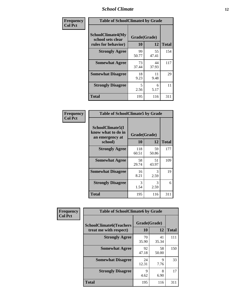### *School Climate* **12**

| Frequency      | <b>Table of SchoolClimate4 by Grade</b>                       |                    |             |              |
|----------------|---------------------------------------------------------------|--------------------|-------------|--------------|
| <b>Col Pct</b> | SchoolClimate4(My<br>school sets clear<br>rules for behavior) | Grade(Grade)<br>10 | 12          | <b>Total</b> |
|                | <b>Strongly Agree</b>                                         | 99<br>50.77        | 55<br>47.41 | 154          |
|                | <b>Somewhat Agree</b>                                         | 73<br>37.44        | 44<br>37.93 | 117          |
|                | <b>Somewhat Disagree</b>                                      | 18<br>9.23         | 11<br>9.48  | 29           |
|                | <b>Strongly Disagree</b>                                      | 5<br>2.56          | 6<br>5.17   | 11           |
|                | <b>Total</b>                                                  | 195                | 116         | 311          |

| <b>Table of SchoolClimate5 by Grade</b>                   |              |             |              |  |  |
|-----------------------------------------------------------|--------------|-------------|--------------|--|--|
| SchoolClimate5(I<br>know what to do in<br>an emergency at | Grade(Grade) |             |              |  |  |
| school)                                                   | 10           | 12          | <b>Total</b> |  |  |
| <b>Strongly Agree</b>                                     | 118<br>60.51 | 59<br>50.86 | 177          |  |  |
| <b>Somewhat Agree</b>                                     | 58<br>29.74  | 51<br>43.97 | 109          |  |  |
| <b>Somewhat Disagree</b>                                  | 16<br>8.21   | 3<br>2.59   | 19           |  |  |
| <b>Strongly Disagree</b>                                  | 3<br>1.54    | 3<br>2.59   | 6            |  |  |
| <b>Total</b>                                              | 195          | 116         | 311          |  |  |

| Frequency      | <b>Table of SchoolClimate6 by Grade</b>                  |                     |                     |              |
|----------------|----------------------------------------------------------|---------------------|---------------------|--------------|
| <b>Col Pct</b> | <b>SchoolClimate6(Teachers</b><br>treat me with respect) | Grade(Grade)<br>10  | 12                  | <b>Total</b> |
|                | <b>Strongly Agree</b>                                    | 70<br>35.90         | 41<br>35.34         | 111          |
|                | <b>Somewhat Agree</b>                                    | 92<br>47.18         | 58<br>50.00         | 150          |
|                | <b>Somewhat Disagree</b>                                 | 24<br>12.31         | $\mathbf Q$<br>7.76 | 33           |
|                | <b>Strongly Disagree</b>                                 | $\mathbf Q$<br>4.62 | 8<br>6.90           | 17           |
|                | <b>Total</b>                                             | 195                 | 116                 | 311          |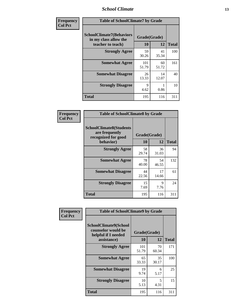### *School Climate* **13**

| Frequency      | <b>Table of SchoolClimate7 by Grade</b>                                       |                           |             |              |
|----------------|-------------------------------------------------------------------------------|---------------------------|-------------|--------------|
| <b>Col Pct</b> | <b>SchoolClimate7(Behaviors</b><br>in my class allow the<br>teacher to teach) | Grade(Grade)<br><b>10</b> | 12          | <b>Total</b> |
|                | <b>Strongly Agree</b>                                                         | 59<br>30.26               | 41<br>35.34 | 100          |
|                | <b>Somewhat Agree</b>                                                         | 101<br>51.79              | 60<br>51.72 | 161          |
|                | <b>Somewhat Disagree</b>                                                      | 26<br>13.33               | 14<br>12.07 | 40           |
|                | <b>Strongly Disagree</b>                                                      | $\mathbf Q$<br>4.62       | 0.86        | 10           |
|                | <b>Total</b>                                                                  | 195                       | 116         | 311          |

| Frequency      | <b>Table of SchoolClimate8 by Grade</b>                                              |                    |             |              |
|----------------|--------------------------------------------------------------------------------------|--------------------|-------------|--------------|
| <b>Col Pct</b> | <b>SchoolClimate8(Students</b><br>are frequently<br>recognized for good<br>behavior) | Grade(Grade)<br>10 | 12          | <b>Total</b> |
|                | <b>Strongly Agree</b>                                                                | 58<br>29.74        | 36<br>31.03 | 94           |
|                | <b>Somewhat Agree</b>                                                                | 78<br>40.00        | 54<br>46.55 | 132          |
|                | <b>Somewhat Disagree</b>                                                             | 44<br>22.56        | 17<br>14.66 | 61           |
|                | <b>Strongly Disagree</b>                                                             | 15<br>7.69         | 9<br>7.76   | 24           |
|                | <b>Total</b>                                                                         | 195                | 116         | 311          |

| Frequency      | <b>Table of SchoolClimate9 by Grade</b>                                                  |                    |             |              |
|----------------|------------------------------------------------------------------------------------------|--------------------|-------------|--------------|
| <b>Col Pct</b> | <b>SchoolClimate9(School</b><br>counselor would be<br>helpful if I needed<br>assistance) | Grade(Grade)<br>10 | 12          | <b>Total</b> |
|                | <b>Strongly Agree</b>                                                                    | 101<br>51.79       | 70<br>60.34 | 171          |
|                | <b>Somewhat Agree</b>                                                                    | 65<br>33.33        | 35<br>30.17 | 100          |
|                | <b>Somewhat Disagree</b>                                                                 | 19<br>9.74         | 6<br>5.17   | 25           |
|                | <b>Strongly Disagree</b>                                                                 | 10<br>5.13         | 5<br>4.31   | 15           |
|                | <b>Total</b>                                                                             | 195                | 116         | 311          |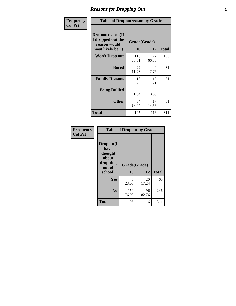### *Reasons for Dropping Out* **14**

| <b>Frequency</b> |                                                                          | <b>Table of Dropoutreason by Grade</b> |             |              |  |
|------------------|--------------------------------------------------------------------------|----------------------------------------|-------------|--------------|--|
| <b>Col Pct</b>   | Dropoutreason(If<br>I dropped out the<br>reason would<br>most likely be) | Grade(Grade)<br>10                     | 12          | <b>Total</b> |  |
|                  | Won't Drop out                                                           | 118<br>60.51                           | 77<br>66.38 | 195          |  |
|                  | <b>Bored</b>                                                             | 22<br>11.28                            | 9<br>7.76   | 31           |  |
|                  | <b>Family Reasons</b>                                                    | 18<br>9.23                             | 13<br>11.21 | 31           |  |
|                  | <b>Being Bullied</b>                                                     | 3<br>1.54                              | 0<br>0.00   | 3            |  |
|                  | <b>Other</b>                                                             | 34<br>17.44                            | 17<br>14.66 | 51           |  |
|                  | Total                                                                    | 195                                    | 116         | 311          |  |

| Frequency      | <b>Table of Dropout by Grade</b>                                       |                    |              |     |  |
|----------------|------------------------------------------------------------------------|--------------------|--------------|-----|--|
| <b>Col Pct</b> | Dropout(I<br>have<br>thought<br>about<br>dropping<br>out of<br>school) | Grade(Grade)<br>10 | <b>Total</b> |     |  |
|                | Yes                                                                    | 45<br>23.08        | 20<br>17.24  | 65  |  |
|                | N <sub>0</sub>                                                         | 150<br>76.92       | 96<br>82.76  | 246 |  |
|                | <b>Total</b>                                                           | 195                | 116          | 311 |  |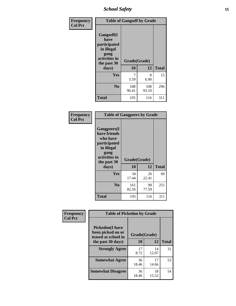*School Safety* **15**

| Frequency      | <b>Table of Gangself by Grade</b>                                                                 |                          |              |              |
|----------------|---------------------------------------------------------------------------------------------------|--------------------------|--------------|--------------|
| <b>Col Pct</b> | Gangself(I<br>have<br>participated<br>in illegal<br>gang<br>activities in<br>the past 30<br>days) | Grade(Grade)<br>10<br>12 |              | <b>Total</b> |
|                | Yes                                                                                               | 7<br>3.59                | 8<br>6.90    | 15           |
|                | N <sub>0</sub>                                                                                    | 188<br>96.41             | 108<br>93.10 | 296          |
|                | Total                                                                                             | 195                      | 116          | 311          |

| Frequency      | <b>Table of Gangpeers by Grade</b>                                                                                             |                    |             |              |
|----------------|--------------------------------------------------------------------------------------------------------------------------------|--------------------|-------------|--------------|
| <b>Col Pct</b> | <b>Gangpeers</b> (I<br>have friends<br>who have<br>participated<br>in illegal<br>gang<br>activities in<br>the past 30<br>days) | Grade(Grade)<br>10 | 12          | <b>Total</b> |
|                | Yes                                                                                                                            | 34<br>17.44        | 26<br>22.41 | 60           |
|                | N <sub>0</sub>                                                                                                                 | 161<br>82.56       | 90<br>77.59 | 251          |
|                | <b>Total</b>                                                                                                                   | 195                | 116         | 311          |

| Frequency      |                                                                     | <b>Table of Pickedon by Grade</b> |             |              |  |  |  |  |  |  |  |
|----------------|---------------------------------------------------------------------|-----------------------------------|-------------|--------------|--|--|--|--|--|--|--|
| <b>Col Pct</b> | <b>Pickedon</b> (I have<br>been picked on or<br>teased at school in | Grade(Grade)                      |             |              |  |  |  |  |  |  |  |
|                | the past 30 days)                                                   | 10                                | 12          | <b>Total</b> |  |  |  |  |  |  |  |
|                | <b>Strongly Agree</b>                                               | 17<br>8.72                        | 14<br>12.07 | 31           |  |  |  |  |  |  |  |
|                | <b>Somewhat Agree</b>                                               | 36<br>18.46                       | 17<br>14.66 | 53           |  |  |  |  |  |  |  |
|                | <b>Somewhat Disagree</b>                                            | 36<br>18.46                       | 18<br>15.52 | 54           |  |  |  |  |  |  |  |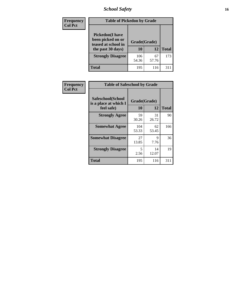# *School Safety* **16**

| <b>Frequency</b> | <b>Table of Pickedon by Grade</b>                                                        |                    |             |              |
|------------------|------------------------------------------------------------------------------------------|--------------------|-------------|--------------|
| <b>Col Pct</b>   | <b>Pickedon</b> (I have<br>been picked on or<br>teased at school in<br>the past 30 days) | Grade(Grade)<br>10 | 12          | <b>Total</b> |
|                  | <b>Strongly Disagree</b>                                                                 | 106<br>54.36       | 67<br>57.76 | 173          |
|                  | Total                                                                                    | 195                | 116         | 31           |

| Frequency      | <b>Table of Safeschool by Grade</b>                      |                    |              |     |  |  |  |  |  |
|----------------|----------------------------------------------------------|--------------------|--------------|-----|--|--|--|--|--|
| <b>Col Pct</b> | Safeschool(School<br>is a place at which I<br>feel safe) | Grade(Grade)<br>10 | <b>Total</b> |     |  |  |  |  |  |
|                | <b>Strongly Agree</b>                                    | 59<br>30.26        | 31<br>26.72  | 90  |  |  |  |  |  |
|                | <b>Somewhat Agree</b>                                    | 104<br>53.33       | 62<br>53.45  | 166 |  |  |  |  |  |
|                | <b>Somewhat Disagree</b>                                 | 27<br>13.85        | 9<br>7.76    | 36  |  |  |  |  |  |
|                | <b>Strongly Disagree</b>                                 | 5<br>2.56          | 14<br>12.07  | 19  |  |  |  |  |  |
|                | <b>Total</b>                                             | 195                | 116          | 311 |  |  |  |  |  |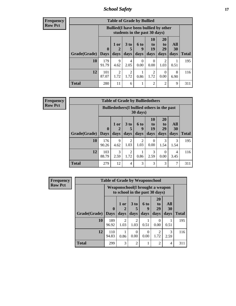*School Safety* **17**

**Frequency Row Pct**

| <b>Table of Grade by Bullied</b> |                            |                                                                               |                              |                   |                               |                               |                          |              |  |  |
|----------------------------------|----------------------------|-------------------------------------------------------------------------------|------------------------------|-------------------|-------------------------------|-------------------------------|--------------------------|--------------|--|--|
|                                  |                            | <b>Bullied</b> (I have been bullied by other<br>students in the past 30 days) |                              |                   |                               |                               |                          |              |  |  |
| Grade(Grade)                     | $\mathbf 0$<br><b>Days</b> | 1 or<br>2<br>days                                                             | 3 <sub>to</sub><br>5<br>days | 6 to<br>9<br>days | <b>10</b><br>to<br>19<br>days | <b>20</b><br>to<br>29<br>days | All<br><b>30</b><br>days | <b>Total</b> |  |  |
| 10                               | 179<br>91.79               | 9<br>4.62                                                                     | 4<br>2.05                    | 0<br>0.00         | 0<br>0.00                     | 2<br>1.03                     | 0.51                     | 195          |  |  |
| 12                               | 101<br>87.07               | $\mathfrak{D}$<br>1.72                                                        | $\overline{2}$<br>1.72       | 0.86              | 2<br>1.72                     | $\Omega$<br>0.00              | 8<br>6.90                | 116          |  |  |
| <b>Total</b>                     | 280                        | 11                                                                            | 6                            |                   | $\overline{2}$                | $\overline{2}$                | 9                        | 311          |  |  |

| <b>Frequency</b> | Table o        |  |
|------------------|----------------|--|
| <b>Row Pct</b>   | <b>Bullied</b> |  |
|                  |                |  |

| <b>Table of Grade by Bulliedothers</b> |                             |                                                                |                         |                          |                               |                        |                          |              |  |  |  |
|----------------------------------------|-----------------------------|----------------------------------------------------------------|-------------------------|--------------------------|-------------------------------|------------------------|--------------------------|--------------|--|--|--|
|                                        |                             | <b>Bulliedothers</b> (I bullied others in the past<br>30 days) |                         |                          |                               |                        |                          |              |  |  |  |
| Grade(Grade)                           | $\mathbf{0}$<br><b>Days</b> | $1$ or<br>days                                                 | 3 <sub>to</sub><br>days | <b>6 to</b><br>9<br>days | <b>10</b><br>to<br>19<br>days | 20<br>to<br>29<br>days | All<br><b>30</b><br>days | <b>Total</b> |  |  |  |
| <b>10</b>                              | 176<br>90.26                | 9<br>4.62                                                      | $\overline{c}$<br>1.03  | $\overline{2}$<br>1.03   | 0<br>0.00                     | 3<br>1.54              | 3<br>1.54                | 195          |  |  |  |
| 12                                     | 103<br>88.79                | 3<br>2.59                                                      | $\overline{2}$<br>1.72  | 0.86                     | 3<br>2.59                     | 0<br>0.00              | 4<br>3.45                | 116          |  |  |  |
| <b>Total</b>                           | 279                         | 12                                                             | 4                       | $\mathcal{R}$            | 3                             | 3                      | 7                        | 311          |  |  |  |

| <b>Frequency</b> | <b>Table of Grade by Weaponschool</b> |                             |                                                                    |                                     |                   |                               |                   |              |  |  |
|------------------|---------------------------------------|-----------------------------|--------------------------------------------------------------------|-------------------------------------|-------------------|-------------------------------|-------------------|--------------|--|--|
| <b>Row Pct</b>   |                                       |                             | Weaponschool (I brought a weapon<br>to school in the past 30 days) |                                     |                   |                               |                   |              |  |  |
|                  | Grade(Grade)                          | $\mathbf{0}$<br><b>Days</b> | 1 or<br>days                                                       | 3 to<br>days                        | 6 to<br>9<br>days | <b>20</b><br>to<br>29<br>days | All<br>30<br>days | <b>Total</b> |  |  |
|                  | 10                                    | 189<br>96.92                | $\mathfrak{D}$<br>1.03                                             | $\mathcal{D}_{\mathcal{A}}$<br>1.03 | 0.51              | 0<br>0.00                     | 0.51              | 195          |  |  |
|                  | 12                                    | 110<br>94.83                | 0.86                                                               | 0.00                                | 0<br>0.00         | $\mathfrak{D}$<br>1.72        | 3<br>2.59         | 116          |  |  |
|                  | <b>Total</b>                          | 299                         | 3                                                                  | $\overline{2}$                      |                   | $\overline{2}$                | 4                 | 311          |  |  |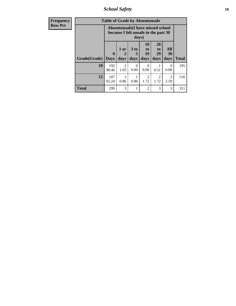*School Safety* **18**

| <b>Frequency</b> | <b>Table of Grade by Absentunsafe</b> |                            |                                                                           |                              |                                     |                                     |                       |              |  |  |  |
|------------------|---------------------------------------|----------------------------|---------------------------------------------------------------------------|------------------------------|-------------------------------------|-------------------------------------|-----------------------|--------------|--|--|--|
| <b>Row Pct</b>   |                                       |                            | Absentunsafe(I have missed school<br>because I felt unsafe in the past 30 | days)                        |                                     |                                     |                       |              |  |  |  |
|                  | Grade(Grade)                          | $\mathbf 0$<br><b>Days</b> | 1 or<br>2<br>days                                                         | 3 <sub>to</sub><br>5<br>days | 10<br>$\mathbf{t}$<br>19<br>days    | 20<br>to<br>29<br>days              | All<br>30<br>days     | <b>Total</b> |  |  |  |
|                  | 10                                    | 192<br>98.46               | $\mathfrak{D}$<br>1.03                                                    | 0<br>0.00                    | 0<br>0.00                           | 0.51                                | 0<br>0.00             | 195          |  |  |  |
|                  | 12                                    | 107<br>92.24               | 0.86                                                                      | 0.86                         | $\mathcal{D}_{\mathcal{L}}$<br>1.72 | $\mathcal{D}_{\mathcal{L}}$<br>1.72 | $\mathcal{R}$<br>2.59 | 116          |  |  |  |
|                  | <b>Total</b>                          | 299                        | 3                                                                         |                              | 2                                   | 3                                   | 3                     | 311          |  |  |  |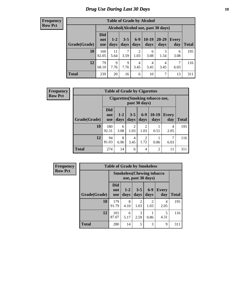# *Drug Use During Last 30 Days* **19**

#### **Frequency Row Pct**

| <b>Table of Grade by Alcohol</b> |                                 |                                    |                 |                        |                 |               |              |       |  |  |  |
|----------------------------------|---------------------------------|------------------------------------|-----------------|------------------------|-----------------|---------------|--------------|-------|--|--|--|
|                                  |                                 | Alcohol(Alcohol use, past 30 days) |                 |                        |                 |               |              |       |  |  |  |
| Grade(Grade)                     | <b>Did</b><br>not<br><b>use</b> | $1-2$<br>days                      | $3 - 5$<br>days | $6 - 9$<br>days        | $10-19$<br>days | 20-29<br>days | Every<br>day | Total |  |  |  |
| 10                               | 160<br>82.05                    | 11<br>5.64                         | 7<br>3.59       | $\overline{2}$<br>1.03 | 6<br>3.08       | 3<br>1.54     | 6<br>3.08    | 195   |  |  |  |
| 12                               | 79<br>68.10                     | $\mathbf Q$<br>7.76                | 9<br>7.76       | 4<br>3.45              | 4<br>3.45       | 4<br>3.45     | 7<br>6.03    | 116   |  |  |  |
| <b>Total</b>                     | 239                             | 20                                 | 16              | 6                      | 10              | 7             | 13           | 311   |  |  |  |

| <b>Frequency</b> | <b>Table of Grade by Cigarettes</b> |                                 |               |                 |                        |                                         |              |              |  |
|------------------|-------------------------------------|---------------------------------|---------------|-----------------|------------------------|-----------------------------------------|--------------|--------------|--|
| <b>Row Pct</b>   |                                     |                                 |               |                 | past 30 days)          | <b>Cigarettes (Smoking tobacco use,</b> |              |              |  |
|                  | Grade(Grade)                        | <b>Did</b><br>not<br><b>use</b> | $1-2$<br>days | $3 - 5$<br>days | $6-9$<br>days          | $10-19$<br>days                         | Every<br>day | <b>Total</b> |  |
|                  | 10                                  | 180<br>92.31                    | 6<br>3.08     | 2<br>1.03       | 2<br>1.03              | 0.51                                    | 4<br>2.05    | 195          |  |
|                  | 12                                  | 94<br>81.03                     | 8<br>6.90     | 4<br>3.45       | $\overline{2}$<br>1.72 | 0.86                                    | 7<br>6.03    | 116          |  |
|                  | <b>Total</b>                        | 274                             | 14            | 6               | 4                      | $\overline{c}$                          | 11           | 311          |  |

| <b>Frequency</b> | <b>Table of Grade by Smokeless</b> |                                 |                                   |                    |                        |                     |              |  |
|------------------|------------------------------------|---------------------------------|-----------------------------------|--------------------|------------------------|---------------------|--------------|--|
| <b>Row Pct</b>   |                                    |                                 | <b>Smokeless</b> (Chewing tobacco | use, past 30 days) |                        |                     |              |  |
|                  | Grade(Grade)                       | <b>Did</b><br>not<br><b>use</b> | $1 - 2$<br>days                   | $3-5$<br>days      | $6-9$<br>days          | <b>Every</b><br>day | <b>Total</b> |  |
|                  | 10                                 | 179<br>91.79                    | 8<br>4.10                         | 2<br>1.03          | $\mathfrak{D}$<br>1.03 | 4<br>2.05           | 195          |  |
|                  | 12                                 | 101<br>87.07                    | 6<br>5.17                         | 3<br>2.59          | 0.86                   | 5<br>4.31           | 116          |  |
|                  | <b>Total</b>                       | 280                             | 14                                | 5                  | 3                      | 9                   | 311          |  |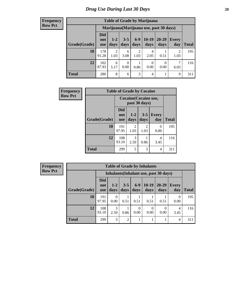#### **Frequency Row Pct**

| <b>Table of Grade by Marijuana</b> |                                 |                 |                 |               |                                         |               |                        |       |  |  |  |  |
|------------------------------------|---------------------------------|-----------------|-----------------|---------------|-----------------------------------------|---------------|------------------------|-------|--|--|--|--|
|                                    |                                 |                 |                 |               | Marijuana (Marijuana use, past 30 days) |               |                        |       |  |  |  |  |
| Grade(Grade)                       | <b>Did</b><br>not<br><b>use</b> | $1 - 2$<br>days | $3 - 5$<br>days | $6-9$<br>days | $10-19$<br>days                         | 20-29<br>days | Every<br>day           | Total |  |  |  |  |
| 10                                 | 178<br>91.28                    | 2<br>1.03       | 6<br>3.08       | 2<br>1.03     | 4<br>2.05                               | 0.51          | $\overline{2}$<br>1.03 | 195   |  |  |  |  |
| 12                                 | 102<br>87.93                    | 6<br>5.17       | 0<br>0.00       | 0.86          | $\theta$<br>0.00                        | 0<br>0.00     | 7<br>6.03              | 116   |  |  |  |  |
| <b>Total</b>                       | 280                             | 8               | 6               | 3             | 4                                       |               | 9                      | 311   |  |  |  |  |

| Frequency      | <b>Table of Grade by Cocaine</b> |                                 |                       |                 |                     |              |  |
|----------------|----------------------------------|---------------------------------|-----------------------|-----------------|---------------------|--------------|--|
| <b>Row Pct</b> |                                  |                                 | Cocaine (Cocaine use, | past 30 days)   |                     |              |  |
|                | Grade(Grade)                     | <b>Did</b><br>not<br><b>use</b> | $1 - 2$<br>days       | $3 - 5$<br>days | <b>Every</b><br>day | <b>Total</b> |  |
|                | 10                               | 191<br>97.95                    | 2<br>1.03             | 2<br>1.03       | 0<br>0.00           | 195          |  |
|                | 12                               | 108<br>93.10                    | 3<br>2.59             | 0.86            | 4<br>3.45           | 116          |  |
|                | <b>Total</b>                     | 299                             | 5                     | 3               | 4                   | 311          |  |

| Frequency      | <b>Table of Grade by Inhalants</b> |                                 |                  |                 |               |                  |                                        |                        |              |
|----------------|------------------------------------|---------------------------------|------------------|-----------------|---------------|------------------|----------------------------------------|------------------------|--------------|
| <b>Row Pct</b> |                                    |                                 |                  |                 |               |                  | Inhalants (Inhalant use, past 30 days) |                        |              |
|                | Grade(Grade)                       | <b>Did</b><br>not<br><b>use</b> | $1 - 2$<br>days  | $3 - 5$<br>days | $6-9$<br>days | $10-19$<br>days  | $20 - 29$<br>days                      | <b>Every</b><br>day    | <b>Total</b> |
|                | 10                                 | 191<br>97.95                    | $\theta$<br>0.00 | 0.51            | 0.51          | 0.51             | 0.51                                   | $\Omega$<br>0.00       | 195          |
|                | 12                                 | 108<br>93.10                    | 3<br>2.59        | 0.86            | 0<br>0.00     | $\Omega$<br>0.00 | $\theta$<br>0.00                       | $\overline{4}$<br>3.45 | 116          |
|                | <b>Total</b>                       | 299                             | 3                | 2               |               |                  |                                        | 4                      | 311          |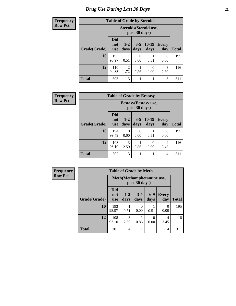# *Drug Use During Last 30 Days* **21**

| <b>Frequency</b> | <b>Table of Grade by Steroids</b> |                                 |                        |                 |                        |                     |              |
|------------------|-----------------------------------|---------------------------------|------------------------|-----------------|------------------------|---------------------|--------------|
| <b>Row Pct</b>   |                                   |                                 |                        | past 30 days)   | Steroids (Steroid use, |                     |              |
|                  | Grade(Grade)                      | <b>Did</b><br>not<br><b>use</b> | $1 - 2$<br>days        | $3 - 5$<br>days | $10-19$<br>days        | <b>Every</b><br>day | <b>Total</b> |
|                  | 10                                | 193<br>98.97                    | 0.51                   | 0<br>0.00       | 0.51                   | 0<br>0.00           | 195          |
|                  | 12                                | 110<br>94.83                    | $\overline{2}$<br>1.72 | 0.86            | $\Omega$<br>0.00       | 3<br>2.59           | 116          |
|                  | <b>Total</b>                      | 303                             | 3                      | $\mathbf{1}$    |                        | 3                   | 311          |

| <b>Frequency</b> |              | <b>Table of Grade by Ecstasy</b> |                                        |                 |                 |                     |       |  |  |
|------------------|--------------|----------------------------------|----------------------------------------|-----------------|-----------------|---------------------|-------|--|--|
| <b>Row Pct</b>   |              |                                  | Ecstasy (Ecstasy use,<br>past 30 days) |                 |                 |                     |       |  |  |
|                  | Grade(Grade) | <b>Did</b><br>not<br><b>use</b>  | $1-2$<br>days                          | $3 - 5$<br>days | $10-19$<br>days | <b>Every</b><br>day | Total |  |  |
|                  | 10           | 194<br>99.49                     | 0<br>0.00                              | 0<br>0.00       | 0.51            | 0<br>0.00           | 195   |  |  |
|                  | 12           | 108<br>93.10                     | 3<br>2.59                              | 0.86            | 0<br>0.00       | 4<br>3.45           | 116   |  |  |
|                  | <b>Total</b> | 302                              | 3                                      |                 |                 | 4                   | 311   |  |  |

| Frequency      |              | <b>Table of Grade by Meth</b>               |                 |                 |               |                     |              |
|----------------|--------------|---------------------------------------------|-----------------|-----------------|---------------|---------------------|--------------|
| <b>Row Pct</b> |              | Meth (Methamphetamine use,<br>past 30 days) |                 |                 |               |                     |              |
|                | Grade(Grade) | <b>Did</b><br>not<br><b>use</b>             | $1 - 2$<br>days | $3 - 5$<br>days | $6-9$<br>days | <b>Every</b><br>day | <b>Total</b> |
|                | 10           | 193<br>98.97                                | 0.51            | 0<br>0.00       | 0.51          | 0<br>0.00           | 195          |
|                | 12           | 108<br>93.10                                | 3<br>2.59       | 0.86            | 0.00          | 4<br>3.45           | 116          |
|                | <b>Total</b> | 301                                         | 4               |                 |               | 4                   | 311          |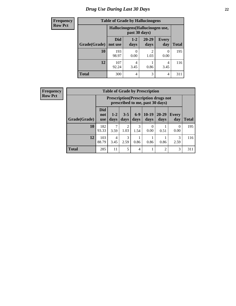# *Drug Use During Last 30 Days* **22**

| <b>Frequency</b> | <b>Table of Grade by Hallucinogens</b> |                       |                                                   |                        |                     |              |  |
|------------------|----------------------------------------|-----------------------|---------------------------------------------------|------------------------|---------------------|--------------|--|
| <b>Row Pct</b>   |                                        |                       | Hallucinogens (Hallucinogen use,<br>past 30 days) |                        |                     |              |  |
|                  | Grade(Grade)                           | <b>Did</b><br>not use | $1 - 2$<br>days                                   | $20 - 29$<br>days      | <b>Every</b><br>day | <b>Total</b> |  |
|                  | 10                                     | 193<br>98.97          | 0.00                                              | $\mathfrak{D}$<br>1.03 | 0.00                | 195          |  |
|                  | 12                                     | 107<br>92.24          | 4<br>3.45                                         | 0.86                   | 4<br>3.45           | 116          |  |
|                  | <b>Total</b>                           | 300                   | 4                                                 | 3                      | 4                   | 311          |  |

| <b>Frequency</b> |  |
|------------------|--|
| <b>Row Pct</b>   |  |

| <b>Table of Grade by Prescription</b> |                                 |                                                                                |                        |                |                           |                |                     |              |  |
|---------------------------------------|---------------------------------|--------------------------------------------------------------------------------|------------------------|----------------|---------------------------|----------------|---------------------|--------------|--|
|                                       |                                 | <b>Prescription</b> (Prescription drugs not<br>prescribed to me, past 30 days) |                        |                |                           |                |                     |              |  |
| Grade(Grade)                          | <b>Did</b><br>not<br><b>use</b> | $1 - 2$<br>days                                                                | $3 - 5$<br>days        | $6-9$<br>days  | $10-19$<br>days           | 20-29<br>days  | <b>Every</b><br>day | <b>Total</b> |  |
| 10                                    | 182<br>93.33                    | 3.59                                                                           | $\mathfrak{D}$<br>1.03 | 3<br>1.54      | $\mathbf{\Omega}$<br>0.00 | 0.51           | $\Omega$<br>0.00    | 195          |  |
| 12                                    | 103<br>88.79                    | 4<br>3.45                                                                      | 3<br>2.59              | 0.86           | 0.86                      | 0.86           | 3<br>2.59           | 116          |  |
| <b>Total</b>                          | 285                             | 11                                                                             | 5                      | $\overline{4}$ |                           | $\overline{c}$ | 3                   | 311          |  |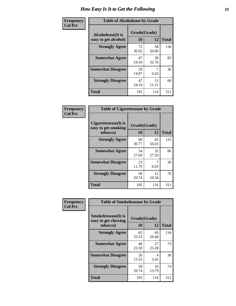| Frequency      | <b>Table of Alcoholease by Grade</b>              |                    |             |              |  |  |
|----------------|---------------------------------------------------|--------------------|-------------|--------------|--|--|
| <b>Col Pct</b> | <b>Alcoholease</b> (It is<br>easy to get alcohol) | Grade(Grade)<br>10 | 12          | <b>Total</b> |  |  |
|                | <b>Strongly Agree</b>                             | 72<br>36.92        | 58<br>50.00 | 130          |  |  |
|                | <b>Somewhat Agree</b>                             | 47<br>24.10        | 38<br>32.76 | 85           |  |  |
|                | <b>Somewhat Disagree</b>                          | 29<br>14.87        | 6.03        | 36           |  |  |
|                | <b>Strongly Disagree</b>                          | 47<br>24.10        | 13<br>11.21 | 60           |  |  |
|                | <b>Total</b>                                      | 195                | 116         | 311          |  |  |

| Frequency      | <b>Table of Cigarettesease by Grade</b>                  |                    |             |              |
|----------------|----------------------------------------------------------|--------------------|-------------|--------------|
| <b>Col Pct</b> | Cigarettesease (It is<br>easy to get smoking<br>tobacco) | Grade(Grade)<br>10 | 12          | <b>Total</b> |
|                | <b>Strongly Agree</b>                                    | 60<br>30.77        | 65<br>56.03 | 125          |
|                | <b>Somewhat Agree</b>                                    | 54<br>27.69        | 32<br>27.59 | 86           |
|                | <b>Somewhat Disagree</b>                                 | 23<br>11.79        | 6.03        | 30           |
|                | <b>Strongly Disagree</b>                                 | 58<br>29.74        | 12<br>10.34 | 70           |
|                | Total                                                    | 195                | 116         | 311          |

| Frequency      | <b>Table of Smokelessease by Grade</b>             |              |             |              |  |  |  |  |
|----------------|----------------------------------------------------|--------------|-------------|--------------|--|--|--|--|
| <b>Col Pct</b> | <b>Smokelessease</b> (It is<br>easy to get chewing | Grade(Grade) |             |              |  |  |  |  |
|                | tobacco)                                           | 10           | 12          | <b>Total</b> |  |  |  |  |
|                | <b>Strongly Agree</b>                              | 65<br>33.33  | 69<br>59.48 | 134          |  |  |  |  |
|                | <b>Somewhat Agree</b>                              | 46<br>23.59  | 27<br>23.28 | 73           |  |  |  |  |
|                | <b>Somewhat Disagree</b>                           | 26<br>13.33  | 4<br>3.45   | 30           |  |  |  |  |
|                | <b>Strongly Disagree</b>                           | 58<br>29.74  | 16<br>13.79 | 74           |  |  |  |  |
|                | <b>Total</b>                                       | 195          | 116         | 311          |  |  |  |  |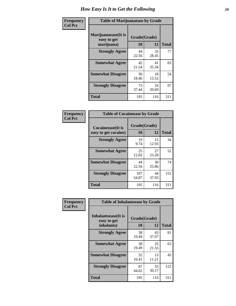| Frequency      | <b>Table of Marijuanaease by Grade</b>           |                    |             |              |  |  |
|----------------|--------------------------------------------------|--------------------|-------------|--------------|--|--|
| <b>Col Pct</b> | Marijuanaease(It is<br>easy to get<br>marijuana) | Grade(Grade)<br>10 | 12          | <b>Total</b> |  |  |
|                | <b>Strongly Agree</b>                            | 44<br>22.56        | 33<br>28.45 | 77           |  |  |
|                | <b>Somewhat Agree</b>                            | 42<br>21.54        | 41<br>35.34 | 83           |  |  |
|                | <b>Somewhat Disagree</b>                         | 36<br>18.46        | 18<br>15.52 | 54           |  |  |
|                | <b>Strongly Disagree</b>                         | 73<br>37.44        | 24<br>20.69 | 97           |  |  |
|                | <b>Total</b>                                     | 195                | 116         | 311          |  |  |

| <b>Table of Cocaineease by Grade</b>              |              |                    |     |  |  |  |  |  |  |  |  |  |
|---------------------------------------------------|--------------|--------------------|-----|--|--|--|--|--|--|--|--|--|
| <b>Cocaineease</b> (It is<br>easy to get cocaine) | 10           | Grade(Grade)<br>12 |     |  |  |  |  |  |  |  |  |  |
| <b>Strongly Agree</b>                             | 19<br>9.74   | 15<br>12.93        | 34  |  |  |  |  |  |  |  |  |  |
| <b>Somewhat Agree</b>                             | 25<br>12.82  | 27<br>23.28        | 52  |  |  |  |  |  |  |  |  |  |
| <b>Somewhat Disagree</b>                          | 44<br>22.56  | 30<br>25.86        | 74  |  |  |  |  |  |  |  |  |  |
| <b>Strongly Disagree</b>                          | 107<br>54.87 | 44<br>37.93        | 151 |  |  |  |  |  |  |  |  |  |
| <b>Total</b>                                      | 195          | 116                | 311 |  |  |  |  |  |  |  |  |  |

| Frequency      | <b>Table of Inhalantsease by Grade</b>     |              |             |              |
|----------------|--------------------------------------------|--------------|-------------|--------------|
| <b>Col Pct</b> | <b>Inhalantsease</b> (It is<br>easy to get | Grade(Grade) |             |              |
|                | inhalants)                                 | 10           | 12          | <b>Total</b> |
|                | <b>Strongly Agree</b>                      | 38<br>19.49  | 43<br>37.07 | 81           |
|                | <b>Somewhat Agree</b>                      | 38<br>19.49  | 25<br>21.55 | 63           |
|                | <b>Somewhat Disagree</b>                   | 32<br>16.41  | 13<br>11.21 | 45           |
|                | <b>Strongly Disagree</b>                   | 87<br>44.62  | 35<br>30.17 | 122          |
|                | <b>Total</b>                               | 195          | 116         | 311          |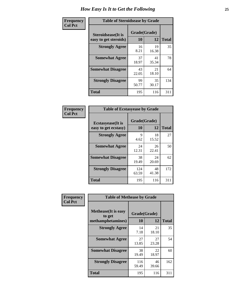| Frequency      | <b>Table of Steroidsease by Grade</b>               |                    |             |              |  |  |  |  |  |  |  |  |
|----------------|-----------------------------------------------------|--------------------|-------------|--------------|--|--|--|--|--|--|--|--|
| <b>Col Pct</b> | <b>Steroidsease</b> (It is<br>easy to get steroids) | Grade(Grade)<br>10 | 12          | <b>Total</b> |  |  |  |  |  |  |  |  |
|                | <b>Strongly Agree</b>                               | 16<br>8.21         | 19<br>16.38 | 35           |  |  |  |  |  |  |  |  |
|                | <b>Somewhat Agree</b>                               | 37<br>18.97        | 41<br>35.34 | 78           |  |  |  |  |  |  |  |  |
|                | <b>Somewhat Disagree</b>                            | 43<br>22.05        | 21<br>18.10 | 64           |  |  |  |  |  |  |  |  |
|                | <b>Strongly Disagree</b>                            | 99<br>50.77        | 35<br>30.17 | 134          |  |  |  |  |  |  |  |  |
|                | <b>Total</b>                                        | 195                | 116         | 311          |  |  |  |  |  |  |  |  |

| Frequency      | <b>Table of Ecstasyease by Grade</b>              |                           |             |              |
|----------------|---------------------------------------------------|---------------------------|-------------|--------------|
| <b>Col Pct</b> | <b>Ecstasyease</b> (It is<br>easy to get ecstasy) | Grade(Grade)<br><b>10</b> | 12          | <b>Total</b> |
|                | <b>Strongly Agree</b>                             | 9<br>4.62                 | 18<br>15.52 | 27           |
|                | <b>Somewhat Agree</b>                             | 24<br>12.31               | 26<br>22.41 | 50           |
|                | <b>Somewhat Disagree</b>                          | 38<br>19.49               | 24<br>20.69 | 62           |
|                | <b>Strongly Disagree</b>                          | 124<br>63.59              | 48<br>41.38 | 172          |
|                | <b>Total</b>                                      | 195                       | 116         | 311          |

| Frequency      | <b>Table of Methease by Grade</b>     |              |             |              |
|----------------|---------------------------------------|--------------|-------------|--------------|
| <b>Col Pct</b> | <b>Methease</b> (It is easy<br>to get | Grade(Grade) |             |              |
|                | methamphetamines)                     | <b>10</b>    | 12          | <b>Total</b> |
|                | <b>Strongly Agree</b>                 | 14<br>7.18   | 21<br>18.10 | 35           |
|                | <b>Somewhat Agree</b>                 | 27<br>13.85  | 27<br>23.28 | 54           |
|                | <b>Somewhat Disagree</b>              | 38<br>19.49  | 22<br>18.97 | 60           |
|                | <b>Strongly Disagree</b>              | 116<br>59.49 | 46<br>39.66 | 162          |
|                | <b>Total</b>                          | 195          | 116         | 311          |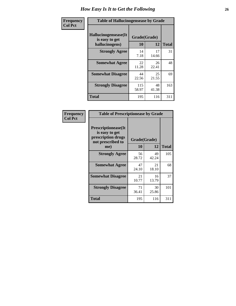| <b>Frequency</b> | <b>Table of Hallucinogensease by Grade</b>               |                    |              |     |
|------------------|----------------------------------------------------------|--------------------|--------------|-----|
| <b>Col Pct</b>   | Hallucinogensease(It<br>is easy to get<br>hallucinogens) | Grade(Grade)<br>10 | <b>Total</b> |     |
|                  | <b>Strongly Agree</b>                                    | 14<br>7.18         | 17<br>14.66  | 31  |
|                  | <b>Somewhat Agree</b>                                    | 22<br>11.28        | 26<br>22.41  | 48  |
|                  | <b>Somewhat Disagree</b>                                 | 44<br>22.56        | 25<br>21.55  | 69  |
|                  | <b>Strongly Disagree</b>                                 | 115<br>58.97       | 48<br>41.38  | 163 |
|                  | <b>Total</b>                                             | 195                | 116          | 311 |

| Frequency<br>  Col Pct |
|------------------------|
|                        |

| <b>Table of Prescriptionease by Grade</b>                                                |             |              |              |  |  |  |  |
|------------------------------------------------------------------------------------------|-------------|--------------|--------------|--|--|--|--|
| <b>Prescriptionease</b> (It<br>is easy to get<br>prescription drugs<br>not prescribed to |             | Grade(Grade) |              |  |  |  |  |
| me)                                                                                      | 10          | 12           | <b>Total</b> |  |  |  |  |
| <b>Strongly Agree</b>                                                                    | 56<br>28.72 | 49<br>42.24  | 105          |  |  |  |  |
| <b>Somewhat Agree</b>                                                                    | 47<br>24.10 | 21<br>18.10  | 68           |  |  |  |  |
| <b>Somewhat Disagree</b>                                                                 | 21<br>10.77 | 16<br>13.79  | 37           |  |  |  |  |
| <b>Strongly Disagree</b>                                                                 | 71<br>36.41 | 30<br>25.86  | 101          |  |  |  |  |
| <b>Total</b>                                                                             | 195         | 116          | 311          |  |  |  |  |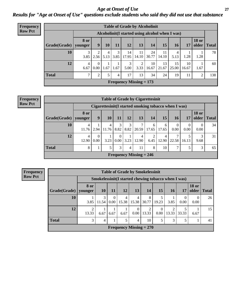*Age at Onset of Use* **27** *Results for "Age at Onset of Use" questions exclude students who said they did not use that substance*

| Frequency      |              |                        |                  |                        |           |                           |                        | <b>Table of Grade by Alcoholinit</b>             |             |             |             |                       |              |
|----------------|--------------|------------------------|------------------|------------------------|-----------|---------------------------|------------------------|--------------------------------------------------|-------------|-------------|-------------|-----------------------|--------------|
| <b>Row Pct</b> |              |                        |                  |                        |           |                           |                        | Alcoholinit (I started using alcohol when I was) |             |             |             |                       |              |
|                | Grade(Grade) | <b>8 or</b><br>younger | 9                | 10                     | 11        | <b>12</b>                 | 13                     | 14                                               | 15          | <b>16</b>   | 17          | <b>18 or</b><br>older | <b>Total</b> |
|                | 10           | 3<br>3.85              | 2.56             | $\overline{4}$<br>5.13 | 3<br>3.85 | 14<br>17.95               | 11<br>14.10            | 24<br>30.77                                      | 11<br>14.10 | 5.13        | 1.28        | 1.28                  | 78           |
|                | 12           | 4<br>6.67              | $\Omega$<br>0.00 | 1.67                   | 1.67      | 3<br>5.00                 | $\overline{2}$<br>3.33 | 10<br>16.67                                      | 13<br>21.67 | 15<br>25.00 | 10<br>16.67 | 1.67                  | 60           |
|                | <b>Total</b> | $\mathcal{L}$          | 2                | 5                      | 4         | 17                        | 13                     | 34                                               | 24          | 19          | 11          | 2                     | 138          |
|                |              |                        |                  |                        |           | Frequency Missing $= 173$ |                        |                                                  |             |             |             |                       |              |

#### **Frequency Row Pct**

|              | <b>Table of Grade by Cigarettesinit</b> |                                                      |            |                  |           |                           |            |                         |           |           |                        |              |  |
|--------------|-----------------------------------------|------------------------------------------------------|------------|------------------|-----------|---------------------------|------------|-------------------------|-----------|-----------|------------------------|--------------|--|
|              |                                         | Cigarettesinit(I started smoking tobacco when I was) |            |                  |           |                           |            |                         |           |           |                        |              |  |
| Grade(Grade) | 8 or<br>younger                         | 9                                                    | <b>10</b>  | 11               | 12        | 13                        | 14         | 15                      | 16        | <b>17</b> | <b>18 or</b><br>older  | <b>Total</b> |  |
| 10           | 4<br>11.76                              | 2.94                                                 | 4<br>11.76 | 3<br>8.82        | 3<br>8.82 | 7<br>20.59                | 6<br>17.65 | 6<br>17.65              | 0<br>0.00 | 0<br>0.00 | $\overline{0}$<br>0.00 | 34           |  |
| 12           | 4<br>12.90                              | $\theta$<br>0.00                                     | 3.23       | $\Omega$<br>0.00 | 3.23      | 4<br>12.90                | 6.45       | $\overline{4}$<br>12.90 | 22.58     | 16.13     | 3<br>9.68              | 31           |  |
| <b>Total</b> | 8                                       |                                                      | 5          | 3                | 4         | 11                        | 8          | 10                      | ⇁         | 5         | 3                      | 65           |  |
|              |                                         |                                                      |            |                  |           | Frequency Missing $= 246$ |            |                         |           |           |                        |              |  |

**Frequency Row Pct**

| <b>Table of Grade by Smokelessinit</b> |            |                                                     |           |                           |                         |            |       |            |           |                       |              |  |  |
|----------------------------------------|------------|-----------------------------------------------------|-----------|---------------------------|-------------------------|------------|-------|------------|-----------|-----------------------|--------------|--|--|
|                                        |            | Smokelessinit(I started chewing tobacco when I was) |           |                           |                         |            |       |            |           |                       |              |  |  |
| $Grade(Grade)$   younger               | 8 or       | <b>10</b>                                           | <b>11</b> | 12                        | 13                      | <b>14</b>  | 15    | <b>16</b>  | 17        | <b>18 or</b><br>older | <b>Total</b> |  |  |
| 10                                     | 3.85       | 3<br>11.54                                          | 0<br>0.00 | 4<br>15.38                | $\overline{4}$<br>15.38 | 8<br>30.77 | 19.23 | 3.85       | 0<br>0.00 | $\Omega$<br>0.00      | 26           |  |  |
| 12                                     | 2<br>13.33 | 6.67                                                | 6.67      | 6.67                      | $\overline{0}$<br>0.00  | 2<br>13.33 | 0.00  | 2<br>13.33 | 33.33     | 6.67                  | 15           |  |  |
| <b>Total</b>                           | 3          | 4                                                   |           | 5                         | $\overline{4}$          | 10         | 5     | 3          | 5         |                       | 41           |  |  |
|                                        |            |                                                     |           | Frequency Missing $= 270$ |                         |            |       |            |           |                       |              |  |  |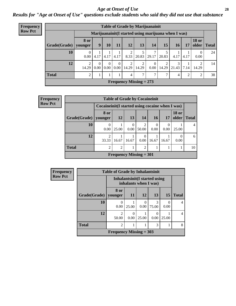#### *Age at Onset of Use* **28**

*Results for "Age at Onset of Use" questions exclude students who said they did not use that substance*

| <b>Frequency</b> | <b>Table of Grade by Marijuanainit</b> |                         |                                                     |                               |                  |                           |            |                  |            |            |      |                         |              |
|------------------|----------------------------------------|-------------------------|-----------------------------------------------------|-------------------------------|------------------|---------------------------|------------|------------------|------------|------------|------|-------------------------|--------------|
| <b>Row Pct</b>   |                                        |                         | Marijuanainit(I started using marijuana when I was) |                               |                  |                           |            |                  |            |            |      |                         |              |
|                  | Grade(Grade)                           | <b>8 or</b><br>younger  | 9                                                   | 10                            | 11               | 12                        | 13         | 14               | 15         | <b>16</b>  | 17   | <b>18 or</b><br>older   | <b>Total</b> |
|                  | 10                                     | $\Omega$<br>0.00        | 4.17                                                | 4.17                          | 4.17             | 2<br>8.33                 | 20.83      | 7<br>29.17       | 20.83      | 4.17       | 4.17 | $\overline{0}$<br>0.00  | 24           |
|                  | 12                                     | $\overline{2}$<br>14.29 | $\theta$<br>0.00 <sub>1</sub>                       | $\Omega$<br>0.00 <sub>1</sub> | $\Omega$<br>0.00 | $\overline{2}$<br>14.29   | 2<br>14.29 | $\Omega$<br>0.00 | ↑<br>14.29 | 3<br>21.43 | 7.14 | $\overline{2}$<br>14.29 | 14           |
|                  | <b>Total</b>                           | $\overline{2}$          |                                                     |                               |                  | 4                         | 7          | 7                | 7          | 4          | 2    | 2                       | 38           |
|                  |                                        |                         |                                                     |                               |                  | Frequency Missing $= 273$ |            |                  |            |            |      |                         |              |

| Frequency      |                        |                                                    |                |                  | <b>Table of Grade by Cocaineinit</b> |                  |       |                       |              |
|----------------|------------------------|----------------------------------------------------|----------------|------------------|--------------------------------------|------------------|-------|-----------------------|--------------|
| <b>Row Pct</b> |                        | Cocaine in it (I started using cocaine when I was) |                |                  |                                      |                  |       |                       |              |
|                | Grade(Grade)   younger | 8 or                                               | 12             | 13               | 14                                   | <b>16</b>        | 17    | <b>18 or</b><br>older | <b>Total</b> |
|                | <b>10</b>              | 0.00                                               | 25.00          | $\Omega$<br>0.00 | $\overline{2}$<br>50.00              | $\Omega$<br>0.00 | 0.00  | 25.00                 | 4            |
|                | 12                     | 33.33                                              | 16.67          | 16.67            | $\Omega$<br>0.00                     | 16.67            | 16.67 | 0.00                  | 6            |
|                | <b>Total</b>           | 2                                                  | $\mathfrak{D}$ |                  | $\overline{2}$                       |                  |       |                       | 10           |
|                |                        |                                                    |                |                  | Frequency Missing $= 301$            |                  |       |                       |              |

| <b>Frequency</b> | <b>Table of Grade by Inhalantsinit</b> |                           |           |                                                         |            |       |              |  |  |
|------------------|----------------------------------------|---------------------------|-----------|---------------------------------------------------------|------------|-------|--------------|--|--|
| <b>Row Pct</b>   |                                        |                           |           | Inhalantsinit (I started using<br>inhalants when I was) |            |       |              |  |  |
|                  | Grade(Grade)                           | 8 or<br>younger           | <b>11</b> | <b>12</b>                                               | 13         | 15    | <b>Total</b> |  |  |
|                  | 10                                     | $\Omega$<br>0.00          | 25.00     | 0<br>0.00                                               | 3<br>75.00 | 0.00  | 4            |  |  |
|                  | 12                                     | $\overline{2}$<br>50.00   | 0.00      | 25.00                                                   | 0.00       | 25.00 | 4            |  |  |
|                  | <b>Total</b>                           | $\overline{c}$            |           |                                                         | 3          |       | 8            |  |  |
|                  |                                        | Frequency Missing $=$ 303 |           |                                                         |            |       |              |  |  |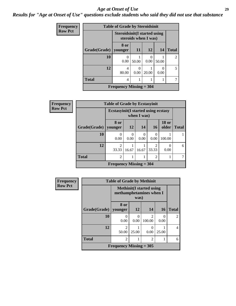#### *Age at Onset of Use* **29**

*Results for "Age at Onset of Use" questions exclude students who said they did not use that substance*

| <b>Frequency</b> | <b>Table of Grade by Steroidsinit</b> |                                      |                           |                  |                       |                |  |  |  |
|------------------|---------------------------------------|--------------------------------------|---------------------------|------------------|-----------------------|----------------|--|--|--|
| <b>Row Pct</b>   |                                       | <b>Steroidsinit (I started using</b> | steroids when I was)      |                  |                       |                |  |  |  |
|                  | Grade(Grade)                          | 8 or<br>vounger                      | 11                        | 12               | 14                    | <b>Total</b>   |  |  |  |
|                  | 10                                    | 0.00                                 | 50.00                     | $\Omega$<br>0.00 | 50.00                 | $\mathfrak{D}$ |  |  |  |
|                  | 12                                    | 4<br>80.00                           | $\mathbf{\Omega}$<br>0.00 | 20.00            | $\mathcal{L}$<br>0.00 | 5              |  |  |  |
|                  | <b>Total</b>                          | 4                                    |                           |                  |                       |                |  |  |  |
|                  |                                       | Frequency Missing $=$ 304            |                           |                  |                       |                |  |  |  |

| <b>Frequency</b> | <b>Table of Grade by Ecstasyinit</b> |                                             |           |             |                |                       |              |  |  |
|------------------|--------------------------------------|---------------------------------------------|-----------|-------------|----------------|-----------------------|--------------|--|--|
| <b>Row Pct</b>   |                                      | <b>Ecstasyinit</b> (I started using ecstasy |           | when I was) |                |                       |              |  |  |
|                  | Grade(Grade)                         | 8 or<br>younger                             | <b>12</b> | 14          | <b>16</b>      | <b>18 or</b><br>older | <b>Total</b> |  |  |
|                  | 10                                   | 0<br>0.00                                   | 0.00      | 0<br>0.00   | 0<br>0.00      | 100.00                |              |  |  |
|                  | 12                                   | $\overline{2}$<br>33.33                     | 16.67     | 16.67       | 2<br>33.33     | 0<br>0.00             | 6            |  |  |
|                  | <b>Total</b>                         | $\overline{2}$                              |           |             | $\overline{2}$ |                       |              |  |  |
|                  |                                      | Frequency Missing $=$ 304                   |           |             |                |                       |              |  |  |

| <b>Frequency</b> | <b>Table of Grade by Methinit</b> |                                |           |                                  |           |                |  |  |  |
|------------------|-----------------------------------|--------------------------------|-----------|----------------------------------|-----------|----------------|--|--|--|
| <b>Row Pct</b>   |                                   | methamphetamines when I        | was)      | <b>Methinit</b> (I started using |           |                |  |  |  |
|                  | Grade(Grade)                      | 8 or<br>younger                | <b>12</b> | 14                               | <b>16</b> | <b>Total</b>   |  |  |  |
|                  | 10                                | $\theta$<br>0.00               | 0.00      | $\mathfrak{D}$<br>100.00         | 0.00      | $\overline{2}$ |  |  |  |
|                  | 12                                | $\mathfrak{D}$<br>50.00        | 25.00     | $\theta$<br>0.00                 | 25.00     | 4              |  |  |  |
|                  | <b>Total</b>                      | 2                              |           | $\overline{c}$                   |           | 6              |  |  |  |
|                  |                                   | <b>Frequency Missing = 305</b> |           |                                  |           |                |  |  |  |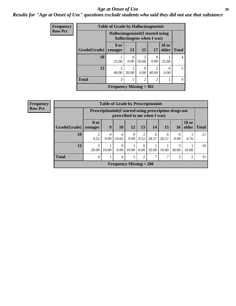#### Age at Onset of Use **30**

### *Results for "Age at Onset of Use" questions exclude students who said they did not use that substance*

| Frequency      |              | <b>Table of Grade by Hallucinogensinit</b> |           |                           |                                      |                       |             |
|----------------|--------------|--------------------------------------------|-----------|---------------------------|--------------------------------------|-----------------------|-------------|
| <b>Row Pct</b> |              | Hallucinogensinit(I started using          |           | hallucinogens when I was) |                                      |                       |             |
|                | Grade(Grade) | 8 or<br>vounger                            | 13        | 15                        | 17                                   | <b>18 or</b><br>older | Total       |
|                | 10           | 25.00                                      | 0<br>0.00 | $\overline{c}$<br>50.00   | 0.00                                 | 25.00                 | 4           |
|                | 12           | $\mathcal{D}_{\mathcal{L}}$<br>40.00       | 20.00     | 0.00                      | $\mathcal{D}_{\mathcal{A}}$<br>40.00 | 0<br>0.00             | $5^{\circ}$ |
|                | <b>Total</b> | 3                                          |           | $\overline{c}$            | $\mathcal{D}$                        |                       | 9           |
|                |              | Frequency Missing $= 302$                  |           |                           |                                      |                       |             |

| Frequency      | <b>Table of Grade by Prescriptioninit</b> |                                                                                            |                           |       |           |                        |            |            |            |                       |              |
|----------------|-------------------------------------------|--------------------------------------------------------------------------------------------|---------------------------|-------|-----------|------------------------|------------|------------|------------|-----------------------|--------------|
| <b>Row Pct</b> |                                           | Prescription in it (I started using prescription drugs not<br>prescribed to me when I was) |                           |       |           |                        |            |            |            |                       |              |
|                | Grade(Grade)                              | 8 or<br>younger                                                                            | 9                         | 10    | 12        | 13                     | 14         | 15         | 16         | <b>18 or</b><br>older | <b>Total</b> |
|                | 10                                        | 2<br>9.52                                                                                  | $\theta$<br>0.00          | 19.05 | 0<br>0.00 | $\overline{c}$<br>9.52 | 6<br>28.57 | 6<br>28.57 | 0<br>0.00  | 4.76                  | 21           |
|                | 12                                        | $\overline{c}$<br>20.00                                                                    | 10.00                     | 0.00  | 10.00     | $\theta$<br>0.00       | 10.00      | 10.00      | 3<br>30.00 | 10.00                 | 10           |
|                | <b>Total</b>                              | 4                                                                                          |                           | 4     |           | $\mathfrak{D}$         |            | 7          | 3          | 2                     | 31           |
|                |                                           |                                                                                            | Frequency Missing $= 280$ |       |           |                        |            |            |            |                       |              |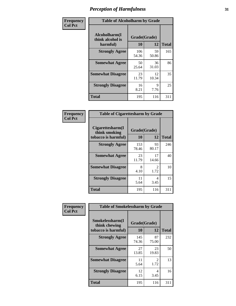| Frequency      | <b>Table of Alcoholharm by Grade</b>          |                    |             |              |  |  |
|----------------|-----------------------------------------------|--------------------|-------------|--------------|--|--|
| <b>Col Pct</b> | Alcoholharm(I<br>think alcohol is<br>harmful) | Grade(Grade)<br>10 | 12          | <b>Total</b> |  |  |
|                | <b>Strongly Agree</b>                         | 106<br>54.36       | 59<br>50.86 | 165          |  |  |
|                | <b>Somewhat Agree</b>                         | 50<br>25.64        | 36<br>31.03 | 86           |  |  |
|                | <b>Somewhat Disagree</b>                      | 23<br>11.79        | 12<br>10.34 | 35           |  |  |
|                | <b>Strongly Disagree</b>                      | 16<br>8.21         | 9<br>7.76   | 25           |  |  |
|                | <b>Total</b>                                  | 195                | 116         | 311          |  |  |

| <b>Table of Cigarettesharm by Grade</b>                  |                    |                        |              |  |  |  |  |
|----------------------------------------------------------|--------------------|------------------------|--------------|--|--|--|--|
| Cigarettesharm(I<br>think smoking<br>tobacco is harmful) | Grade(Grade)<br>10 | 12                     | <b>Total</b> |  |  |  |  |
| <b>Strongly Agree</b>                                    | 153<br>78.46       | 93<br>80.17            | 246          |  |  |  |  |
| <b>Somewhat Agree</b>                                    | 23<br>11.79        | 17<br>14.66            | 40           |  |  |  |  |
| <b>Somewhat Disagree</b>                                 | 8<br>4.10          | $\mathfrak{D}$<br>1.72 | 10           |  |  |  |  |
| <b>Strongly Disagree</b>                                 | 11<br>5.64         | 4<br>3.45              | 15           |  |  |  |  |
| <b>Total</b>                                             | 195                | 116                    | 311          |  |  |  |  |

| Frequency      | <b>Table of Smokelessharm by Grade</b>                  |                    |             |              |  |  |  |  |
|----------------|---------------------------------------------------------|--------------------|-------------|--------------|--|--|--|--|
| <b>Col Pct</b> | Smokelessharm(I<br>think chewing<br>tobacco is harmful) | Grade(Grade)<br>10 | 12          | <b>Total</b> |  |  |  |  |
|                | <b>Strongly Agree</b>                                   | 145<br>74.36       | 87<br>75.00 | 232          |  |  |  |  |
|                | <b>Somewhat Agree</b>                                   | 27<br>13.85        | 23<br>19.83 | 50           |  |  |  |  |
|                | <b>Somewhat Disagree</b>                                | 11<br>5.64         | 2<br>1.72   | 13           |  |  |  |  |
|                | <b>Strongly Disagree</b>                                | 12<br>6.15         | 4<br>3.45   | 16           |  |  |  |  |
|                | <b>Total</b>                                            | 195                | 116         | 311          |  |  |  |  |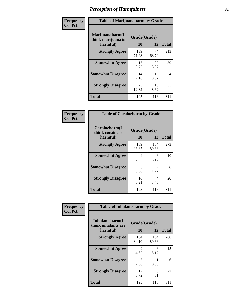| Frequency      | <b>Table of Marijuanaharm by Grade</b>            |                    |             |              |  |  |
|----------------|---------------------------------------------------|--------------------|-------------|--------------|--|--|
| <b>Col Pct</b> | Marijuanaharm(I<br>think marijuana is<br>harmful) | Grade(Grade)<br>10 | 12          | <b>Total</b> |  |  |
|                | <b>Strongly Agree</b>                             | 139<br>71.28       | 74<br>63.79 | 213          |  |  |
|                | <b>Somewhat Agree</b>                             | 17<br>8.72         | 22<br>18.97 | 39           |  |  |
|                | <b>Somewhat Disagree</b>                          | 14<br>7.18         | 10<br>8.62  | 24           |  |  |
|                | <b>Strongly Disagree</b>                          | 25<br>12.82        | 10<br>8.62  | 35           |  |  |
|                | <b>Total</b>                                      | 195                | 116         | 311          |  |  |

| <b>Table of Cocaineharm by Grade</b>          |                    |                        |              |  |  |  |  |  |
|-----------------------------------------------|--------------------|------------------------|--------------|--|--|--|--|--|
| Cocaineharm(I<br>think cocaine is<br>harmful) | Grade(Grade)<br>10 | 12                     | <b>Total</b> |  |  |  |  |  |
| <b>Strongly Agree</b>                         | 169<br>86.67       | 104<br>89.66           | 273          |  |  |  |  |  |
| <b>Somewhat Agree</b>                         | 4<br>2.05          | 6<br>5.17              | 10           |  |  |  |  |  |
| <b>Somewhat Disagree</b>                      | 6<br>3.08          | $\mathfrak{D}$<br>1.72 | 8            |  |  |  |  |  |
| <b>Strongly Disagree</b>                      | 16<br>8.21         | 4<br>3.45              | 20           |  |  |  |  |  |
| <b>Total</b>                                  | 195                | 116                    | 311          |  |  |  |  |  |

| Frequency      | <b>Table of Inhalantsharm by Grade</b>              |                    |              |              |
|----------------|-----------------------------------------------------|--------------------|--------------|--------------|
| <b>Col Pct</b> | Inhalantsharm(I)<br>think inhalants are<br>harmful) | Grade(Grade)<br>10 | 12           | <b>Total</b> |
|                | <b>Strongly Agree</b>                               | 164<br>84.10       | 104<br>89.66 | 268          |
|                | <b>Somewhat Agree</b>                               | 9<br>4.62          | 6<br>5.17    | 15           |
|                | <b>Somewhat Disagree</b>                            | 5<br>2.56          | 0.86         | 6            |
|                | <b>Strongly Disagree</b>                            | 17<br>8.72         | 5<br>4.31    | 22           |
|                | <b>Total</b>                                        | 195                | 116          | 311          |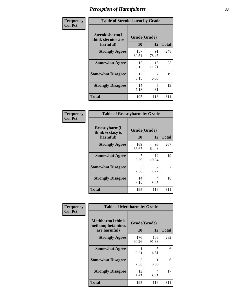| Frequency      | <b>Table of Steroidsharm by Grade</b>            |                    |             |              |
|----------------|--------------------------------------------------|--------------------|-------------|--------------|
| <b>Col Pct</b> | Steroidsharm(I<br>think steroids are<br>harmful) | Grade(Grade)<br>10 | 12          | <b>Total</b> |
|                | <b>Strongly Agree</b>                            | 157<br>80.51       | 91<br>78.45 | 248          |
|                | <b>Somewhat Agree</b>                            | 12<br>6.15         | 13<br>11.21 | 25           |
|                | <b>Somewhat Disagree</b>                         | 12<br>6.15         | 7<br>6.03   | 19           |
|                | <b>Strongly Disagree</b>                         | 14<br>7.18         | 5<br>4.31   | 19           |
|                | <b>Total</b>                                     | 195                | 116         | 311          |

| <b>Table of Ecstasyharm by Grade</b>                |                    |                        |     |  |  |
|-----------------------------------------------------|--------------------|------------------------|-----|--|--|
| $E$ cstasyharm $(I$<br>think ecstasy is<br>harmful) | Grade(Grade)<br>10 | <b>Total</b>           |     |  |  |
| <b>Strongly Agree</b>                               | 169<br>86.67       | 98<br>84.48            | 267 |  |  |
| <b>Somewhat Agree</b>                               | 7<br>3.59          | 12<br>10.34            | 19  |  |  |
| <b>Somewhat Disagree</b>                            | 5<br>2.56          | $\mathfrak{D}$<br>1.72 | 7   |  |  |
| <b>Strongly Disagree</b>                            | 14<br>7.18         | 4<br>3.45              | 18  |  |  |
| Total                                               | 195                | 116                    | 311 |  |  |

| Frequency      | <b>Table of Methharm by Grade</b>                            |                    |              |              |
|----------------|--------------------------------------------------------------|--------------------|--------------|--------------|
| <b>Col Pct</b> | <b>Methharm</b> (I think<br>methamphetamines<br>are harmful) | Grade(Grade)<br>10 | 12           | <b>Total</b> |
|                | <b>Strongly Agree</b>                                        | 176<br>90.26       | 106<br>91.38 | 282          |
|                | <b>Somewhat Agree</b>                                        | 0.51               | 5<br>4.31    | 6            |
|                | <b>Somewhat Disagree</b>                                     | 5<br>2.56          | 0.86         | 6            |
|                | <b>Strongly Disagree</b>                                     | 13<br>6.67         | 4<br>3.45    | 17           |
|                | <b>Total</b>                                                 | 195                | 116          | 311          |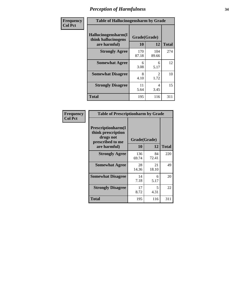| Frequency      | <b>Table of Hallucinogensharm by Grade</b>                 |                    |                       |              |
|----------------|------------------------------------------------------------|--------------------|-----------------------|--------------|
| <b>Col Pct</b> | Hallucinogensharm(I<br>think hallucinogens<br>are harmful) | Grade(Grade)<br>10 | 12                    | <b>Total</b> |
|                | <b>Strongly Agree</b>                                      | 170<br>87.18       | 104<br>89.66          | 274          |
|                | <b>Somewhat Agree</b>                                      | 6<br>3.08          | 6<br>5.17             | 12           |
|                | <b>Somewhat Disagree</b>                                   | 8<br>4.10          | $\mathcal{L}$<br>1.72 | 10           |
|                | <b>Strongly Disagree</b>                                   | 11<br>5.64         | 4<br>3.45             | 15           |
|                | <b>Total</b>                                               | 195                | 116                   | 311          |

| <b>Table of Prescriptionharm by Grade</b>                                                         |                    |             |              |  |  |
|---------------------------------------------------------------------------------------------------|--------------------|-------------|--------------|--|--|
| <b>Prescriptionharm(I)</b><br>think prescription<br>drugs not<br>prescribed to me<br>are harmful) | Grade(Grade)<br>10 | 12          | <b>Total</b> |  |  |
| <b>Strongly Agree</b>                                                                             | 136<br>69.74       | 84<br>72.41 | 220          |  |  |
| <b>Somewhat Agree</b>                                                                             | 28<br>14.36        | 21<br>18.10 | 49           |  |  |
| <b>Somewhat Disagree</b>                                                                          | 14<br>7.18         | 6<br>5.17   | 20           |  |  |
| <b>Strongly Disagree</b>                                                                          | 17<br>8.72         | 5<br>4.31   | 22           |  |  |
| Total                                                                                             | 195                | 116         | 311          |  |  |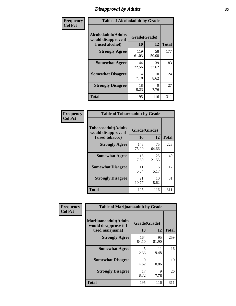# *Disapproval by Adults* **35**

| Frequency      | <b>Table of Alcoholadult by Grade</b>                                 |                    |             |              |
|----------------|-----------------------------------------------------------------------|--------------------|-------------|--------------|
| <b>Col Pct</b> | <b>Alcoholadult</b> (Adults<br>would disapprove if<br>I used alcohol) | Grade(Grade)<br>10 | 12          | <b>Total</b> |
|                | <b>Strongly Agree</b>                                                 | 119<br>61.03       | 58<br>50.00 | 177          |
|                | <b>Somewhat Agree</b>                                                 | 44<br>22.56        | 39<br>33.62 | 83           |
|                | <b>Somewhat Disagree</b>                                              | 14<br>7.18         | 10<br>8.62  | 24           |
|                | <b>Strongly Disagree</b>                                              | 18<br>9.23         | 9<br>7.76   | 27           |
|                | <b>Total</b>                                                          | 195                | 116         | 311          |

| <b>Table of Tobaccoadult by Grade</b>                                |                    |             |              |  |  |
|----------------------------------------------------------------------|--------------------|-------------|--------------|--|--|
| <b>Tobaccoadult(Adults</b><br>would disapprove if<br>I used tobacco) | Grade(Grade)<br>10 | 12          | <b>Total</b> |  |  |
| <b>Strongly Agree</b>                                                | 148<br>75.90       | 75<br>64.66 | 223          |  |  |
| <b>Somewhat Agree</b>                                                | 15<br>7.69         | 25<br>21.55 | 40           |  |  |
| <b>Somewhat Disagree</b>                                             | 11<br>5.64         | 6<br>5.17   | 17           |  |  |
| <b>Strongly Disagree</b>                                             | 21<br>10.77        | 10<br>8.62  | 31           |  |  |
| <b>Total</b>                                                         | 195                | 116         | 311          |  |  |

| Frequency<br><b>Col Pct</b> | <b>Table of Marijuanaadult by Grade</b>                           |                    |             |              |  |
|-----------------------------|-------------------------------------------------------------------|--------------------|-------------|--------------|--|
|                             | Marijuanaadult(Adults<br>would disapprove if I<br>used marijuana) | Grade(Grade)<br>10 | 12          | <b>Total</b> |  |
|                             | <b>Strongly Agree</b>                                             | 164<br>84.10       | 95<br>81.90 | 259          |  |
|                             | <b>Somewhat Agree</b>                                             | 5<br>2.56          | 11<br>9.48  | 16           |  |
|                             | <b>Somewhat Disagree</b>                                          | 9<br>4.62          | 0.86        | 10           |  |
|                             | <b>Strongly Disagree</b>                                          | 17<br>8.72         | 9<br>7.76   | 26           |  |
|                             | <b>Total</b>                                                      | 195                | 116         | 311          |  |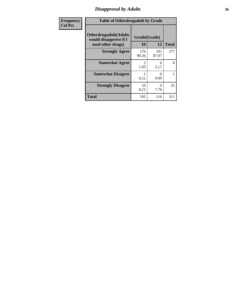# *Disapproval by Adults* **36**

| <b>Frequency</b> | <b>Table of Otherdrugadult by Grade</b>                                     |                       |              |              |
|------------------|-----------------------------------------------------------------------------|-----------------------|--------------|--------------|
| <b>Col Pct</b>   | <b>Otherdrugadult</b> (Adults<br>would disapprove if I<br>used other drugs) | Grade(Grade)<br>10    | 12           | <b>Total</b> |
|                  | <b>Strongly Agree</b>                                                       | 176<br>90.26          | 101<br>87.07 | 277          |
|                  | <b>Somewhat Agree</b>                                                       | $\mathcal{D}$<br>1.03 | 6<br>5.17    | 8            |
|                  | <b>Somewhat Disagree</b>                                                    | 0.51                  | 0<br>0.00    |              |
|                  | <b>Strongly Disagree</b>                                                    | 16<br>8.21            | 9<br>7.76    | 25           |
|                  | <b>Total</b>                                                                | 195                   | 116          | 311          |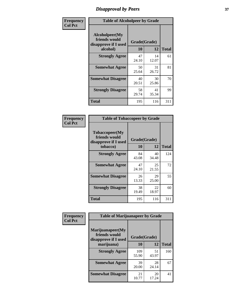## *Disapproval by Peers* **37**

| Frequency      | <b>Table of Alcoholpeer by Grade</b>                    |              |             |              |  |
|----------------|---------------------------------------------------------|--------------|-------------|--------------|--|
| <b>Col Pct</b> | Alcoholpeer(My<br>friends would<br>disapprove if I used | Grade(Grade) |             |              |  |
|                | alcohol)                                                | 10           | 12          | <b>Total</b> |  |
|                | <b>Strongly Agree</b>                                   | 47<br>24.10  | 14<br>12.07 | 61           |  |
|                | <b>Somewhat Agree</b>                                   | 50<br>25.64  | 31<br>26.72 | 81           |  |
|                | <b>Somewhat Disagree</b>                                | 40<br>20.51  | 30<br>25.86 | 70           |  |
|                | <b>Strongly Disagree</b>                                | 58<br>29.74  | 41<br>35.34 | 99           |  |
|                | Total                                                   | 195          | 116         | 311          |  |

| Frequency      | <b>Table of Tobaccopeer by Grade</b>                                |                           |             |              |
|----------------|---------------------------------------------------------------------|---------------------------|-------------|--------------|
| <b>Col Pct</b> | Tobaccopeer(My<br>friends would<br>disapprove if I used<br>tobacco) | Grade(Grade)<br><b>10</b> | 12          | <b>Total</b> |
|                | <b>Strongly Agree</b>                                               | 84<br>43.08               | 40<br>34.48 | 124          |
|                | <b>Somewhat Agree</b>                                               | 47<br>24.10               | 25<br>21.55 | 72           |
|                | <b>Somewhat Disagree</b>                                            | 26<br>13.33               | 29<br>25.00 | 55           |
|                | <b>Strongly Disagree</b>                                            | 38<br>19.49               | 22<br>18.97 | 60           |
|                | <b>Total</b>                                                        | 195                       | 116         | 311          |

| Frequency      | <b>Table of Marijuanapeer by Grade</b>                    |              |             |              |
|----------------|-----------------------------------------------------------|--------------|-------------|--------------|
| <b>Col Pct</b> | Marijuanapeer(My<br>friends would<br>disapprove if I used | Grade(Grade) |             |              |
|                | marijuana)                                                | 10           | 12          | <b>Total</b> |
|                | <b>Strongly Agree</b>                                     | 109<br>55.90 | 51<br>43.97 | 160          |
|                | <b>Somewhat Agree</b>                                     | 39<br>20.00  | 28<br>24.14 | 67           |
|                | <b>Somewhat Disagree</b>                                  | 21<br>10.77  | 20<br>17.24 | 41           |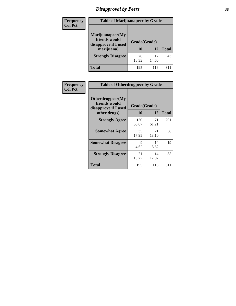# *Disapproval by Peers* **38**

| Frequency<br><b>Col Pct</b> | <b>Table of Marijuanapeer by Grade</b>                                  |                    |       |              |
|-----------------------------|-------------------------------------------------------------------------|--------------------|-------|--------------|
|                             | Marijuanapeer(My<br>friends would<br>disapprove if I used<br>marijuana) | Grade(Grade)<br>10 | 12    | <b>Total</b> |
|                             | <b>Strongly Disagree</b>                                                | 26<br>13.33        | 14.66 | 43           |
|                             | Total                                                                   | 195                | 116   | $31^{\circ}$ |

| Frequency      | <b>Table of Otherdrugpeer by Grade</b>                                    |                    |             |              |
|----------------|---------------------------------------------------------------------------|--------------------|-------------|--------------|
| <b>Col Pct</b> | Otherdrugpeer(My<br>friends would<br>disapprove if I used<br>other drugs) | Grade(Grade)<br>10 | 12          | <b>Total</b> |
|                | <b>Strongly Agree</b>                                                     | 130<br>66.67       | 71<br>61.21 | 201          |
|                | <b>Somewhat Agree</b>                                                     | 35<br>17.95        | 21<br>18.10 | 56           |
|                | <b>Somewhat Disagree</b>                                                  | 9<br>4.62          | 10<br>8.62  | 19           |
|                | <b>Strongly Disagree</b>                                                  | 21<br>10.77        | 14<br>12.07 | 35           |
|                | <b>Total</b>                                                              | 195                | 116         | 311          |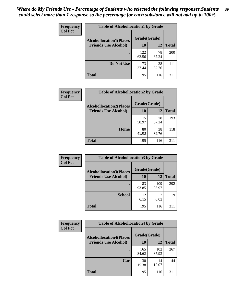| Frequency      |                                | <b>Table of Alcohollocation1 by Grade</b> |             |              |  |
|----------------|--------------------------------|-------------------------------------------|-------------|--------------|--|
| <b>Col Pct</b> | <b>Alcohollocation1(Places</b> | Grade(Grade)                              |             |              |  |
|                | <b>Friends Use Alcohol)</b>    | 10                                        | 12          | <b>Total</b> |  |
|                |                                | 122<br>62.56                              | 78<br>67.24 | 200          |  |
|                | Do Not Use                     | 73<br>37.44                               | 38<br>32.76 | 111          |  |
|                | <b>Total</b>                   | 195                                       | 116         | 311          |  |

| Frequency      | <b>Table of Alcohollocation2 by Grade</b>                     |                    |             |              |
|----------------|---------------------------------------------------------------|--------------------|-------------|--------------|
| <b>Col Pct</b> | <b>Alcohollocation2(Places</b><br><b>Friends Use Alcohol)</b> | Grade(Grade)<br>10 | 12          | <b>Total</b> |
|                |                                                               | 115<br>58.97       | 78<br>67.24 | 193          |
|                | Home                                                          | 80<br>41.03        | 38<br>32.76 | 118          |
|                | Total                                                         | 195                | 116         | 311          |

| Frequency<br><b>Col Pct</b> | <b>Table of Alcohollocation 3 by Grade</b>                    |                    |              |              |
|-----------------------------|---------------------------------------------------------------|--------------------|--------------|--------------|
|                             | <b>Alcohollocation3(Places</b><br><b>Friends Use Alcohol)</b> | Grade(Grade)<br>10 | 12           | <b>Total</b> |
|                             |                                                               | 183<br>93.85       | 109<br>93.97 | 292          |
|                             | <b>School</b>                                                 | 12<br>6.15         | 6.03         | 19           |
|                             | <b>Total</b>                                                  | 195                | 116          | 311          |

| <b>Frequency</b> | <b>Table of Alcohollocation4 by Grade</b> |              |              |              |
|------------------|-------------------------------------------|--------------|--------------|--------------|
| <b>Col Pct</b>   | <b>Alcohollocation4(Places</b>            | Grade(Grade) |              |              |
|                  | <b>Friends Use Alcohol)</b>               | 10           | 12           | <b>Total</b> |
|                  |                                           | 165<br>84.62 | 102<br>87.93 | 267          |
|                  | Car                                       | 30<br>15.38  | 14<br>12.07  | 44           |
|                  | <b>Total</b>                              | 195          | 116          | 311          |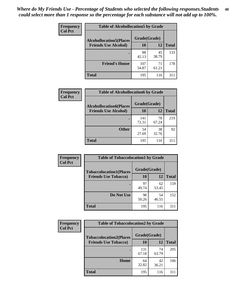| Frequency<br><b>Col Pct</b> | <b>Table of Alcohollocation5 by Grade</b> |              |             |              |
|-----------------------------|-------------------------------------------|--------------|-------------|--------------|
|                             | <b>Alcohollocation5(Places</b>            | Grade(Grade) |             |              |
|                             | <b>Friends Use Alcohol)</b>               | 10           | 12          | <b>Total</b> |
|                             |                                           | 88<br>45.13  | 45<br>38.79 | 133          |
|                             | <b>Friend's House</b>                     | 107<br>54.87 | 71<br>61.21 | 178          |
|                             | <b>Total</b>                              | 195          | 116         | 311          |

| <b>Frequency</b> | <b>Table of Alcohollocation6 by Grade</b> |              |             |              |
|------------------|-------------------------------------------|--------------|-------------|--------------|
| <b>Col Pct</b>   | <b>Alcohollocation6(Places</b>            | Grade(Grade) |             |              |
|                  | <b>Friends Use Alcohol)</b>               | 10           | 12          | <b>Total</b> |
|                  |                                           | 141<br>72.31 | 78<br>67.24 | 219          |
|                  | <b>Other</b>                              | 54<br>27.69  | 38<br>32.76 | 92           |
|                  | <b>Total</b>                              | 195          | 116         | 311          |

| Frequency      | <b>Table of Tobaccolocation1 by Grade</b> |              |             |              |
|----------------|-------------------------------------------|--------------|-------------|--------------|
| <b>Col Pct</b> | <b>Tobaccolocation1(Places</b>            | Grade(Grade) |             |              |
|                | <b>Friends Use Tobacco)</b>               | <b>10</b>    | 12          | <b>Total</b> |
|                |                                           | 97<br>49.74  | 62<br>53.45 | 159          |
|                | Do Not Use                                | 98<br>50.26  | 54<br>46.55 | 152          |
|                | <b>Total</b>                              | 195          | 116         | 311          |

| <b>Frequency</b> | <b>Table of Tobaccolocation2 by Grade</b> |              |             |              |  |
|------------------|-------------------------------------------|--------------|-------------|--------------|--|
| <b>Col Pct</b>   | <b>Tobaccolocation2(Places</b>            | Grade(Grade) |             |              |  |
|                  | <b>Friends Use Tobacco)</b>               | 10           | 12          | <b>Total</b> |  |
|                  |                                           | 131<br>67.18 | 74<br>63.79 | 205          |  |
|                  | Home                                      | 64<br>32.82  | 42<br>36.21 | 106          |  |
|                  | <b>Total</b>                              | 195          | 116         | 311          |  |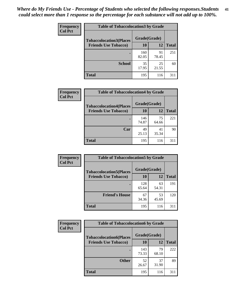| Frequency      | <b>Table of Tobaccolocation 3 by Grade</b> |              |             |              |
|----------------|--------------------------------------------|--------------|-------------|--------------|
| <b>Col Pct</b> | <b>Tobaccolocation3(Places</b>             | Grade(Grade) |             |              |
|                | <b>Friends Use Tobacco)</b>                | 10           | 12          | <b>Total</b> |
|                |                                            | 160<br>82.05 | 91<br>78.45 | 251          |
|                | <b>School</b>                              | 35<br>17.95  | 25<br>21.55 | 60           |
|                | <b>Total</b>                               | 195          | 116         | 311          |

| Frequency      | <b>Table of Tobaccolocation4 by Grade</b>                     |                           |             |              |
|----------------|---------------------------------------------------------------|---------------------------|-------------|--------------|
| <b>Col Pct</b> | <b>Tobaccolocation4(Places</b><br><b>Friends Use Tobacco)</b> | Grade(Grade)<br><b>10</b> | 12          | <b>Total</b> |
|                |                                                               | 146<br>74.87              | 75<br>64.66 | 221          |
|                | Car                                                           | 49<br>25.13               | 41<br>35.34 | 90           |
|                | <b>Total</b>                                                  | 195                       | 116         | 311          |

| Frequency<br><b>Col Pct</b> | <b>Table of Tobaccolocation5 by Grade</b> |              |             |              |
|-----------------------------|-------------------------------------------|--------------|-------------|--------------|
|                             | <b>Tobaccolocation5(Places</b>            | Grade(Grade) |             |              |
|                             | <b>Friends Use Tobacco)</b>               | 10           | <b>12</b>   | <b>Total</b> |
|                             |                                           | 128<br>65.64 | 63<br>54.31 | 191          |
|                             | <b>Friend's House</b>                     | 67<br>34.36  | 53<br>45.69 | 120          |
|                             | <b>Total</b>                              | 195          | 116         | 311          |

| <b>Frequency</b> | <b>Table of Tobaccolocation6 by Grade</b> |              |             |              |  |
|------------------|-------------------------------------------|--------------|-------------|--------------|--|
| <b>Col Pct</b>   | <b>Tobaccolocation6(Places</b>            | Grade(Grade) |             |              |  |
|                  | <b>Friends Use Tobacco)</b>               | 10           | 12          | <b>Total</b> |  |
|                  |                                           | 143<br>73.33 | 79<br>68.10 | 222          |  |
|                  | <b>Other</b>                              | 52<br>26.67  | 37<br>31.90 | 89           |  |
|                  | <b>Total</b>                              | 195          | 116         | 311          |  |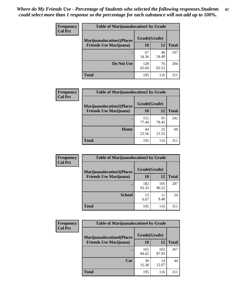| <b>Frequency</b> | <b>Table of Marijuanalocation1 by Grade</b> |              |             |              |
|------------------|---------------------------------------------|--------------|-------------|--------------|
| <b>Col Pct</b>   | <b>Marijuanalocation1(Places</b>            | Grade(Grade) |             |              |
|                  | <b>Friends Use Marijuana</b> )              | 10           | 12          | <b>Total</b> |
|                  |                                             | 67<br>34.36  | 40<br>34.48 | 107          |
|                  | Do Not Use                                  | 128<br>65.64 | 76<br>65.52 | 204          |
|                  | <b>Total</b>                                | 195          | 116         | 311          |

| <b>Frequency</b> | <b>Table of Marijuanalocation2 by Grade</b>                        |                    |             |              |
|------------------|--------------------------------------------------------------------|--------------------|-------------|--------------|
| <b>Col Pct</b>   | <b>Marijuanalocation2(Places</b><br><b>Friends Use Marijuana</b> ) | Grade(Grade)<br>10 | 12          | <b>Total</b> |
|                  |                                                                    | 151<br>77.44       | 91<br>78.45 | 242          |
|                  | Home                                                               | 44<br>22.56        | 25<br>21.55 | 69           |
|                  | <b>Total</b>                                                       | 195                | 116         | 311          |

| Frequency<br><b>Col Pct</b> | <b>Table of Marijuanalocation3 by Grade</b> |              |              |              |
|-----------------------------|---------------------------------------------|--------------|--------------|--------------|
|                             | <b>Marijuanalocation3</b> (Places           | Grade(Grade) |              |              |
|                             | <b>Friends Use Marijuana</b> )              | <b>10</b>    | 12           | <b>Total</b> |
|                             |                                             | 182<br>93.33 | 105<br>90.52 | 287          |
|                             | <b>School</b>                               | 13<br>6.67   | 11<br>9.48   | 24           |
|                             | <b>Total</b>                                | 195          | 116          | 311          |

| <b>Frequency</b> | <b>Table of Marijuanalocation4 by Grade</b> |              |              |              |  |
|------------------|---------------------------------------------|--------------|--------------|--------------|--|
| <b>Col Pct</b>   | <b>Marijuanalocation4(Places</b>            | Grade(Grade) |              |              |  |
|                  | <b>Friends Use Marijuana</b> )              | <b>10</b>    | 12           | <b>Total</b> |  |
|                  |                                             | 165<br>84.62 | 102<br>87.93 | 267          |  |
|                  | Car                                         | 30<br>15.38  | 14<br>12.07  | 44           |  |
|                  | <b>Total</b>                                | 195          | 116          | 311          |  |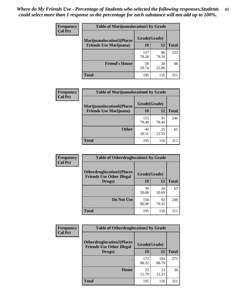| <b>Frequency</b> | <b>Table of Marijuanalocation5 by Grade</b> |              |             |              |
|------------------|---------------------------------------------|--------------|-------------|--------------|
| <b>Col Pct</b>   | <b>Marijuanalocation5</b> (Places           | Grade(Grade) |             |              |
|                  | <b>Friends Use Marijuana</b> )              | 10           | 12          | <b>Total</b> |
|                  |                                             | 137<br>70.26 | 86<br>74.14 | 223          |
|                  | <b>Friend's House</b>                       | 58<br>29.74  | 30<br>25.86 | 88           |
|                  | <b>Total</b>                                | 195          | 116         | 311          |

| <b>Frequency</b> | <b>Table of Marijuanalocation6 by Grade</b>                        |                    |             |              |
|------------------|--------------------------------------------------------------------|--------------------|-------------|--------------|
| <b>Col Pct</b>   | <b>Marijuanalocation6(Places</b><br><b>Friends Use Marijuana</b> ) | Grade(Grade)<br>10 | 12          | <b>Total</b> |
|                  |                                                                    | 155<br>79.49       | 91<br>78.45 | 246          |
|                  | <b>Other</b>                                                       | 40<br>20.51        | 25<br>21.55 | 65           |
|                  | <b>Total</b>                                                       | 195                | 116         | 311          |

| <b>Frequency</b> | <b>Table of Otherdruglocation1 by Grade</b>                          |              |             |              |
|------------------|----------------------------------------------------------------------|--------------|-------------|--------------|
| <b>Col Pct</b>   | <b>Otherdruglocation1(Places</b><br><b>Friends Use Other Illegal</b> | Grade(Grade) |             |              |
|                  | Drugs)                                                               | 10           | 12          | <b>Total</b> |
|                  |                                                                      | 39<br>20.00  | 24<br>20.69 | 63           |
|                  | Do Not Use                                                           | 156<br>80.00 | 92<br>79.31 | 248          |
|                  | <b>Total</b>                                                         | 195          | 116         | 311          |

| Frequency      | <b>Table of Otherdruglocation2 by Grade</b>                          |              |              |              |
|----------------|----------------------------------------------------------------------|--------------|--------------|--------------|
| <b>Col Pct</b> | <b>Otherdruglocation2(Places</b><br><b>Friends Use Other Illegal</b> | Grade(Grade) |              |              |
|                | Drugs)                                                               | 10           | 12           | <b>Total</b> |
|                |                                                                      | 172<br>88.21 | 103<br>88.79 | 275          |
|                | Home                                                                 | 23<br>11.79  | 13<br>11.21  | 36           |
|                | <b>Total</b>                                                         | 195          | 116          | 311          |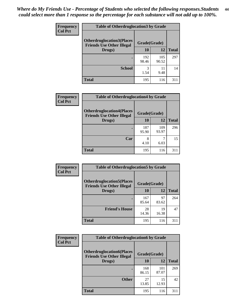| <b>Frequency</b> | <b>Table of Otherdruglocation3 by Grade</b>                          |              |              |              |
|------------------|----------------------------------------------------------------------|--------------|--------------|--------------|
| <b>Col Pct</b>   | <b>Otherdruglocation3(Places</b><br><b>Friends Use Other Illegal</b> | Grade(Grade) |              |              |
|                  | Drugs)                                                               | 10           | 12           | <b>Total</b> |
|                  |                                                                      | 192<br>98.46 | 105<br>90.52 | 297          |
|                  | <b>School</b>                                                        | 3<br>1.54    | 11<br>9.48   | 14           |
|                  | <b>Total</b>                                                         | 195          | 116          | 311          |

| <b>Frequency</b> | <b>Table of Otherdruglocation4 by Grade</b>                          |              |              |              |
|------------------|----------------------------------------------------------------------|--------------|--------------|--------------|
| <b>Col Pct</b>   | <b>Otherdruglocation4(Places</b><br><b>Friends Use Other Illegal</b> | Grade(Grade) |              |              |
|                  | Drugs)                                                               | 10           | 12           | <b>Total</b> |
|                  |                                                                      | 187<br>95.90 | 109<br>93.97 | 296          |
|                  | Car                                                                  | 8<br>4.10    | 6.03         | 15           |
|                  | <b>Total</b>                                                         | 195          | 116          | 311          |

| <b>Frequency</b> | <b>Table of Otherdruglocation5 by Grade</b>                          |              |             |              |
|------------------|----------------------------------------------------------------------|--------------|-------------|--------------|
| <b>Col Pct</b>   | <b>Otherdruglocation5(Places</b><br><b>Friends Use Other Illegal</b> | Grade(Grade) |             |              |
|                  | Drugs)                                                               | <b>10</b>    | 12          | <b>Total</b> |
|                  |                                                                      | 167<br>85.64 | 97<br>83.62 | 264          |
|                  | <b>Friend's House</b>                                                | 28<br>14.36  | 19<br>16.38 | 47           |
|                  | <b>Total</b>                                                         | 195          | 116         | 311          |

| <b>Frequency</b> | <b>Table of Otherdruglocation6 by Grade</b>                          |              |              |              |
|------------------|----------------------------------------------------------------------|--------------|--------------|--------------|
| <b>Col Pct</b>   | <b>Otherdruglocation6(Places</b><br><b>Friends Use Other Illegal</b> | Grade(Grade) |              |              |
|                  | Drugs)                                                               | 10           | 12           | <b>Total</b> |
|                  |                                                                      | 168<br>86.15 | 101<br>87.07 | 269          |
|                  | <b>Other</b>                                                         | 27<br>13.85  | 15<br>12.93  | 42           |
|                  | <b>Total</b>                                                         | 195          | 116          | 311          |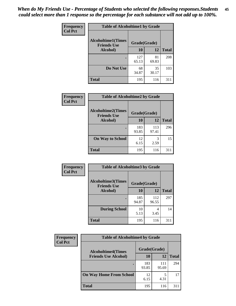| Frequency      | <b>Table of Alcoholtime1 by Grade</b>           |              |             |              |
|----------------|-------------------------------------------------|--------------|-------------|--------------|
| <b>Col Pct</b> | <b>Alcoholtime1(Times</b><br><b>Friends Use</b> | Grade(Grade) |             |              |
|                | Alcohol)                                        | 10           | 12          | <b>Total</b> |
|                |                                                 | 127<br>65.13 | 81<br>69.83 | 208          |
|                | Do Not Use                                      | 68<br>34.87  | 35<br>30.17 | 103          |
|                | <b>Total</b>                                    | 195          | 116         | 311          |

| Frequency<br><b>Col Pct</b> | <b>Table of Alcoholtime2 by Grade</b>           |              |              |              |
|-----------------------------|-------------------------------------------------|--------------|--------------|--------------|
|                             | <b>Alcoholtime2(Times</b><br><b>Friends Use</b> | Grade(Grade) |              |              |
|                             | Alcohol)                                        | 10           | 12           | <b>Total</b> |
|                             |                                                 | 183<br>93.85 | 113<br>97.41 | 296          |
|                             | <b>On Way to School</b>                         | 12<br>6.15   | 3<br>2.59    | 15           |
|                             | <b>Total</b>                                    | 195          | 116          | 311          |

| Frequency      | <b>Table of Alcoholtime3 by Grade</b>           |              |              |              |
|----------------|-------------------------------------------------|--------------|--------------|--------------|
| <b>Col Pct</b> | <b>Alcoholtime3(Times</b><br><b>Friends Use</b> | Grade(Grade) |              |              |
|                | Alcohol)                                        | 10           | 12           | <b>Total</b> |
|                |                                                 | 185<br>94.87 | 112<br>96.55 | 297          |
|                | <b>During School</b>                            | 10<br>5.13   | 4<br>3.45    | 14           |
|                | <b>Total</b>                                    | 195          | 116          | 311          |

| <b>Frequency</b> | <b>Table of Alcoholtime4 by Grade</b> |              |              |              |
|------------------|---------------------------------------|--------------|--------------|--------------|
| <b>Col Pct</b>   | <b>Alcoholtime4(Times</b>             | Grade(Grade) |              |              |
|                  | <b>Friends Use Alcohol)</b>           | 10           | 12           | <b>Total</b> |
|                  |                                       | 183<br>93.85 | 111<br>95.69 | 294          |
|                  | <b>On Way Home From School</b>        | 12<br>6.15   | 4.31         | 17           |
|                  | <b>Total</b>                          | 195          | 116          | 311          |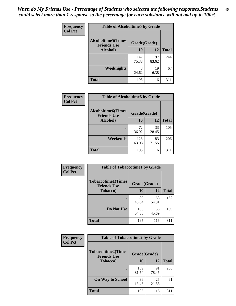*When do My Friends Use - Percentage of Students who selected the following responses.Students could select more than 1 response so the percentage for each substance will not add up to 100%.* **46**

| Frequency      | <b>Table of Alcoholtime5 by Grade</b>           |              |             |              |
|----------------|-------------------------------------------------|--------------|-------------|--------------|
| <b>Col Pct</b> | <b>Alcoholtime5(Times</b><br><b>Friends Use</b> | Grade(Grade) |             |              |
|                | Alcohol)                                        | 10           | 12          | <b>Total</b> |
|                |                                                 | 147<br>75.38 | 97<br>83.62 | 244          |
|                | Weeknights                                      | 48<br>24.62  | 19<br>16.38 | 67           |
|                | <b>Total</b>                                    | 195          | 116         | 311          |

| <b>Frequency</b> |                                                 | <b>Table of Alcoholtime6 by Grade</b> |             |              |  |  |
|------------------|-------------------------------------------------|---------------------------------------|-------------|--------------|--|--|
| <b>Col Pct</b>   | <b>Alcoholtime6(Times</b><br><b>Friends Use</b> | Grade(Grade)                          |             |              |  |  |
|                  | Alcohol)                                        | 10                                    | 12          | <b>Total</b> |  |  |
|                  |                                                 | 72<br>36.92                           | 33<br>28.45 | 105          |  |  |
|                  | Weekends                                        | 123<br>63.08                          | 83<br>71.55 | 206          |  |  |
|                  | <b>Total</b>                                    | 195                                   | 116         | 311          |  |  |

| Frequency      | <b>Table of Tobaccotime1 by Grade</b>           |              |             |              |
|----------------|-------------------------------------------------|--------------|-------------|--------------|
| <b>Col Pct</b> | <b>Tobaccotime1(Times</b><br><b>Friends Use</b> | Grade(Grade) |             |              |
|                | <b>Tobacco</b> )                                | 10           | 12          | <b>Total</b> |
|                |                                                 | 89<br>45.64  | 63<br>54.31 | 152          |
|                | Do Not Use                                      | 106<br>54.36 | 53<br>45.69 | 159          |
|                | <b>Total</b>                                    | 195          | 116         | 311          |

| <b>Frequency</b> | <b>Table of Tobaccotime2 by Grade</b>           |              |             |              |  |
|------------------|-------------------------------------------------|--------------|-------------|--------------|--|
| <b>Col Pct</b>   | <b>Tobaccotime2(Times</b><br><b>Friends Use</b> | Grade(Grade) |             |              |  |
|                  | <b>Tobacco</b> )                                | 10           | 12          | <b>Total</b> |  |
|                  |                                                 | 159<br>81.54 | 91<br>78.45 | 250          |  |
|                  | <b>On Way to School</b>                         | 36<br>18.46  | 25<br>21.55 | 61           |  |
|                  | <b>Total</b>                                    | 195          | 116         | 311          |  |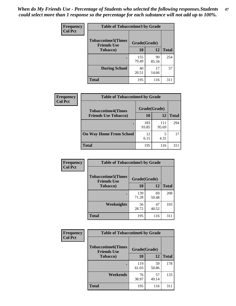*When do My Friends Use - Percentage of Students who selected the following responses.Students could select more than 1 response so the percentage for each substance will not add up to 100%.* **47**

| <b>Frequency</b> | <b>Table of Tobaccotime3 by Grade</b>           |              |             |              |  |
|------------------|-------------------------------------------------|--------------|-------------|--------------|--|
| <b>Col Pct</b>   | <b>Tobaccotime3(Times</b><br><b>Friends Use</b> | Grade(Grade) |             |              |  |
|                  | <b>Tobacco</b> )                                | 10           | 12          | <b>Total</b> |  |
|                  |                                                 | 155<br>79.49 | 99<br>85.34 | 254          |  |
|                  | <b>During School</b>                            | 40<br>20.51  | 17<br>14.66 | 57           |  |
|                  | <b>Total</b>                                    | 195          | 116         | 311          |  |

| <b>Frequency</b> | <b>Table of Tobaccotime4 by Grade</b> |              |              |              |
|------------------|---------------------------------------|--------------|--------------|--------------|
| <b>Col Pct</b>   | <b>Tobaccotime4(Times</b>             | Grade(Grade) |              |              |
|                  | <b>Friends Use Tobacco)</b>           | 10           | 12           | <b>Total</b> |
|                  |                                       | 183<br>93.85 | 111<br>95.69 | 294          |
|                  | <b>On Way Home From School</b>        | 12<br>6.15   | 5<br>4.31    | 17           |
|                  | <b>Total</b>                          | 195          | 116          | 311          |

| Frequency      | <b>Table of Tobaccotime5 by Grade</b>            |              |             |              |  |
|----------------|--------------------------------------------------|--------------|-------------|--------------|--|
| <b>Col Pct</b> | <b>Tobaccotime5</b> (Times<br><b>Friends Use</b> | Grade(Grade) |             |              |  |
|                | <b>Tobacco</b> )                                 | 10           | 12          | <b>Total</b> |  |
|                |                                                  | 139<br>71.28 | 69<br>59.48 | 208          |  |
|                | Weeknights                                       | 56<br>28.72  | 47<br>40.52 | 103          |  |
|                | <b>Total</b>                                     | 195          | 116         | 311          |  |

| Frequency<br><b>Col Pct</b> | <b>Table of Tobaccotime6 by Grade</b>           |              |             |              |  |
|-----------------------------|-------------------------------------------------|--------------|-------------|--------------|--|
|                             | <b>Tobaccotime6(Times</b><br><b>Friends Use</b> | Grade(Grade) |             |              |  |
|                             | <b>Tobacco</b> )                                | 10           | 12          | <b>Total</b> |  |
|                             |                                                 | 119<br>61.03 | 59<br>50.86 | 178          |  |
|                             | Weekends                                        | 76<br>38.97  | 57<br>49.14 | 133          |  |
|                             | <b>Total</b>                                    | 195          | 116         | 311          |  |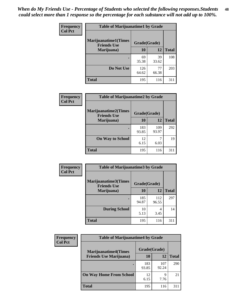| Frequency      | <b>Table of Marijuanatime1 by Grade</b>           |              |             |              |
|----------------|---------------------------------------------------|--------------|-------------|--------------|
| <b>Col Pct</b> | <b>Marijuanatime1(Times</b><br><b>Friends Use</b> | Grade(Grade) |             |              |
|                | Marijuana)                                        | 10           | 12          | <b>Total</b> |
|                |                                                   | 69<br>35.38  | 39<br>33.62 | 108          |
|                | Do Not Use                                        | 126<br>64.62 | 77<br>66.38 | 203          |
|                | <b>Total</b>                                      | 195          | 116         | 311          |

| <b>Frequency</b> | <b>Table of Marijuanatime2 by Grade</b>           |              |              |              |
|------------------|---------------------------------------------------|--------------|--------------|--------------|
| <b>Col Pct</b>   | <b>Marijuanatime2(Times</b><br><b>Friends Use</b> | Grade(Grade) |              |              |
|                  | Marijuana)                                        | 10           | 12           | <b>Total</b> |
|                  |                                                   | 183<br>93.85 | 109<br>93.97 | 292          |
|                  | <b>On Way to School</b>                           | 12<br>6.15   | 6.03         | 19           |
|                  | <b>Total</b>                                      | 195          | 116          | 311          |

| Frequency      | <b>Table of Marijuanatime3 by Grade</b>    |              |              |              |  |
|----------------|--------------------------------------------|--------------|--------------|--------------|--|
| <b>Col Pct</b> | Marijuanatime3(Times<br><b>Friends Use</b> | Grade(Grade) |              |              |  |
|                | Marijuana)                                 | 10           | 12           | <b>Total</b> |  |
|                |                                            | 185<br>94.87 | 112<br>96.55 | 297          |  |
|                | <b>During School</b>                       | 10<br>5.13   | 4<br>3.45    | 14           |  |
|                | <b>Total</b>                               | 195          | 116          | 311          |  |

| <b>Frequency</b><br><b>Col Pct</b> | <b>Table of Marijuanatime4 by Grade</b> |              |              |              |
|------------------------------------|-----------------------------------------|--------------|--------------|--------------|
|                                    | <b>Marijuanatime4</b> (Times            | Grade(Grade) |              |              |
|                                    | <b>Friends Use Marijuana</b> )          | 10           | 12           | <b>Total</b> |
|                                    |                                         | 183<br>93.85 | 107<br>92.24 | 290          |
|                                    | <b>On Way Home From School</b>          | 12<br>6.15   | 9<br>7.76    | 21           |
|                                    | <b>Total</b>                            | 195          | 116          | 311          |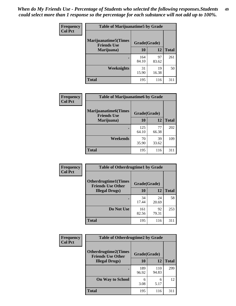| Frequency      | <b>Table of Marijuanatime5 by Grade</b>            |              |             |              |
|----------------|----------------------------------------------------|--------------|-------------|--------------|
| <b>Col Pct</b> | <b>Marijuanatime5</b> (Times<br><b>Friends Use</b> | Grade(Grade) |             |              |
|                | Marijuana)                                         | 10           | 12          | <b>Total</b> |
|                |                                                    | 164<br>84.10 | 97<br>83.62 | 261          |
|                | Weeknights                                         | 31<br>15.90  | 19<br>16.38 | 50           |
|                | <b>Total</b>                                       | 195          | 116         | 311          |

| Frequency      | <b>Table of Marijuanatime6 by Grade</b>            |              |             |              |  |  |
|----------------|----------------------------------------------------|--------------|-------------|--------------|--|--|
| <b>Col Pct</b> | <b>Marijuanatime6</b> (Times<br><b>Friends Use</b> | Grade(Grade) |             |              |  |  |
|                | Marijuana)                                         | 10           | 12          | <b>Total</b> |  |  |
|                |                                                    | 125<br>64.10 | 77<br>66.38 | 202          |  |  |
|                | Weekends                                           | 70<br>35.90  | 39<br>33.62 | 109          |  |  |
|                | <b>Total</b>                                       | 195          | 116         | 311          |  |  |

| Frequency      | <b>Table of Otherdrugtime1 by Grade</b>                 |              |             |              |  |
|----------------|---------------------------------------------------------|--------------|-------------|--------------|--|
| <b>Col Pct</b> | <b>Otherdrugtime1(Times</b><br><b>Friends Use Other</b> | Grade(Grade) |             |              |  |
|                | <b>Illegal Drugs</b> )                                  | 10           | 12          | <b>Total</b> |  |
|                |                                                         | 34<br>17.44  | 24<br>20.69 | 58           |  |
|                | Do Not Use                                              | 161<br>82.56 | 92<br>79.31 | 253          |  |
|                | Total                                                   | 195          | 116         | 311          |  |

| Frequency      | <b>Table of Otherdrugtime2 by Grade</b>                 |              |              |              |  |  |  |  |
|----------------|---------------------------------------------------------|--------------|--------------|--------------|--|--|--|--|
| <b>Col Pct</b> | <b>Otherdrugtime2(Times</b><br><b>Friends Use Other</b> | Grade(Grade) |              |              |  |  |  |  |
|                | <b>Illegal Drugs</b> )                                  | 10           | 12           | <b>Total</b> |  |  |  |  |
|                |                                                         | 189<br>96.92 | 110<br>94.83 | 299          |  |  |  |  |
|                | <b>On Way to School</b>                                 | 6<br>3.08    | 6<br>5.17    | 12           |  |  |  |  |
|                | <b>Total</b>                                            | 195          | 116          | 311          |  |  |  |  |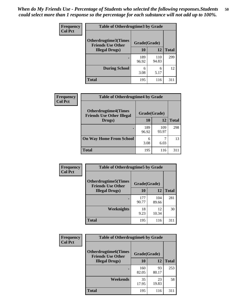| <b>Frequency</b><br><b>Col Pct</b> | <b>Table of Otherdrugtime3 by Grade</b>                 |              |              |              |  |  |  |
|------------------------------------|---------------------------------------------------------|--------------|--------------|--------------|--|--|--|
|                                    | <b>Otherdrugtime3(Times</b><br><b>Friends Use Other</b> | Grade(Grade) |              |              |  |  |  |
|                                    | <b>Illegal Drugs</b> )                                  | 10           | 12           | <b>Total</b> |  |  |  |
|                                    |                                                         | 189<br>96.92 | 110<br>94.83 | 299          |  |  |  |
|                                    | <b>During School</b>                                    | 6<br>3.08    | 6<br>5.17    | 12           |  |  |  |
|                                    | Total                                                   | 195          | 116          | 311          |  |  |  |

| Frequency      | <b>Table of Otherdrugtime4 by Grade</b>                         |              |              |              |  |  |  |
|----------------|-----------------------------------------------------------------|--------------|--------------|--------------|--|--|--|
| <b>Col Pct</b> | <b>Otherdrugtime4(Times</b><br><b>Friends Use Other Illegal</b> | Grade(Grade) |              |              |  |  |  |
|                | Drugs)                                                          | 10           | 12           | <b>Total</b> |  |  |  |
|                | ٠                                                               | 189<br>96.92 | 109<br>93.97 | 298          |  |  |  |
|                | <b>On Way Home From School</b>                                  | 6<br>3.08    | 6.03         | 13           |  |  |  |
|                | <b>Total</b>                                                    | 195          | 116          | 311          |  |  |  |

| <b>Frequency</b> | <b>Table of Otherdrugtime5 by Grade</b>                  |              |              |              |  |  |  |
|------------------|----------------------------------------------------------|--------------|--------------|--------------|--|--|--|
| <b>Col Pct</b>   | <b>Otherdrugtime5</b> (Times<br><b>Friends Use Other</b> | Grade(Grade) |              |              |  |  |  |
|                  | <b>Illegal Drugs</b> )                                   | 10           | 12           | <b>Total</b> |  |  |  |
|                  |                                                          | 177<br>90.77 | 104<br>89.66 | 281          |  |  |  |
|                  | Weeknights                                               | 18<br>9.23   | 12<br>10.34  | 30           |  |  |  |
|                  | Total                                                    | 195          | 116          | 311          |  |  |  |

| <b>Frequency</b> | <b>Table of Otherdrugtime6 by Grade</b>                 |              |             |              |  |  |  |
|------------------|---------------------------------------------------------|--------------|-------------|--------------|--|--|--|
| <b>Col Pct</b>   | <b>Otherdrugtime6(Times</b><br><b>Friends Use Other</b> | Grade(Grade) |             |              |  |  |  |
|                  | <b>Illegal Drugs</b> )                                  | 10           | 12          | <b>Total</b> |  |  |  |
|                  |                                                         | 160<br>82.05 | 93<br>80.17 | 253          |  |  |  |
|                  | Weekends                                                | 35<br>17.95  | 23<br>19.83 | 58           |  |  |  |
|                  | <b>Total</b>                                            | 195          | 116         | 311          |  |  |  |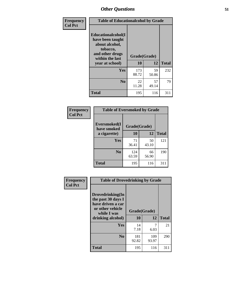| Frequency      | <b>Table of Educationalcohol by Grade</b>                                                                  |              |             |              |  |  |
|----------------|------------------------------------------------------------------------------------------------------------|--------------|-------------|--------------|--|--|
| <b>Col Pct</b> | Educationalcohol(I<br>have been taught<br>about alcohol,<br>tobacco,<br>and other drugs<br>within the last | Grade(Grade) |             |              |  |  |
|                | year at school)                                                                                            | 10           | 12          | <b>Total</b> |  |  |
|                | <b>Yes</b>                                                                                                 | 173<br>88.72 | 59<br>50.86 | 232          |  |  |
|                | N <sub>0</sub>                                                                                             | 22<br>11.28  | 57<br>49.14 | 79           |  |  |
|                | <b>Total</b>                                                                                               | 195          | 116         | 311          |  |  |

| Frequency      | <b>Table of Eversmoked by Grade</b> |              |             |              |  |  |  |
|----------------|-------------------------------------|--------------|-------------|--------------|--|--|--|
| <b>Col Pct</b> | Eversmoked(I<br>have smoked         | Grade(Grade) |             |              |  |  |  |
|                | a cigarette)                        | 10           | 12          | <b>Total</b> |  |  |  |
|                | <b>Yes</b>                          | 71<br>36.41  | 50<br>43.10 | 121          |  |  |  |
|                | N <sub>0</sub>                      | 124<br>63.59 | 66<br>56.90 | 190          |  |  |  |
|                | <b>Total</b>                        | 195          | 116         | 311          |  |  |  |

| Frequency      | <b>Table of Drovedrinking by Grade</b>                                                                              |                    |              |     |  |  |
|----------------|---------------------------------------------------------------------------------------------------------------------|--------------------|--------------|-----|--|--|
| <b>Col Pct</b> | Drovedrinking(In<br>the past 30 days I<br>have driven a car<br>or other vehicle<br>while I was<br>drinking alcohol) | Grade(Grade)<br>10 | <b>Total</b> |     |  |  |
|                | <b>Yes</b>                                                                                                          | 14<br>7.18         | 6.03         | 21  |  |  |
|                | N <sub>0</sub>                                                                                                      | 181<br>92.82       | 109<br>93.97 | 290 |  |  |
|                | <b>Total</b>                                                                                                        | 195                | 116          | 311 |  |  |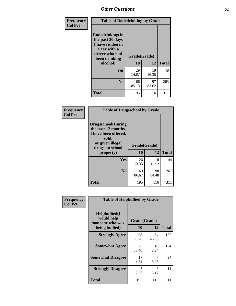| Frequency<br><b>Col Pct</b> | <b>Table of Rodedrinking by Grade</b>                                                                      |              |             |              |  |  |
|-----------------------------|------------------------------------------------------------------------------------------------------------|--------------|-------------|--------------|--|--|
|                             | Rodedrinking(In<br>the past 30 days<br>I have ridden in<br>a car with a<br>driver who had<br>been drinking | Grade(Grade) |             |              |  |  |
|                             | alcohol)                                                                                                   | 10           | 12          | <b>Total</b> |  |  |
|                             | <b>Yes</b>                                                                                                 | 29<br>14.87  | 19<br>16.38 | 48           |  |  |
|                             | N <sub>0</sub>                                                                                             | 166<br>85.13 | 97<br>83.62 | 263          |  |  |
|                             | <b>Total</b>                                                                                               | 195          | 116         | 311          |  |  |

#### **Frequency Col Pct**

| <b>Table of Drugsschool by Grade</b>                                                                                      |              |             |              |  |  |  |
|---------------------------------------------------------------------------------------------------------------------------|--------------|-------------|--------------|--|--|--|
| <b>Drugsschool</b> (During<br>the past 12 months,<br>I have been offered,<br>sold,<br>or given illegal<br>drugs on school | Grade(Grade) |             |              |  |  |  |
| property)                                                                                                                 | 10           | 12          | <b>Total</b> |  |  |  |
| Yes                                                                                                                       | 26<br>13.33  | 18<br>15.52 | 44           |  |  |  |
| N <sub>0</sub>                                                                                                            | 169<br>86.67 | 98<br>84.48 | 267          |  |  |  |
| <b>Total</b>                                                                                                              | 195          | 116         | 311          |  |  |  |

| Frequency      | <b>Table of Helpbullied by Grade</b>           |              |             |              |  |  |  |  |
|----------------|------------------------------------------------|--------------|-------------|--------------|--|--|--|--|
| <b>Col Pct</b> | Helpbullied(I<br>would help<br>someone who was | Grade(Grade) |             |              |  |  |  |  |
|                | being bullied)                                 | <b>10</b>    | 12          | <b>Total</b> |  |  |  |  |
|                | <b>Strongly Agree</b>                          | 98<br>50.26  | 54<br>46.55 | 152          |  |  |  |  |
|                | <b>Somewhat Agree</b>                          | 75<br>38.46  | 49<br>42.24 | 124          |  |  |  |  |
|                | <b>Somewhat Disagree</b>                       | 17<br>8.72   | 7<br>6.03   | 24           |  |  |  |  |
|                | <b>Strongly Disagree</b>                       | 5<br>2.56    | 6<br>5.17   | 11           |  |  |  |  |
|                | <b>Total</b>                                   | 195          | 116         | 311          |  |  |  |  |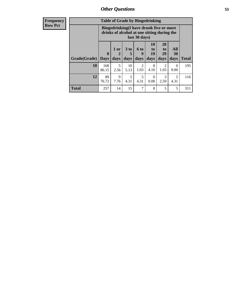| <b>Frequency</b> | <b>Table of Grade by Bingedrinking</b> |                                                                                                         |                             |                              |                   |                               |                                    |                                  |              |
|------------------|----------------------------------------|---------------------------------------------------------------------------------------------------------|-----------------------------|------------------------------|-------------------|-------------------------------|------------------------------------|----------------------------------|--------------|
| <b>Row Pct</b>   |                                        | Bingedrinking(I have drunk five or more<br>drinks of alcohol at one sitting during the<br>last 30 days) |                             |                              |                   |                               |                                    |                                  |              |
|                  | Grade(Grade)                           | $\mathbf{0}$<br><b>Days</b>                                                                             | 1 or<br>$\mathbf 2$<br>days | 3 <sub>to</sub><br>5<br>days | 6 to<br>9<br>days | <b>10</b><br>to<br>19<br>days | 20<br>t <sub>0</sub><br>29<br>days | All<br>30<br>days                | <b>Total</b> |
|                  | 10                                     | 168<br>86.15                                                                                            | 5<br>2.56                   | 10<br>5.13                   | 2<br>1.03         | 8<br>4.10                     | 2<br>1.03                          | $\theta$<br>0.00                 | 195          |
|                  | 12                                     | 89<br>76.72                                                                                             | 9<br>7.76                   | 5<br>4.31                    | 5<br>4.31         | $\Omega$<br>0.00              | 3<br>2.59                          | $\overline{\phantom{1}}$<br>4.31 | 116          |
|                  | <b>Total</b>                           | 257                                                                                                     | 14                          | 15                           | 7                 | 8                             | 5                                  | 5                                | 311          |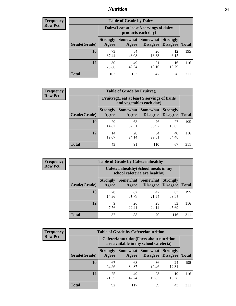### *Nutrition* **54**

| <b>Frequency</b><br>Row Pct |
|-----------------------------|
|                             |

| <b>Table of Grade by Dairy</b> |                          |                                                                 |                                    |                                    |              |
|--------------------------------|--------------------------|-----------------------------------------------------------------|------------------------------------|------------------------------------|--------------|
|                                |                          | Dairy (I eat at least 3 servings of dairy<br>products each day) |                                    |                                    |              |
| Grade(Grade)                   | <b>Strongly</b><br>Agree | Somewhat<br>Agree                                               | <b>Somewhat</b><br><b>Disagree</b> | <b>Strongly</b><br><b>Disagree</b> | <b>Total</b> |
| 10                             | 73<br>37.44              | 84<br>43.08                                                     | 26<br>13.33                        | 12<br>6.15                         | 195          |
| 12                             | 30<br>25.86              | 49<br>42.24                                                     | 21<br>18.10                        | 16<br>13.79                        | 116          |
| <b>Total</b>                   | 103                      | 133                                                             | 47                                 | 28                                 | 311          |

| <b>Frequency</b> |  |
|------------------|--|
| <b>Row Pct</b>   |  |

| <b>Table of Grade by Fruitveg</b> |                          |                                                                          |                                 |                                    |              |
|-----------------------------------|--------------------------|--------------------------------------------------------------------------|---------------------------------|------------------------------------|--------------|
|                                   |                          | Fruitveg(I eat at least 5 servings of fruits<br>and vegetables each day) |                                 |                                    |              |
| Grade(Grade)                      | <b>Strongly</b><br>Agree | Agree                                                                    | Somewhat   Somewhat<br>Disagree | <b>Strongly</b><br><b>Disagree</b> | <b>Total</b> |
| 10                                | 29<br>14.87              | 63<br>32.31                                                              | 76<br>38.97                     | 27<br>13.85                        | 195          |
| 12                                | 14<br>12.07              | 28<br>24.14                                                              | 34<br>29.31                     | 40<br>34.48                        | 116          |
| <b>Total</b>                      | 43                       | 91                                                                       | 110                             | 67                                 | 311          |

| <b>Frequency</b><br>Row Pct |
|-----------------------------|

| <b>Table of Grade by Cafeteriahealthy</b> |                          |                                                                       |                             |                                    |              |  |
|-------------------------------------------|--------------------------|-----------------------------------------------------------------------|-----------------------------|------------------------------------|--------------|--|
|                                           |                          | Cafeteriahealthy (School meals in my<br>school cafeteria are healthy) |                             |                                    |              |  |
| Grade(Grade)                              | <b>Strongly</b><br>Agree | Somewhat  <br>Agree                                                   | <b>Somewhat</b><br>Disagree | <b>Strongly</b><br><b>Disagree</b> | <b>Total</b> |  |
| 10                                        | 28<br>14.36              | 62<br>31.79                                                           | 42<br>21.54                 | 63<br>32.31                        | 195          |  |
| 12                                        | 9<br>7.76                | 26<br>22.41                                                           | 28<br>24.14                 | 53<br>45.69                        | 116          |  |
| Total                                     | 37                       | 88                                                                    | 70                          | 116                                | 311          |  |

**Frequency Row Pct**

| <b>Table of Grade by Cafeterianutrition</b> |              |                                                                                           |             |                                   |                                    |              |
|---------------------------------------------|--------------|-------------------------------------------------------------------------------------------|-------------|-----------------------------------|------------------------------------|--------------|
|                                             |              | <b>Cafeterianutrition</b> (Facts about nutrition<br>are available in my school cafeteria) |             |                                   |                                    |              |
|                                             | Grade(Grade) | <b>Strongly</b><br>Agree                                                                  | Agree       | Somewhat   Somewhat  <br>Disagree | <b>Strongly</b><br><b>Disagree</b> | <b>Total</b> |
|                                             | 10           | 67<br>34.36                                                                               | 68<br>34.87 | 36<br>18.46                       | 24<br>12.31                        | 195          |
|                                             | 12           | 25<br>21.55                                                                               | 49<br>42.24 | 23<br>19.83                       | 19<br>16.38                        | 116          |
|                                             | <b>Total</b> | 92                                                                                        | 117         | 59                                | 43                                 | 311          |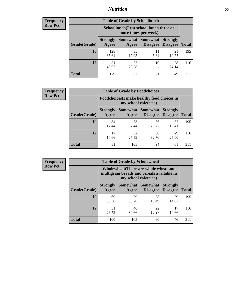### *Nutrition* **55**

| Frequency      |
|----------------|
| <b>Row Pct</b> |

| <b>Table of Grade by Schoollunch</b> |                          |                                                                 |                                      |                                    |              |  |
|--------------------------------------|--------------------------|-----------------------------------------------------------------|--------------------------------------|------------------------------------|--------------|--|
|                                      |                          | Schoollunch(I eat school lunch three or<br>more times per week) |                                      |                                    |              |  |
| Grade(Grade)                         | <b>Strongly</b><br>Agree | Agree                                                           | Somewhat Somewhat<br><b>Disagree</b> | <b>Strongly</b><br><b>Disagree</b> | <b>Total</b> |  |
| 10                                   | 128<br>65.64             | 35<br>17.95                                                     | 11<br>5.64                           | 21<br>10.77                        | 195          |  |
| 12                                   | 51<br>43.97              | 27<br>23.28                                                     | 10<br>8.62                           | 28<br>24.14                        | 116          |  |
| <b>Total</b>                         | 179                      | 62                                                              | 21                                   | 49                                 | 311          |  |

| <b>Frequency</b> |  |
|------------------|--|
| <b>Row Pct</b>   |  |

| <b>Table of Grade by Foodchoices</b> |                          |                                                                            |                                   |                                    |              |  |
|--------------------------------------|--------------------------|----------------------------------------------------------------------------|-----------------------------------|------------------------------------|--------------|--|
|                                      |                          | <b>Foodchoices</b> (I make healthy food choices in<br>my school cafeteria) |                                   |                                    |              |  |
| Grade(Grade)                         | <b>Strongly</b><br>Agree | Agree                                                                      | Somewhat   Somewhat  <br>Disagree | <b>Strongly</b><br><b>Disagree</b> | <b>Total</b> |  |
| 10                                   | 34<br>17.44              | 73<br>37.44                                                                | 56<br>28.72                       | 32<br>16.41                        | 195          |  |
| 12                                   | 17<br>14.66              | 32<br>27.59                                                                | 38<br>32.76                       | 29<br>25.00                        | 116          |  |
| <b>Total</b>                         | 51                       | 105                                                                        | 94                                | 61                                 | 311          |  |

| <b>Frequency</b><br><b>Row Pct</b> |
|------------------------------------|
|                                    |

п

| <b>Table of Grade by Wholewheat</b> |                                                                                                             |             |                                          |                                    |              |  |
|-------------------------------------|-------------------------------------------------------------------------------------------------------------|-------------|------------------------------------------|------------------------------------|--------------|--|
|                                     | Wholewheat (There are whole wheat and<br>multigrain breads and cereals available in<br>my school cafeteria) |             |                                          |                                    |              |  |
| Grade(Grade)                        | <b>Strongly</b><br>Agree                                                                                    | Agree       | Somewhat   Somewhat  <br><b>Disagree</b> | <b>Strongly</b><br><b>Disagree</b> | <b>Total</b> |  |
| 10                                  | 69<br>35.38                                                                                                 | 59<br>30.26 | 38<br>19.49                              | 29<br>14.87                        | 195          |  |
| 12                                  | 31<br>26.72                                                                                                 | 46<br>39.66 | 22<br>18.97                              | 17<br>14.66                        | 116          |  |
| Total                               | 100                                                                                                         | 105         | 60                                       | 46                                 | 311          |  |

÷,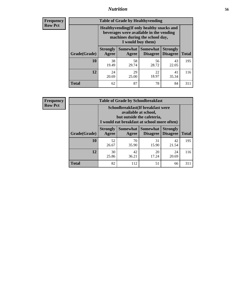### *Nutrition* **56**

**Frequency Row Pct**

| <b>Table of Grade by Healthyvending</b> |                                                                                                                                               |                     |                                    |                                    |              |  |
|-----------------------------------------|-----------------------------------------------------------------------------------------------------------------------------------------------|---------------------|------------------------------------|------------------------------------|--------------|--|
|                                         | Healthyvending (If only healthy snacks and<br>beverages were available in the vending<br>machines during the school day,<br>I would buy them) |                     |                                    |                                    |              |  |
| Grade(Grade)                            | <b>Strongly</b><br>Agree                                                                                                                      | Somewhat  <br>Agree | <b>Somewhat</b><br><b>Disagree</b> | <b>Strongly</b><br><b>Disagree</b> | <b>Total</b> |  |
| 10                                      | 38<br>19.49                                                                                                                                   | 58<br>29.74         | 56<br>28.72                        | 43<br>22.05                        | 195          |  |
| 12                                      | 24<br>20.69                                                                                                                                   | 29<br>25.00         | 22<br>18.97                        | 41<br>35.34                        | 116          |  |
| <b>Total</b>                            | 62                                                                                                                                            | 87                  | 78                                 | 84                                 | 311          |  |

**Frequency Row Pct**

| <b>Table of Grade by Schoolbreakfast</b> |                                                                                                                                         |             |                                        |                                    |              |  |
|------------------------------------------|-----------------------------------------------------------------------------------------------------------------------------------------|-------------|----------------------------------------|------------------------------------|--------------|--|
|                                          | Schoolbreakfast (If breakfast were<br>available at school,<br>but outside the cafeteria,<br>I would eat breakfast at school more often) |             |                                        |                                    |              |  |
| Grade(Grade)                             | <b>Strongly</b><br>Agree                                                                                                                | Agree       | Somewhat   Somewhat<br><b>Disagree</b> | <b>Strongly</b><br><b>Disagree</b> | <b>Total</b> |  |
| 10                                       | 52<br>26.67                                                                                                                             | 70<br>35.90 | 31<br>15.90                            | 42<br>21.54                        | 195          |  |
| 12                                       | 30<br>25.86                                                                                                                             | 42<br>36.21 | 20<br>17.24                            | 24<br>20.69                        | 116          |  |
| <b>Total</b>                             | 82                                                                                                                                      | 112         | 51                                     | 66                                 | 311          |  |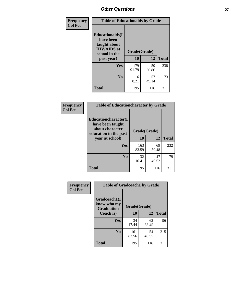| Frequency<br><b>Col Pct</b> | <b>Table of Educationaids by Grade</b>                                                                    |                    |             |              |
|-----------------------------|-----------------------------------------------------------------------------------------------------------|--------------------|-------------|--------------|
|                             | <b>Educationaids</b> (I<br>have been<br>taught about<br><b>HIV/AIDS</b> at<br>school in the<br>past year) | Grade(Grade)<br>10 | 12          | <b>Total</b> |
|                             | Yes                                                                                                       | 179<br>91.79       | 59<br>50.86 | 238          |
|                             | N <sub>0</sub>                                                                                            | 16<br>8.21         | 57<br>49.14 | 73           |
|                             | <b>Total</b>                                                                                              | 195                | 116         | 311          |

| Frequency      | <b>Table of Educationcharacter by Grade</b>                                                  |              |             |              |
|----------------|----------------------------------------------------------------------------------------------|--------------|-------------|--------------|
| <b>Col Pct</b> | <b>Educationcharacter(I)</b><br>have been taught<br>about character<br>education in the past | Grade(Grade) |             |              |
|                | year at school)                                                                              | 10           | 12          | <b>Total</b> |
|                | Yes                                                                                          | 163<br>83.59 | 69<br>59.48 | 232          |
|                | N <sub>0</sub>                                                                               | 32<br>16.41  | 47<br>40.52 | 79           |
|                | <b>Total</b>                                                                                 | 195          | 116         | 311          |

| Frequency      | <b>Table of Gradcoach1 by Grade</b>              |              |              |              |
|----------------|--------------------------------------------------|--------------|--------------|--------------|
| <b>Col Pct</b> | Gradcoach1(I<br>know who my<br><b>Graduation</b> |              | Grade(Grade) |              |
|                | Coach is)                                        | 10           | 12           | <b>Total</b> |
|                | Yes                                              | 34<br>17.44  | 62<br>53.45  | 96           |
|                | N <sub>0</sub>                                   | 161<br>82.56 | 54<br>46.55  | 215          |
|                | <b>Total</b>                                     | 195          | 116          | 311          |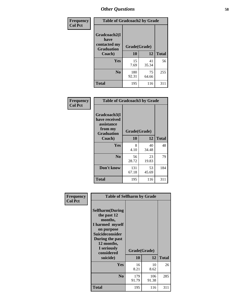| Frequency      | <b>Table of Gradcoach2 by Grade</b>       |              |             |              |
|----------------|-------------------------------------------|--------------|-------------|--------------|
| <b>Col Pct</b> | Gradcoach2(I                              |              |             |              |
|                | have<br>contacted my<br><b>Graduation</b> | Grade(Grade) |             |              |
|                | Coach)                                    | 10           | 12          | <b>Total</b> |
|                | Yes                                       | 15<br>7.69   | 41<br>35.34 | 56           |
|                | N <sub>0</sub>                            | 180<br>92.31 | 75<br>64.66 | 255          |
|                | <b>Total</b>                              | 195          | 116         | 311          |

| <b>Frequency</b><br><b>Col Pct</b> | <b>Table of Gradcoach3 by Grade</b>                                         |              |             |              |
|------------------------------------|-----------------------------------------------------------------------------|--------------|-------------|--------------|
|                                    | Gradcoach3(I<br>have received<br>assistance<br>from my<br><b>Graduation</b> | Grade(Grade) |             |              |
|                                    | Coach)                                                                      | 10           | 12          | <b>Total</b> |
|                                    | Yes                                                                         | 8<br>4.10    | 40<br>34.48 | 48           |
|                                    | N <sub>0</sub>                                                              | 56<br>28.72  | 23<br>19.83 | 79           |
|                                    | Don't know                                                                  | 131<br>67.18 | 53<br>45.69 | 184          |
|                                    | <b>Total</b>                                                                | 195          | 116         | 311          |

| Frequency      | <b>Table of Selfharm by Grade</b>                                                                                                                                                      |              |                    |              |
|----------------|----------------------------------------------------------------------------------------------------------------------------------------------------------------------------------------|--------------|--------------------|--------------|
| <b>Col Pct</b> | <b>Selfharm</b> (During<br>the past 12<br>months,<br>I harmed myself<br>on purpose<br><b>Suicideconsider</b><br>During the past<br>12 months,<br>I seriously<br>considered<br>suicide) | 10           | Grade(Grade)<br>12 | <b>Total</b> |
|                | Yes                                                                                                                                                                                    | 16<br>8.21   | 10<br>8.62         | 26           |
|                | N <sub>0</sub>                                                                                                                                                                         | 179<br>91.79 | 106<br>91.38       | 285          |
|                | <b>Total</b>                                                                                                                                                                           | 195          | 116                | 311          |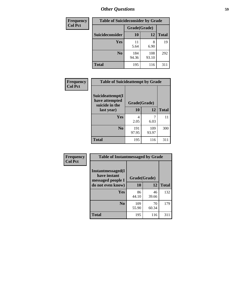| <b>Frequency</b> | <b>Table of Suicideconsider by Grade</b> |              |              |              |
|------------------|------------------------------------------|--------------|--------------|--------------|
| <b>Col Pct</b>   |                                          | Grade(Grade) |              |              |
|                  | Suicideconsider                          | <b>10</b>    | 12           | <b>Total</b> |
|                  | Yes                                      | 11<br>5.64   | 8<br>6.90    | 19           |
|                  | N <sub>0</sub>                           | 184<br>94.36 | 108<br>93.10 | 292          |
|                  | Total                                    | 195          | 116          | 311          |

| Frequency      | <b>Table of Suicideattempt by Grade</b>              |              |              |              |
|----------------|------------------------------------------------------|--------------|--------------|--------------|
| <b>Col Pct</b> | Suicideattempt(I<br>have attempted<br>suicide in the | Grade(Grade) |              |              |
|                | last year)                                           | 10           | 12           | <b>Total</b> |
|                | Yes                                                  | 4<br>2.05    | 6.03         | 11           |
|                | N <sub>0</sub>                                       | 191<br>97.95 | 109<br>93.97 | 300          |
|                | <b>Total</b>                                         | 195          | 116          | 311          |

| Frequency      | <b>Table of Instantmessaged by Grade</b>               |              |             |              |
|----------------|--------------------------------------------------------|--------------|-------------|--------------|
| <b>Col Pct</b> | Instantmessaged(I<br>have instant<br>messaged people I | Grade(Grade) |             |              |
|                | do not even know)                                      | 10           | 12          | <b>Total</b> |
|                | Yes                                                    | 86<br>44.10  | 46<br>39.66 | 132          |
|                | N <sub>0</sub>                                         | 109<br>55.90 | 70<br>60.34 | 179          |
|                | <b>Total</b>                                           | 195          | 116         | 311          |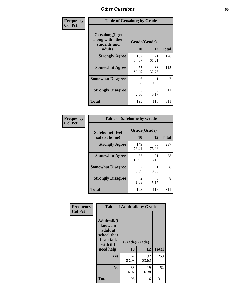| Frequency      | <b>Table of Getsalong by Grade</b>                          |              |             |              |  |  |  |
|----------------|-------------------------------------------------------------|--------------|-------------|--------------|--|--|--|
| <b>Col Pct</b> | <b>Getsalong</b> (I get<br>along with other<br>students and | Grade(Grade) |             |              |  |  |  |
|                | adults)                                                     | 10           | 12          | <b>Total</b> |  |  |  |
|                | <b>Strongly Agree</b>                                       | 107<br>54.87 | 71<br>61.21 | 178          |  |  |  |
|                | <b>Somewhat Agree</b>                                       | 77<br>39.49  | 38<br>32.76 | 115          |  |  |  |
|                | <b>Somewhat Disagree</b>                                    | 6<br>3.08    | 0.86        | 7            |  |  |  |
|                | <b>Strongly Disagree</b>                                    | 5<br>2.56    | 6<br>5.17   | 11           |  |  |  |
|                | <b>Total</b>                                                | 195          | 116         | 311          |  |  |  |

| Frequency      | <b>Table of Safehome by Grade</b> |                           |             |              |  |  |
|----------------|-----------------------------------|---------------------------|-------------|--------------|--|--|
| <b>Col Pct</b> | Safehome(I feel<br>safe at home)  | Grade(Grade)<br><b>10</b> | 12          | <b>Total</b> |  |  |
|                | <b>Strongly Agree</b>             | 149<br>76.41              | 88<br>75.86 | 237          |  |  |
|                | <b>Somewhat Agree</b>             | 37<br>18.97               | 21<br>18.10 | 58           |  |  |
|                | <b>Somewhat Disagree</b>          | 3.59                      | 0.86        | 8            |  |  |
|                | <b>Strongly Disagree</b>          | $\mathfrak{D}$<br>1.03    | 6<br>5.17   | 8            |  |  |
|                | <b>Total</b>                      | 195                       | 116         | 311          |  |  |

| Frequency      |                                                                                                    | <b>Table of Adulttalk by Grade</b> |             |              |
|----------------|----------------------------------------------------------------------------------------------------|------------------------------------|-------------|--------------|
| <b>Col Pct</b> | <b>Adulttalk</b> (I<br>know an<br>adult at<br>school that<br>I can talk<br>with if I<br>need help) | Grade(Grade)<br>10                 | 12          | <b>Total</b> |
|                |                                                                                                    |                                    |             |              |
|                | <b>Yes</b>                                                                                         | 162<br>83.08                       | 97<br>83.62 | 259          |
|                | N <sub>0</sub>                                                                                     | 33<br>16.92                        | 19<br>16.38 | 52           |
|                | <b>Total</b>                                                                                       | 195                                | 116         | 311          |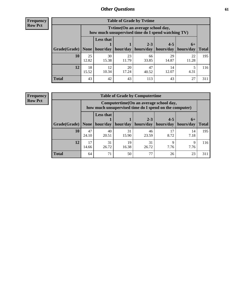**Frequency Row Pct**

| <b>Table of Grade by Tytime</b> |             |                                                                                         |                     |             |                       |             |              |  |  |
|---------------------------------|-------------|-----------------------------------------------------------------------------------------|---------------------|-------------|-----------------------|-------------|--------------|--|--|
|                                 |             | Tytime (On an average school day,<br>how much unsupervised time do I spend watching TV) |                     |             |                       |             |              |  |  |
|                                 |             | <b>Less that</b>                                                                        |                     | $2 - 3$     | $4 - 5$               | $6+$        |              |  |  |
| Grade(Grade)   None             |             |                                                                                         | hour/day   hour/day | hours/day   | hours/day   hours/day |             | <b>Total</b> |  |  |
| 10                              | 25<br>12.82 | 30<br>15.38                                                                             | 23<br>11.79         | 66<br>33.85 | 29<br>14.87           | 22<br>11.28 | 195          |  |  |
| 12                              | 18<br>15.52 | 12<br>10.34                                                                             | 20<br>17.24         | 47<br>40.52 | 14<br>12.07           | 4.31        | 116          |  |  |
| <b>Total</b>                    | 43          | 42                                                                                      | 43                  | 113         | 43                    | 27          | 311          |  |  |

**Frequency Row Pct**

| <b>Table of Grade by Computertime</b> |             |                                                                                                   |                     |                      |                      |                   |              |  |  |  |
|---------------------------------------|-------------|---------------------------------------------------------------------------------------------------|---------------------|----------------------|----------------------|-------------------|--------------|--|--|--|
|                                       |             | Computertime (On an average school day,<br>how much unsupervised time do I spend on the computer) |                     |                      |                      |                   |              |  |  |  |
| Grade(Grade)                          | None $ $    | <b>Less that</b>                                                                                  | hour/day   hour/day | $2 - 3$<br>hours/day | $4 - 5$<br>hours/day | $6+$<br>hours/day | <b>Total</b> |  |  |  |
| 10                                    | 47<br>24.10 | 40<br>20.51                                                                                       | 31<br>15.90         | 46<br>23.59          | 17<br>8.72           | 14<br>7.18        | 195          |  |  |  |
| 12                                    | 17<br>14.66 | 31<br>31<br>19<br>Q<br>Q<br>26.72<br>16.38<br>26.72<br>7.76<br>7.76                               |                     |                      |                      |                   |              |  |  |  |
| <b>Total</b>                          | 64          | 71                                                                                                | 50                  | 77                   | 26                   | 23                | 311          |  |  |  |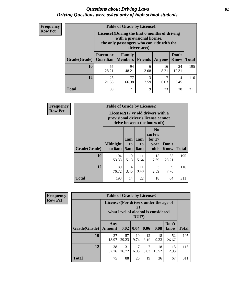#### *Questions about Driving Laws* **62** *Driving Questions were asked only of high school students.*

| <b>Frequency</b> |
|------------------|
| <b>Row Pct</b>   |

| <b>Table of Grade by License1</b> |                                                                   |                                                                                                                                           |           |            |               |              |  |  |  |  |
|-----------------------------------|-------------------------------------------------------------------|-------------------------------------------------------------------------------------------------------------------------------------------|-----------|------------|---------------|--------------|--|--|--|--|
|                                   |                                                                   | License1(During the first 6 months of driving<br>with a provisional license,<br>the only passengers who can ride with the<br>driver are:) |           |            |               |              |  |  |  |  |
| Grade(Grade)                      | <b>Parent or</b>                                                  | Family<br><b>Guardian</b>   Members                                                                                                       | Friends   | Anyone     | Don't<br>Know | <b>Total</b> |  |  |  |  |
| 10                                | 55<br>28.21                                                       | 94<br>48.21                                                                                                                               | 6<br>3.08 | 16<br>8.21 | 24<br>12.31   | 195          |  |  |  |  |
| 12                                | 77<br>25<br>3<br>7<br>4<br>21.55<br>66.38<br>2.59<br>6.03<br>3.45 |                                                                                                                                           |           |            |               |              |  |  |  |  |
| <b>Total</b>                      | 80                                                                | 171                                                                                                                                       | 9         | 23         | 28            | 31           |  |  |  |  |

| <b>Frequency</b> |              | <b>Table of Grade by License2</b>   |                              |                  |                                                                   |                      |              |  |  |  |
|------------------|--------------|-------------------------------------|------------------------------|------------------|-------------------------------------------------------------------|----------------------|--------------|--|--|--|
| <b>Row Pct</b>   |              | provisional driver's license cannot |                              |                  | License2(17 yr old drivers with a<br>drive between the hours of:) |                      |              |  |  |  |
|                  | Grade(Grade) | <b>Midnight</b><br>to 6am           | 1am<br>t <sub>0</sub><br>5am | 1am<br>to<br>6am | N <sub>0</sub><br>curfew<br>for $17$<br>year<br>olds              | Don't<br><b>Know</b> | <b>Total</b> |  |  |  |
|                  | 10           | 104<br>53.33                        | 10<br>5.13                   | 11<br>5.64       | 15<br>7.69                                                        | 55<br>28.21          | 195          |  |  |  |
|                  | 12           | 89<br>76.72                         | 4<br>3.45                    | 11<br>9.48       | 3<br>2.59                                                         | 9<br>7.76            | 116          |  |  |  |
|                  | <b>Total</b> | 193                                 | 14                           | 22               | 18                                                                | 64                   | 311          |  |  |  |

| <b>Frequency</b> | <b>Table of Grade by License3</b> |                                       |                                     |                 |            |             |               |              |
|------------------|-----------------------------------|---------------------------------------|-------------------------------------|-----------------|------------|-------------|---------------|--------------|
| <b>Row Pct</b>   |                                   | License3(For drivers under the age of | what level of alcohol is considered | 21,<br>$DUI$ ?) |            |             |               |              |
|                  | Grade(Grade)                      | Any<br><b>Amount</b>                  | 0.02                                | 0.04            | 0.06       | 0.08        | Don't<br>know | <b>Total</b> |
|                  | 10                                | 37<br>18.97                           | 57<br>29.23                         | 19<br>9.74      | 12<br>6.15 | 18<br>9.23  | 52<br>26.67   | 195          |
|                  | 12                                | 38<br>32.76                           | 31<br>26.72                         | 7<br>6.03       | 7<br>6.03  | 18<br>15.52 | 15<br>12.93   | 116          |
|                  | <b>Total</b>                      | 75                                    | 88                                  | 26              | 19         | 36          | 67            | 311          |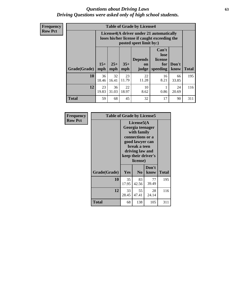#### *Questions about Driving Laws* **63** *Driving Questions were asked only of high school students.*

**Frequency Row Pct**

| <b>Table of Grade by License4</b> |             |                                                                                                                                                                                                                                                                                       |             |             |            |             |     |  |  |
|-----------------------------------|-------------|---------------------------------------------------------------------------------------------------------------------------------------------------------------------------------------------------------------------------------------------------------------------------------------|-------------|-------------|------------|-------------|-----|--|--|
|                                   |             | License4(A driver under 21 automatically<br>loses his/her license if caught exceeding the<br>posted speet limit by:)<br>Can't<br>lose<br>license<br><b>Depends</b><br>$15+$<br>$25+$<br>$35+$<br>Don't<br>for<br><b>on</b><br>speeding<br><b>Total</b><br>mph<br>mph<br>know<br>judge |             |             |            |             |     |  |  |
| Grade(Grade)                      | mph         |                                                                                                                                                                                                                                                                                       |             |             |            |             |     |  |  |
| 10                                | 36<br>18.46 | 32<br>16.41                                                                                                                                                                                                                                                                           | 23<br>11.79 | 22<br>11.28 | 16<br>8.21 | 66<br>33.85 | 195 |  |  |
| 12                                | 23<br>19.83 | 36<br>22<br>10<br>24<br>31.03<br>18.97<br>0.86<br>8.62<br>20.69                                                                                                                                                                                                                       |             |             |            |             |     |  |  |
| <b>Total</b>                      | 59          | 68                                                                                                                                                                                                                                                                                    | 45          | 32          | 17         | 90          | 311 |  |  |

| Frequency      | <b>Table of Grade by License5</b> |             |                                                                                                                                      |                     |              |
|----------------|-----------------------------------|-------------|--------------------------------------------------------------------------------------------------------------------------------------|---------------------|--------------|
| <b>Row Pct</b> |                                   |             | License5(A)<br>Georgia teenager<br>with family<br>connections or a<br>good lawyer can<br>break a teen<br>driving law and<br>license) | keep their driver's |              |
|                | Grade(Grade)                      | <b>Yes</b>  | N <sub>0</sub>                                                                                                                       | Don't<br>know       | <b>Total</b> |
|                | 10                                | 35<br>17.95 | 83<br>42.56                                                                                                                          | 77<br>39.49         | 195          |
|                | 12                                | 33<br>28.45 | 55<br>47.41                                                                                                                          | 28<br>24.14         | 116          |
|                | <b>Total</b>                      | 68          | 138                                                                                                                                  | 105                 | 311          |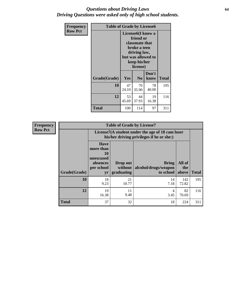#### *Questions about Driving Laws* **64** *Driving Questions were asked only of high school students.*

| <b>Frequency</b> | <b>Table of Grade by License6</b> |                                                                                                                                                 |                |               |              |
|------------------|-----------------------------------|-------------------------------------------------------------------------------------------------------------------------------------------------|----------------|---------------|--------------|
| <b>Row Pct</b>   |                                   | License <sub>6</sub> (I know a<br>friend or<br>classmate that<br>broke a teen<br>driving law,<br>but was allowed to<br>keep his/her<br>license) |                |               |              |
|                  | Grade(Grade)                      | <b>Yes</b>                                                                                                                                      | N <sub>0</sub> | Don't<br>know | <b>Total</b> |
|                  | 10                                | 47<br>24.10                                                                                                                                     | 70<br>35.90    | 78<br>40.00   | 195          |
|                  | 12                                | 53<br>19<br>44<br>37.93<br>45.69<br>16.38                                                                                                       |                |               | 116          |
|                  | <b>Total</b>                      | 100                                                                                                                                             | 114            | 97            | 311          |

| <b>Frequency</b> |              |                                                                             | <b>Table of Grade by License7</b>                                                             |                                                   |                        |              |  |
|------------------|--------------|-----------------------------------------------------------------------------|-----------------------------------------------------------------------------------------------|---------------------------------------------------|------------------------|--------------|--|
| <b>Row Pct</b>   |              |                                                                             | License7(A student under the age of 18 cam loser<br>his/her driving privileges if he or she:) |                                                   |                        |              |  |
|                  | Grade(Grade) | <b>Have</b><br>more than<br>10<br>unexcused<br>absences<br>per school<br>yr | Drop out<br>without  <br>graduating                                                           | <b>Bring</b><br>alcohol/drugs/weapon<br>to school | All of<br>the<br>above | <b>Total</b> |  |
|                  | 10           | 18<br>9.23                                                                  | 21<br>10.77                                                                                   | 14<br>7.18                                        | 142<br>72.82           | 195          |  |
|                  | 12           | 19<br>16.38                                                                 | 11<br>9.48                                                                                    | 4<br>3.45                                         | 82<br>70.69            | 116          |  |
|                  | <b>Total</b> | 37                                                                          | 32                                                                                            | 18                                                | 224                    | 311          |  |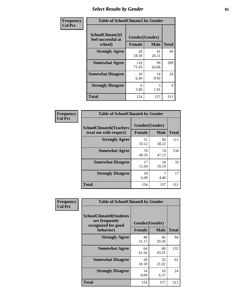## *Select Results by Gender* **65**

| Frequency      | <b>Table of SchoolClimate2 by Gender</b>          |                                 |             |              |
|----------------|---------------------------------------------------|---------------------------------|-------------|--------------|
| <b>Col Pct</b> | SchoolClimate2(I<br>feel successful at<br>school) | Gender(Gender)<br><b>Female</b> | <b>Male</b> | <b>Total</b> |
|                | <b>Strongly Agree</b>                             | 28<br>18.18                     | 41<br>26.11 | 69           |
|                | <b>Somewhat Agree</b>                             | 110<br>71.43                    | 99<br>63.06 | 209          |
|                | <b>Somewhat Disagree</b>                          | 10<br>6.49                      | 14<br>8.92  | 24           |
|                | <b>Strongly Disagree</b>                          | 6<br>3.90                       | 3<br>1.91   | 9            |
|                | <b>Total</b>                                      | 154                             | 157         | 311          |

| Frequency      | <b>Table of SchoolClimate6 by Gender</b>                 |                                 |             |              |  |
|----------------|----------------------------------------------------------|---------------------------------|-------------|--------------|--|
| <b>Col Pct</b> | <b>SchoolClimate6(Teachers</b><br>treat me with respect) | Gender(Gender)<br><b>Female</b> | <b>Male</b> | <b>Total</b> |  |
|                | <b>Strongly Agree</b>                                    | 51<br>33.12                     | 60<br>38.22 | 111          |  |
|                | <b>Somewhat Agree</b>                                    | 76<br>49.35                     | 74<br>47.13 | 150          |  |
|                | <b>Somewhat Disagree</b>                                 | 17<br>11.04                     | 16<br>10.19 | 33           |  |
|                | <b>Strongly Disagree</b>                                 | 10<br>6.49                      | 7<br>4.46   | 17           |  |
|                | <b>Total</b>                                             | 154                             | 157         | 311          |  |

| <b>Frequency</b> | <b>Table of SchoolClimate8 by Gender</b>                                             |               |                               |              |
|------------------|--------------------------------------------------------------------------------------|---------------|-------------------------------|--------------|
| <b>Col Pct</b>   | <b>SchoolClimate8(Students</b><br>are frequently<br>recognized for good<br>behavior) | <b>Female</b> | Gender(Gender)<br><b>Male</b> | <b>Total</b> |
|                  | <b>Strongly Agree</b>                                                                | 48<br>31.17   | 46<br>29.30                   | 94           |
|                  | <b>Somewhat Agree</b>                                                                | 64<br>41.56   | 68<br>43.31                   | 132          |
|                  | <b>Somewhat Disagree</b>                                                             | 28<br>18.18   | 33<br>21.02                   | 61           |
|                  | <b>Strongly Disagree</b>                                                             | 14<br>9.09    | 10<br>6.37                    | 24           |
|                  | <b>Total</b>                                                                         | 154           | 157                           | 311          |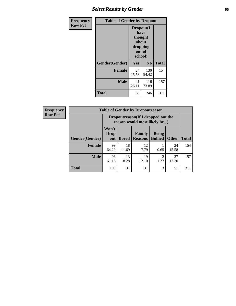## *Select Results by Gender* **66**

| <b>Frequency</b> | <b>Table of Gender by Dropout</b> |                                                                        |                |              |
|------------------|-----------------------------------|------------------------------------------------------------------------|----------------|--------------|
| <b>Row Pct</b>   |                                   | Dropout(I<br>have<br>thought<br>about<br>dropping<br>out of<br>school) |                |              |
|                  | Gender(Gender)                    | <b>Yes</b>                                                             | N <sub>0</sub> | <b>Total</b> |
|                  | <b>Female</b>                     | 24<br>15.58                                                            | 130<br>84.42   | 154          |
|                  | <b>Male</b>                       | 41<br>26.11                                                            | 116<br>73.89   | 157          |
|                  | <b>Total</b>                      | 65                                                                     | 246            | 311          |

| <b>Frequency</b> | <b>Table of Gender by Dropoutreason</b> |                                                                     |              |                                 |                                |              |              |
|------------------|-----------------------------------------|---------------------------------------------------------------------|--------------|---------------------------------|--------------------------------|--------------|--------------|
| <b>Row Pct</b>   |                                         | Dropoutreason (If I dropped out the<br>reason would most likely be) |              |                                 |                                |              |              |
|                  | Gender(Gender)                          | Won't<br><b>Drop</b><br>out                                         | <b>Bored</b> | <b>Family</b><br><b>Reasons</b> | <b>Being</b><br><b>Bullied</b> | <b>Other</b> | <b>Total</b> |
|                  | <b>Female</b>                           | 99<br>64.29                                                         | 18<br>11.69  | 12<br>7.79                      | 0.65                           | 24<br>15.58  | 154          |
|                  | <b>Male</b>                             | 96<br>61.15                                                         | 13<br>8.28   | 19<br>12.10                     | ↑<br>1.27                      | 27<br>17.20  | 157          |
|                  | <b>Total</b>                            | 195                                                                 | 31           | 31                              | 3                              | 51           | 311          |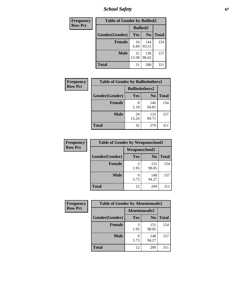*School Safety* **67**

| Frequency      | <b>Table of Gender by Bullied2</b> |                 |                |              |
|----------------|------------------------------------|-----------------|----------------|--------------|
| <b>Row Pct</b> |                                    | <b>Bullied2</b> |                |              |
|                | Gender(Gender)                     | <b>Yes</b>      | N <sub>0</sub> | <b>Total</b> |
|                | <b>Female</b>                      | 10<br>6.49      | 144<br>93.51   | 154          |
|                | <b>Male</b>                        | 21<br>13.38     | 136<br>86.62   | 157          |
|                | <b>Total</b>                       | 31              | 280            | 311          |

| <b>Frequency</b> | <b>Table of Gender by Bulliedothers2</b> |                       |                |              |
|------------------|------------------------------------------|-----------------------|----------------|--------------|
| <b>Row Pct</b>   |                                          | <b>Bulliedothers2</b> |                |              |
|                  | Gender(Gender)                           | Yes                   | N <sub>0</sub> | <b>Total</b> |
|                  | <b>Female</b>                            | 8<br>5.19             | 146<br>94.81   | 154          |
|                  | <b>Male</b>                              | 24<br>15.29           | 133<br>84.71   | 157          |
|                  | <b>Total</b>                             | 32                    | 279            | 311          |

| Frequency      | <b>Table of Gender by Weaponschool2</b> |               |                |              |
|----------------|-----------------------------------------|---------------|----------------|--------------|
| <b>Row Pct</b> |                                         | Weaponschool2 |                |              |
|                | Gender(Gender)                          | Yes           | N <sub>0</sub> | <b>Total</b> |
|                | <b>Female</b>                           | 3<br>1.95     | 151<br>98.05   | 154          |
|                | <b>Male</b>                             | 9<br>5.73     | 148<br>94.27   | 157          |
|                | <b>Total</b>                            | 12            | 299            | 311          |

| Frequency      | <b>Table of Gender by Absentunsafe2</b> |               |                |              |
|----------------|-----------------------------------------|---------------|----------------|--------------|
| <b>Row Pct</b> |                                         | Absentunsafe2 |                |              |
|                | Gender(Gender)                          | Yes           | N <sub>0</sub> | <b>Total</b> |
|                | <b>Female</b>                           | 1.95          | 151<br>98.05   | 154          |
|                | <b>Male</b>                             | 5.73          | 148<br>94.27   | 157          |
|                | <b>Total</b>                            | 12            | 299            | 311          |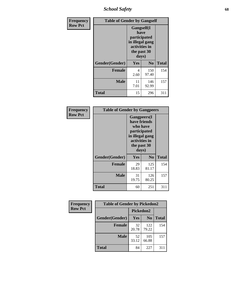*School Safety* **68**

| Frequency      | <b>Table of Gender by Gangself</b> |                                                                                                        |                |              |
|----------------|------------------------------------|--------------------------------------------------------------------------------------------------------|----------------|--------------|
| <b>Row Pct</b> |                                    | <b>Gangself</b> (I<br>have<br>participated<br>in illegal gang<br>activities in<br>the past 30<br>days) |                |              |
|                | Gender(Gender)                     | Yes                                                                                                    | N <sub>0</sub> | <b>Total</b> |
|                | <b>Female</b>                      | 4<br>2.60                                                                                              | 150<br>97.40   | 154          |
|                | <b>Male</b>                        | 11<br>7.01                                                                                             | 146<br>92.99   | 157          |
|                | <b>Total</b>                       | 15                                                                                                     | 296            | 311          |

| Frequency      | <b>Table of Gender by Gangpeers</b> |                                                                                                                             |                |              |
|----------------|-------------------------------------|-----------------------------------------------------------------------------------------------------------------------------|----------------|--------------|
| <b>Row Pct</b> |                                     | <b>Gangpeers</b> (I<br>have friends<br>who have<br>participated<br>in illegal gang<br>activities in<br>the past 30<br>days) |                |              |
|                | Gender(Gender)                      | <b>Yes</b>                                                                                                                  | N <sub>0</sub> | <b>Total</b> |
|                | <b>Female</b>                       | 29<br>18.83                                                                                                                 | 125<br>81.17   | 154          |
|                | <b>Male</b>                         | 31<br>19.75                                                                                                                 | 126<br>80.25   | 157          |
|                | Total                               | 60                                                                                                                          | 251            | 311          |

| Frequency      | <b>Table of Gender by Pickedon2</b> |                  |                |              |
|----------------|-------------------------------------|------------------|----------------|--------------|
| <b>Row Pct</b> |                                     | <b>Pickedon2</b> |                |              |
|                | Gender(Gender)                      | Yes              | N <sub>0</sub> | <b>Total</b> |
|                | <b>Female</b>                       | 32<br>20.78      | 122<br>79.22   | 154          |
|                | <b>Male</b>                         | 52<br>33.12      | 105<br>66.88   | 157          |
|                | <b>Total</b>                        | 84               | 227            | 311          |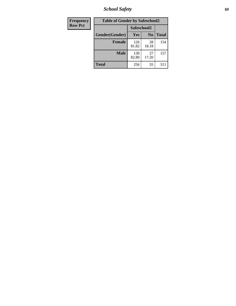*School Safety* **69**

| Frequency      | <b>Table of Gender by Safeschool2</b> |              |                |              |
|----------------|---------------------------------------|--------------|----------------|--------------|
| <b>Row Pct</b> |                                       | Safeschool2  |                |              |
|                | Gender(Gender)                        | Yes          | N <sub>0</sub> | <b>Total</b> |
|                | <b>Female</b>                         | 126<br>81.82 | 28<br>18.18    | 154          |
|                | <b>Male</b>                           | 130<br>82.80 | 27<br>17.20    | 157          |
|                | <b>Total</b>                          | 256          | 55             | 311          |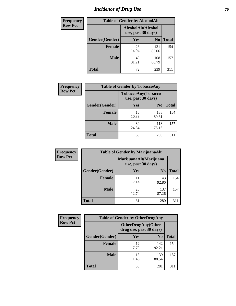# *Incidence of Drug Use* **70**

| <b>Frequency</b> | <b>Table of Gender by AlcoholAlt</b> |                                          |                |              |  |
|------------------|--------------------------------------|------------------------------------------|----------------|--------------|--|
| <b>Row Pct</b>   |                                      | AlcoholAlt(Alcohol<br>use, past 30 days) |                |              |  |
|                  | Gender(Gender)                       | Yes                                      | N <sub>0</sub> | <b>Total</b> |  |
|                  | <b>Female</b>                        | 23<br>14.94                              | 131<br>85.06   | 154          |  |
|                  | <b>Male</b>                          | 49<br>31.21                              | 108<br>68.79   | 157          |  |
|                  | <b>Total</b>                         | 72                                       | 239            | 311          |  |

| Frequency      | <b>Table of Gender by TobaccoAny</b> |                                          |                |              |  |
|----------------|--------------------------------------|------------------------------------------|----------------|--------------|--|
| <b>Row Pct</b> |                                      | TobaccoAny(Tobacco<br>use, past 30 days) |                |              |  |
|                | Gender(Gender)                       | Yes                                      | N <sub>0</sub> | <b>Total</b> |  |
|                | <b>Female</b>                        | 16<br>10.39                              | 138<br>89.61   | 154          |  |
|                | <b>Male</b>                          | 39<br>24.84                              | 118<br>75.16   | 157          |  |
|                | Total                                | 55                                       | 256            | 311          |  |

| <b>Frequency</b> | <b>Table of Gender by MarijuanaAlt</b> |             |                                              |              |
|------------------|----------------------------------------|-------------|----------------------------------------------|--------------|
| <b>Row Pct</b>   |                                        |             | MarijuanaAlt(Marijuana<br>use, past 30 days) |              |
|                  | Gender(Gender)                         | Yes         | N <sub>0</sub>                               | <b>Total</b> |
|                  | <b>Female</b>                          | 11<br>7.14  | 143<br>92.86                                 | 154          |
|                  | <b>Male</b>                            | 20<br>12.74 | 137<br>87.26                                 | 157          |
|                  | <b>Total</b>                           | 31          | 280                                          | 311          |

| <b>Frequency</b> | <b>Table of Gender by OtherDrugAny</b> |                                                      |                |              |
|------------------|----------------------------------------|------------------------------------------------------|----------------|--------------|
| <b>Row Pct</b>   |                                        | <b>OtherDrugAny(Other</b><br>drug use, past 30 days) |                |              |
|                  | Gender(Gender)                         | <b>Yes</b>                                           | N <sub>0</sub> | <b>Total</b> |
|                  | <b>Female</b>                          | 12<br>7.79                                           | 142<br>92.21   | 154          |
|                  | <b>Male</b>                            | 18<br>11.46                                          | 139<br>88.54   | 157          |
|                  | <b>Total</b>                           | 30                                                   | 281            | 311          |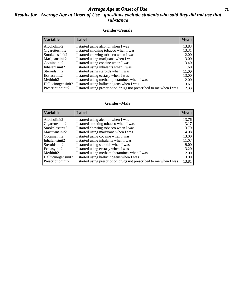#### *Average Age at Onset of Use* **71** *Results for "Average Age at Onset of Use" questions exclude students who said they did not use that substance*

#### **Gender=Female**

| <b>Variable</b>    | <b>Label</b>                                                       | <b>Mean</b> |
|--------------------|--------------------------------------------------------------------|-------------|
| Alcoholinit2       | I started using alcohol when I was                                 | 13.83       |
| Cigarettesinit2    | I started smoking tobacco when I was                               | 13.31       |
| Smokelessinit2     | I started chewing tobacco when I was                               | 12.00       |
| Marijuanainit2     | I started using marijuana when I was                               | 13.00       |
| Cocaineinit2       | I started using cocaine when I was                                 | 13.40       |
| Inhalantsinit2     | I started using inhalants when I was                               | 11.60       |
| Steroidsinit2      | I started using steroids when I was                                | 11.00       |
| Ecstasyinit2       | I started using ecstasy when I was                                 | 13.00       |
| Methinit2          | I started using methamphetamines when I was                        | 12.00       |
| Hallucinogensinit2 | I started using hallucinogens when I was                           | 13.67       |
| Prescription in t2 | I started using prescription drugs not prescribed to me when I was | 12.33       |

#### **Gender=Male**

| <b>Variable</b>       | Label                                                              | <b>Mean</b> |
|-----------------------|--------------------------------------------------------------------|-------------|
| Alcoholinit2          | I started using alcohol when I was                                 | 13.76       |
| Cigarettesinit2       | I started smoking tobacco when I was                               | 13.17       |
| Smokelessinit2        | I started chewing tobacco when I was                               | 13.79       |
| Marijuanainit2        | I started using marijuana when I was                               | 14.08       |
| Cocaineinit2          | I started using cocaine when I was                                 | 13.00       |
| Inhalantsinit2        | I started using inhalants when I was                               | 11.67       |
| Steroidsinit2         | I started using steroids when I was                                | 9.00        |
| Ecstasyinit2          | I started using ecstasy when I was                                 | 13.20       |
| Methinit <sub>2</sub> | I started using methamphetamines when I was                        | 12.00       |
| Hallucinogensinit2    | I started using hallucinogens when I was                           | 13.00       |
| Prescription in t2    | I started using prescription drugs not prescribed to me when I was | 13.81       |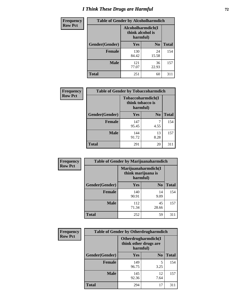## *I Think These Drugs are Harmful* **72**

| <b>Frequency</b> | <b>Table of Gender by Alcoholharmdich</b> |                                                   |                |              |
|------------------|-------------------------------------------|---------------------------------------------------|----------------|--------------|
| <b>Row Pct</b>   |                                           | Alcoholharmdich(I<br>think alcohol is<br>harmful) |                |              |
|                  | Gender(Gender)                            | <b>Yes</b>                                        | N <sub>0</sub> | <b>Total</b> |
|                  | <b>Female</b>                             | 130<br>84.42                                      | 24<br>15.58    | 154          |
|                  | <b>Male</b>                               | 121<br>77.07                                      | 36<br>22.93    | 157          |
|                  | <b>Total</b>                              | 251                                               | 60             | 311          |

| Frequency      | <b>Table of Gender by Tobaccoharmdich</b> |                  |                               |              |
|----------------|-------------------------------------------|------------------|-------------------------------|--------------|
| <b>Row Pct</b> |                                           | think tobacco is | Tobaccoharmdich(I<br>harmful) |              |
|                | Gender(Gender)                            | Yes              | N <sub>0</sub>                | <b>Total</b> |
|                | <b>Female</b>                             | 147<br>95.45     | 4.55                          | 154          |
|                | <b>Male</b>                               | 144<br>91.72     | 13<br>8.28                    | 157          |
|                | <b>Total</b>                              | 291              | 20                            | 311          |

| Frequency      | <b>Table of Gender by Marijuanaharmdich</b> |                                                       |                |              |  |
|----------------|---------------------------------------------|-------------------------------------------------------|----------------|--------------|--|
| <b>Row Pct</b> |                                             | Marijuanaharmdich(I<br>think marijuana is<br>harmful) |                |              |  |
|                | Gender(Gender)                              | <b>Yes</b>                                            | N <sub>0</sub> | <b>Total</b> |  |
|                | <b>Female</b>                               | 140<br>90.91                                          | 14<br>9.09     | 154          |  |
|                | <b>Male</b>                                 | 112<br>71.34                                          | 45<br>28.66    | 157          |  |
|                | <b>Total</b>                                | 252                                                   | 59             | 311          |  |

| Frequency      | <b>Table of Gender by Otherdrugharmdich</b> |                                                          |                |              |
|----------------|---------------------------------------------|----------------------------------------------------------|----------------|--------------|
| <b>Row Pct</b> |                                             | Otherdrugharmdich(I<br>think other drugs are<br>harmful) |                |              |
|                | Gender(Gender)                              | <b>Yes</b>                                               | N <sub>0</sub> | <b>Total</b> |
|                | <b>Female</b>                               | 149<br>96.75                                             | 5<br>3.25      | 154          |
|                | <b>Male</b>                                 | 145<br>92.36                                             | 12<br>7.64     | 157          |
|                | <b>Total</b>                                | 294                                                      | 17             | 311          |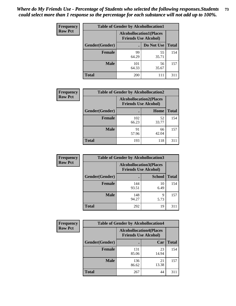| <b>Frequency</b> | <b>Table of Gender by Alcohollocation1</b>                    |              |             |              |
|------------------|---------------------------------------------------------------|--------------|-------------|--------------|
| <b>Row Pct</b>   | <b>Alcohollocation1(Places</b><br><b>Friends Use Alcohol)</b> |              |             |              |
|                  | Gender(Gender)                                                |              | Do Not Use  | <b>Total</b> |
|                  | <b>Female</b>                                                 | 99<br>64.29  | 55<br>35.71 | 154          |
|                  | <b>Male</b>                                                   | 101<br>64.33 | 56<br>35.67 | 157          |
|                  | <b>Total</b>                                                  | <b>200</b>   | 111         | 311          |

| <b>Frequency</b> | <b>Table of Gender by Alcohollocation2</b> |                                                               |             |              |
|------------------|--------------------------------------------|---------------------------------------------------------------|-------------|--------------|
| <b>Row Pct</b>   |                                            | <b>Alcohollocation2(Places</b><br><b>Friends Use Alcohol)</b> |             |              |
|                  | Gender(Gender)                             |                                                               | Home        | <b>Total</b> |
|                  | <b>Female</b>                              | 102<br>66.23                                                  | 52<br>33.77 | 154          |
|                  | <b>Male</b>                                | 91<br>57.96                                                   | 66<br>42.04 | 157          |
|                  | <b>Total</b>                               | 193                                                           | 118         | 311          |

| Frequency      | <b>Table of Gender by Alcohollocation3</b> |                                                               |               |              |
|----------------|--------------------------------------------|---------------------------------------------------------------|---------------|--------------|
| <b>Row Pct</b> |                                            | <b>Alcohollocation3(Places</b><br><b>Friends Use Alcohol)</b> |               |              |
|                | Gender(Gender)                             |                                                               | <b>School</b> | <b>Total</b> |
|                | <b>Female</b>                              | 144<br>93.51                                                  | 10<br>6.49    | 154          |
|                | <b>Male</b>                                | 148<br>94.27                                                  | q<br>5.73     | 157          |
|                | <b>Total</b>                               | 292                                                           | 19            | 311          |

| <b>Frequency</b> | <b>Table of Gender by Alcohollocation4</b> |                                                               |             |              |
|------------------|--------------------------------------------|---------------------------------------------------------------|-------------|--------------|
| <b>Row Pct</b>   |                                            | <b>Alcohollocation4(Places</b><br><b>Friends Use Alcohol)</b> |             |              |
|                  | Gender(Gender)                             |                                                               | Car         | <b>Total</b> |
|                  | <b>Female</b>                              | 131<br>85.06                                                  | 23<br>14.94 | 154          |
|                  | <b>Male</b>                                | 136<br>86.62                                                  | 21<br>13.38 | 157          |
|                  | <b>Total</b>                               | 267                                                           | 44          | 311          |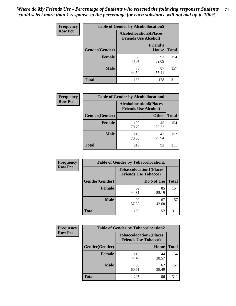| <b>Frequency</b> |                | <b>Table of Gender by Alcohollocation5</b> |                                                                |              |
|------------------|----------------|--------------------------------------------|----------------------------------------------------------------|--------------|
| <b>Row Pct</b>   |                |                                            | <b>Alcohollocation5</b> (Places<br><b>Friends Use Alcohol)</b> |              |
|                  | Gender(Gender) | ٠                                          | <b>Friend's</b><br>House                                       | <b>Total</b> |
|                  | <b>Female</b>  | 63<br>40.91                                | 91<br>59.09                                                    | 154          |
|                  | <b>Male</b>    | 70<br>44.59                                | 87<br>55.41                                                    | 157          |
|                  | <b>Total</b>   | 133                                        | 178                                                            | 311          |

| <b>Frequency</b> | <b>Table of Gender by Alcohollocation6</b> |                                                               |              |              |
|------------------|--------------------------------------------|---------------------------------------------------------------|--------------|--------------|
| <b>Row Pct</b>   |                                            | <b>Alcohollocation6(Places</b><br><b>Friends Use Alcohol)</b> |              |              |
|                  | <b>Gender</b> (Gender)                     |                                                               | <b>Other</b> | <b>Total</b> |
|                  | <b>Female</b>                              | 109<br>70.78                                                  | 45<br>29.22  | 154          |
|                  | <b>Male</b>                                | 110<br>70.06                                                  | 47<br>29.94  | 157          |
|                  | <b>Total</b>                               | 219                                                           | 92           | 311          |

| Frequency      | <b>Table of Gender by Tobaccolocation1</b> |                                                               |             |              |  |
|----------------|--------------------------------------------|---------------------------------------------------------------|-------------|--------------|--|
| <b>Row Pct</b> |                                            | <b>Tobaccolocation1(Places</b><br><b>Friends Use Tobacco)</b> |             |              |  |
|                | Gender(Gender)                             |                                                               | Do Not Use  | <b>Total</b> |  |
|                | Female                                     | 69<br>44.81                                                   | 85<br>55.19 | 154          |  |
|                | <b>Male</b>                                | 90<br>57.32                                                   | 67<br>42.68 | 157          |  |
|                | <b>Total</b>                               | 159                                                           | 152         | 311          |  |

| <b>Frequency</b> |                | <b>Table of Gender by Tobaccolocation2</b>                    |             |              |  |
|------------------|----------------|---------------------------------------------------------------|-------------|--------------|--|
| <b>Row Pct</b>   |                | <b>Tobaccolocation2(Places</b><br><b>Friends Use Tobacco)</b> |             |              |  |
|                  | Gender(Gender) |                                                               | Home        | <b>Total</b> |  |
|                  | Female         | 110<br>71.43                                                  | 44<br>28.57 | 154          |  |
|                  | <b>Male</b>    | 95<br>60.51                                                   | 62<br>39.49 | 157          |  |
|                  | <b>Total</b>   | 205                                                           | 106         | 311          |  |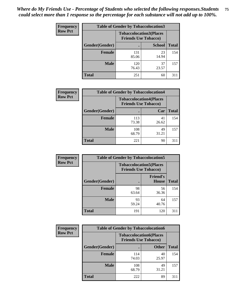| <b>Frequency</b> | <b>Table of Gender by Tobaccolocation3</b> |                             |                                |              |
|------------------|--------------------------------------------|-----------------------------|--------------------------------|--------------|
| <b>Row Pct</b>   |                                            | <b>Friends Use Tobacco)</b> | <b>Tobaccolocation3(Places</b> |              |
|                  | Gender(Gender)                             |                             | <b>School</b>                  | <b>Total</b> |
|                  | Female                                     | 131<br>85.06                | 23<br>14.94                    | 154          |
|                  | <b>Male</b>                                | 120<br>76.43                | 37<br>23.57                    | 157          |
|                  | <b>Total</b>                               | 251                         | 60                             | 311          |

| <b>Frequency</b> | <b>Table of Gender by Tobaccolocation4</b> |                             |                                |              |
|------------------|--------------------------------------------|-----------------------------|--------------------------------|--------------|
| <b>Row Pct</b>   |                                            | <b>Friends Use Tobacco)</b> | <b>Tobaccolocation4(Places</b> |              |
|                  | Gender(Gender)                             |                             | Car                            | <b>Total</b> |
|                  | <b>Female</b>                              | 113<br>73.38                | 41<br>26.62                    | 154          |
|                  | <b>Male</b>                                | 108<br>68.79                | 49<br>31.21                    | 157          |
|                  | <b>Total</b>                               | 221                         | 90                             | 311          |

| <b>Frequency</b> | <b>Table of Gender by Tobaccolocation5</b> |                                                               |                          |              |
|------------------|--------------------------------------------|---------------------------------------------------------------|--------------------------|--------------|
| <b>Row Pct</b>   |                                            | <b>Tobaccolocation5(Places</b><br><b>Friends Use Tobacco)</b> |                          |              |
|                  | Gender(Gender)                             |                                                               | <b>Friend's</b><br>House | <b>Total</b> |
|                  | <b>Female</b>                              | 98<br>63.64                                                   | 56<br>36.36              | 154          |
|                  | <b>Male</b>                                | 93<br>59.24                                                   | 64<br>40.76              | 157          |
|                  | <b>Total</b>                               | 191                                                           | 120                      | 311          |

| <b>Frequency</b> | <b>Table of Gender by Tobaccolocation6</b> |                                                               |              |              |
|------------------|--------------------------------------------|---------------------------------------------------------------|--------------|--------------|
| <b>Row Pct</b>   |                                            | <b>Tobaccolocation6(Places</b><br><b>Friends Use Tobacco)</b> |              |              |
|                  | Gender(Gender)                             |                                                               | <b>Other</b> | <b>Total</b> |
|                  | Female                                     | 114<br>74.03                                                  | 40<br>25.97  | 154          |
|                  | <b>Male</b>                                | 108<br>68.79                                                  | 49<br>31.21  | 157          |
|                  | <b>Total</b>                               | 222                                                           | 89           | 311          |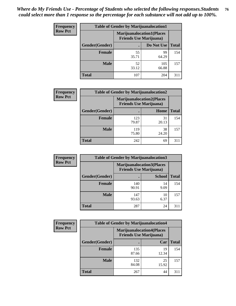| <b>Frequency</b> | <b>Table of Gender by Marijuanalocation1</b> |                                                                    |              |              |
|------------------|----------------------------------------------|--------------------------------------------------------------------|--------------|--------------|
| <b>Row Pct</b>   |                                              | <b>Marijuanalocation1(Places</b><br><b>Friends Use Marijuana</b> ) |              |              |
|                  | Gender(Gender)                               |                                                                    | Do Not Use   | <b>Total</b> |
|                  | <b>Female</b>                                | 55<br>35.71                                                        | 99<br>64.29  | 154          |
|                  | <b>Male</b>                                  | 52<br>33.12                                                        | 105<br>66.88 | 157          |
|                  | <b>Total</b>                                 | 107                                                                | 204          | 311          |

| <b>Frequency</b> | <b>Table of Gender by Marijuanalocation2</b> |                                                                    |             |              |
|------------------|----------------------------------------------|--------------------------------------------------------------------|-------------|--------------|
| <b>Row Pct</b>   |                                              | <b>Marijuanalocation2(Places</b><br><b>Friends Use Marijuana</b> ) |             |              |
|                  | Gender(Gender)                               |                                                                    | Home        | <b>Total</b> |
|                  | <b>Female</b>                                | 123<br>79.87                                                       | 31<br>20.13 | 154          |
|                  | <b>Male</b>                                  | 119<br>75.80                                                       | 38<br>24.20 | 157          |
|                  | <b>Total</b>                                 | 242                                                                | 69          | 311          |

| Frequency      | <b>Table of Gender by Marijuanalocation3</b> |              |                                                                     |              |
|----------------|----------------------------------------------|--------------|---------------------------------------------------------------------|--------------|
| <b>Row Pct</b> |                                              |              | <b>Marijuanalocation3(Places)</b><br><b>Friends Use Marijuana</b> ) |              |
|                | Gender(Gender)                               |              | <b>School</b>                                                       | <b>Total</b> |
|                | Female                                       | 140<br>90.91 | 14<br>9.09                                                          | 154          |
|                | <b>Male</b>                                  | 147<br>93.63 | 10<br>6.37                                                          | 157          |
|                | <b>Total</b>                                 | 287          | 24                                                                  | 311          |

| <b>Frequency</b> | <b>Table of Gender by Marijuanalocation4</b> |                                                                    |             |              |
|------------------|----------------------------------------------|--------------------------------------------------------------------|-------------|--------------|
| <b>Row Pct</b>   |                                              | <b>Marijuanalocation4(Places</b><br><b>Friends Use Marijuana</b> ) |             |              |
|                  | Gender(Gender)                               |                                                                    | Car         | <b>Total</b> |
|                  | <b>Female</b>                                | 135<br>87.66                                                       | 19<br>12.34 | 154          |
|                  | <b>Male</b>                                  | 132<br>84.08                                                       | 25<br>15.92 | 157          |
|                  | <b>Total</b>                                 | 267                                                                | 44          |              |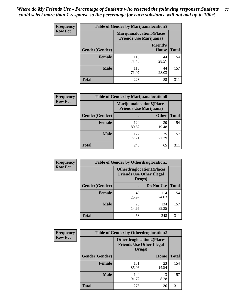| <b>Frequency</b> | <b>Table of Gender by Marijuanalocation5</b> |                                                                     |                          |              |
|------------------|----------------------------------------------|---------------------------------------------------------------------|--------------------------|--------------|
| <b>Row Pct</b>   |                                              | <b>Marijuanalocation5</b> (Places<br><b>Friends Use Marijuana</b> ) |                          |              |
|                  | Gender(Gender)                               |                                                                     | <b>Friend's</b><br>House | <b>Total</b> |
|                  | <b>Female</b>                                | 110<br>71.43                                                        | 44<br>28.57              | 154          |
|                  | <b>Male</b>                                  | 113<br>71.97                                                        | 44<br>28.03              | 157          |
|                  | <b>Total</b>                                 | 223                                                                 | 88                       | 311          |

| <b>Frequency</b> | <b>Table of Gender by Marijuanalocation6</b> |                                                                    |              |              |
|------------------|----------------------------------------------|--------------------------------------------------------------------|--------------|--------------|
| <b>Row Pct</b>   |                                              | <b>Marijuanalocation6(Places</b><br><b>Friends Use Marijuana</b> ) |              |              |
|                  | Gender(Gender)                               |                                                                    | <b>Other</b> | <b>Total</b> |
|                  | <b>Female</b>                                | 124<br>80.52                                                       | 30<br>19.48  | 154          |
|                  | <b>Male</b>                                  | 122<br>77.71                                                       | 35<br>22.29  | 157          |
|                  | <b>Total</b>                                 | 246                                                                | 65           | 311          |

| <b>Frequency</b> | <b>Table of Gender by Otherdruglocation1</b> |                                                                                |              |              |
|------------------|----------------------------------------------|--------------------------------------------------------------------------------|--------------|--------------|
| <b>Row Pct</b>   |                                              | <b>Otherdruglocation1(Places</b><br><b>Friends Use Other Illegal</b><br>Drugs) |              |              |
|                  | Gender(Gender)                               |                                                                                | Do Not Use   | <b>Total</b> |
|                  | <b>Female</b>                                | 40<br>25.97                                                                    | 114<br>74.03 | 154          |
|                  | <b>Male</b>                                  | 23<br>14.65                                                                    | 134<br>85.35 | 157          |
|                  | <b>Total</b>                                 | 63                                                                             | 248          | 311          |

| Frequency      | <b>Table of Gender by Otherdruglocation2</b> |                                                                                |             |              |
|----------------|----------------------------------------------|--------------------------------------------------------------------------------|-------------|--------------|
| <b>Row Pct</b> |                                              | <b>Otherdruglocation2(Places</b><br><b>Friends Use Other Illegal</b><br>Drugs) |             |              |
|                | Gender(Gender)                               |                                                                                | Home        | <b>Total</b> |
|                | <b>Female</b>                                | 131<br>85.06                                                                   | 23<br>14.94 | 154          |
|                | <b>Male</b>                                  | 144<br>91.72                                                                   | 13<br>8.28  | 157          |
|                | <b>Total</b>                                 | 275                                                                            | 36          | 311          |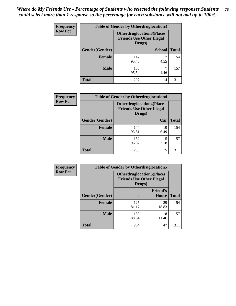| Frequency      | <b>Table of Gender by Otherdruglocation3</b> |                                                                                |               |              |
|----------------|----------------------------------------------|--------------------------------------------------------------------------------|---------------|--------------|
| <b>Row Pct</b> |                                              | <b>Otherdruglocation3(Places</b><br><b>Friends Use Other Illegal</b><br>Drugs) |               |              |
|                | Gender(Gender)                               |                                                                                | <b>School</b> | <b>Total</b> |
|                | <b>Female</b>                                | 147<br>95.45                                                                   | 4.55          | 154          |
|                | <b>Male</b>                                  | 150<br>95.54                                                                   | 4.46          | 157          |
|                | <b>Total</b>                                 | 297                                                                            | 14            | 311          |

| Frequency      | <b>Table of Gender by Otherdruglocation4</b> |                                                                                |            |              |
|----------------|----------------------------------------------|--------------------------------------------------------------------------------|------------|--------------|
| <b>Row Pct</b> |                                              | <b>Otherdruglocation4(Places</b><br><b>Friends Use Other Illegal</b><br>Drugs) |            |              |
|                | Gender(Gender)                               |                                                                                | Car        | <b>Total</b> |
|                | Female                                       | 144<br>93.51                                                                   | 10<br>6.49 | 154          |
|                | <b>Male</b>                                  | 152<br>96.82                                                                   | 5<br>3.18  | 157          |
|                | <b>Total</b>                                 | 296                                                                            | 15         | 311          |

| Frequency      | <b>Table of Gender by Otherdruglocation5</b> |                                                                                |                                 |              |
|----------------|----------------------------------------------|--------------------------------------------------------------------------------|---------------------------------|--------------|
| <b>Row Pct</b> |                                              | <b>Otherdruglocation5(Places</b><br><b>Friends Use Other Illegal</b><br>Drugs) |                                 |              |
|                | Gender(Gender)                               |                                                                                | <b>Friend's</b><br><b>House</b> | <b>Total</b> |
|                | <b>Female</b>                                | 125<br>81.17                                                                   | 29<br>18.83                     | 154          |
|                | <b>Male</b>                                  | 139<br>88.54                                                                   | 18<br>11.46                     | 157          |
|                | <b>Total</b>                                 | 264                                                                            | 47                              | 311          |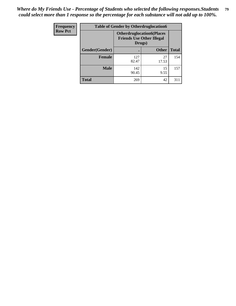| <b>Frequency</b> | <b>Table of Gender by Otherdruglocation6</b> |                                            |                                  |              |
|------------------|----------------------------------------------|--------------------------------------------|----------------------------------|--------------|
| <b>Row Pct</b>   |                                              | <b>Friends Use Other Illegal</b><br>Drugs) | <b>Otherdruglocation6(Places</b> |              |
|                  | Gender(Gender)                               |                                            | <b>Other</b>                     | <b>Total</b> |
|                  | Female                                       | 127<br>82.47                               | 27<br>17.53                      | 154          |
|                  | <b>Male</b>                                  | 142<br>90.45                               | 15<br>9.55                       | 157          |
|                  | <b>Total</b>                                 | 269                                        | 42                               | 311          |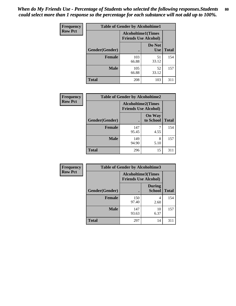| <b>Frequency</b> | <b>Table of Gender by Alcoholtime1</b> |                                                   |                      |              |
|------------------|----------------------------------------|---------------------------------------------------|----------------------|--------------|
| <b>Row Pct</b>   |                                        | Alcoholtime1(Times<br><b>Friends Use Alcohol)</b> |                      |              |
|                  | Gender(Gender)                         | $\bullet$                                         | Do Not<br><b>Use</b> | <b>Total</b> |
|                  | <b>Female</b>                          | 103<br>66.88                                      | 51<br>33.12          | 154          |
|                  | <b>Male</b>                            | 105<br>66.88                                      | 52<br>33.12          | 157          |
|                  | <b>Total</b>                           | 208                                               | 103                  | 311          |

| Frequency      | <b>Table of Gender by Alcoholtime2</b> |                                                          |                            |              |
|----------------|----------------------------------------|----------------------------------------------------------|----------------------------|--------------|
| <b>Row Pct</b> |                                        | <b>Alcoholtime2(Times</b><br><b>Friends Use Alcohol)</b> |                            |              |
|                | Gender(Gender)                         |                                                          | <b>On Way</b><br>to School | <b>Total</b> |
|                | <b>Female</b>                          | 147<br>95.45                                             | 4.55                       | 154          |
|                | <b>Male</b>                            | 149<br>94.90                                             | 8<br>5.10                  | 157          |
|                | <b>Total</b>                           | 296                                                      | 15                         | 311          |

| Frequency      | <b>Table of Gender by Alcoholtime3</b> |                                                   |                                |              |
|----------------|----------------------------------------|---------------------------------------------------|--------------------------------|--------------|
| <b>Row Pct</b> |                                        | Alcoholtime3(Times<br><b>Friends Use Alcohol)</b> |                                |              |
|                | Gender(Gender)                         |                                                   | <b>During</b><br><b>School</b> | <b>Total</b> |
|                | Female                                 | 150<br>97.40                                      | 4<br>2.60                      | 154          |
|                | <b>Male</b>                            | 147<br>93.63                                      | 10<br>6.37                     | 157          |
|                | <b>Total</b>                           | 297                                               | 14                             | 311          |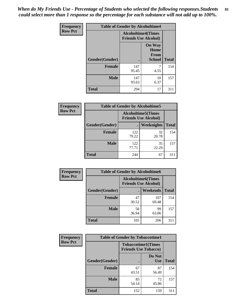*When do My Friends Use - Percentage of Students who selected the following responses.Students could select more than 1 response so the percentage for each substance will not add up to 100%.* **81**

| <b>Frequency</b> | <b>Table of Gender by Alcoholtime4</b> |                                                          |                                                |              |
|------------------|----------------------------------------|----------------------------------------------------------|------------------------------------------------|--------------|
| <b>Row Pct</b>   |                                        | <b>Alcoholtime4(Times</b><br><b>Friends Use Alcohol)</b> |                                                |              |
|                  | Gender(Gender)                         |                                                          | <b>On Way</b><br>Home<br>From<br><b>School</b> | <b>Total</b> |
|                  | <b>Female</b>                          | 147<br>95.45                                             | 4.55                                           | 154          |
|                  | <b>Male</b>                            | 147<br>93.63                                             | 10<br>6.37                                     | 157          |
|                  | <b>Total</b>                           | 294                                                      | 17                                             | 311          |

| <b>Frequency</b> | <b>Table of Gender by Alcoholtime5</b> |                                                           |             |              |
|------------------|----------------------------------------|-----------------------------------------------------------|-------------|--------------|
| <b>Row Pct</b>   |                                        | <b>Alcoholtime5</b> (Times<br><b>Friends Use Alcohol)</b> |             |              |
|                  | Gender(Gender)                         |                                                           | Weeknights  | <b>Total</b> |
|                  | <b>Female</b>                          | 122<br>79.22                                              | 32<br>20.78 | 154          |
|                  | <b>Male</b>                            | 122<br>77.71                                              | 35<br>22.29 | 157          |
|                  | <b>Total</b>                           | 244                                                       | 67          | 311          |

| <b>Frequency</b> | <b>Table of Gender by Alcoholtime6</b> |             |                                                          |              |
|------------------|----------------------------------------|-------------|----------------------------------------------------------|--------------|
| <b>Row Pct</b>   |                                        |             | <b>Alcoholtime6(Times</b><br><b>Friends Use Alcohol)</b> |              |
|                  | Gender(Gender)                         |             | Weekends                                                 | <b>Total</b> |
|                  | <b>Female</b>                          | 47<br>30.52 | 107<br>69.48                                             | 154          |
|                  | <b>Male</b>                            | 58<br>36.94 | 99<br>63.06                                              | 157          |
|                  | Total                                  | 105         | 206                                                      | 311          |

| Frequency      | <b>Table of Gender by Tobaccotime1</b> |                                                          |                      |              |
|----------------|----------------------------------------|----------------------------------------------------------|----------------------|--------------|
| <b>Row Pct</b> |                                        | <b>Tobaccotime1(Times</b><br><b>Friends Use Tobacco)</b> |                      |              |
|                | Gender(Gender)                         |                                                          | Do Not<br><b>Use</b> | <b>Total</b> |
|                | <b>Female</b>                          | 67<br>43.51                                              | 87<br>56.49          | 154          |
|                | <b>Male</b>                            | 85<br>54.14                                              | 72<br>45.86          | 157          |
|                | <b>Total</b>                           | 152                                                      | 159                  | 311          |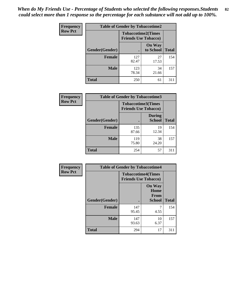*When do My Friends Use - Percentage of Students who selected the following responses.Students could select more than 1 response so the percentage for each substance will not add up to 100%.* **82**

| Frequency      | <b>Table of Gender by Tobaccotime2</b> |                                                          |                            |              |
|----------------|----------------------------------------|----------------------------------------------------------|----------------------------|--------------|
| <b>Row Pct</b> |                                        | <b>Tobaccotime2(Times</b><br><b>Friends Use Tobacco)</b> |                            |              |
|                | Gender(Gender)                         | $\bullet$                                                | <b>On Way</b><br>to School | <b>Total</b> |
|                | <b>Female</b>                          | 127<br>82.47                                             | 27<br>17.53                | 154          |
|                | <b>Male</b>                            | 123<br>78.34                                             | 34<br>21.66                | 157          |
|                | Total                                  | 250                                                      | 61                         | 311          |

| Frequency      | <b>Table of Gender by Tobaccotime3</b> |                                                          |                                |              |
|----------------|----------------------------------------|----------------------------------------------------------|--------------------------------|--------------|
| <b>Row Pct</b> |                                        | <b>Tobaccotime3(Times</b><br><b>Friends Use Tobacco)</b> |                                |              |
|                | Gender(Gender)                         |                                                          | <b>During</b><br><b>School</b> | <b>Total</b> |
|                | Female                                 | 135<br>87.66                                             | 19<br>12.34                    | 154          |
|                | <b>Male</b>                            | 119<br>75.80                                             | 38<br>24.20                    | 157          |
|                | <b>Total</b>                           | 254                                                      | 57                             | 311          |

| Frequency      | <b>Table of Gender by Tobaccotime4</b> |                                                          |                                                |              |
|----------------|----------------------------------------|----------------------------------------------------------|------------------------------------------------|--------------|
| <b>Row Pct</b> |                                        | <b>Tobaccotime4(Times</b><br><b>Friends Use Tobacco)</b> |                                                |              |
|                | Gender(Gender)                         |                                                          | <b>On Way</b><br>Home<br>From<br><b>School</b> | <b>Total</b> |
|                | <b>Female</b>                          | 147<br>95.45                                             | 4.55                                           | 154          |
|                | <b>Male</b>                            | 147<br>93.63                                             | 10<br>6.37                                     | 157          |
|                | <b>Total</b>                           | 294                                                      | 17                                             | 311          |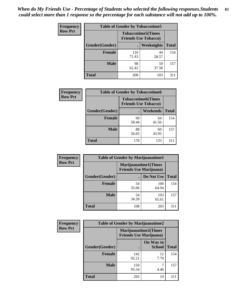| Frequency      | <b>Table of Gender by Tobaccotime5</b> |              |                                                          |              |  |
|----------------|----------------------------------------|--------------|----------------------------------------------------------|--------------|--|
| <b>Row Pct</b> |                                        |              | <b>Tobaccotime5(Times</b><br><b>Friends Use Tobacco)</b> |              |  |
|                | <b>Gender</b> (Gender)                 |              | Weeknights                                               | <b>Total</b> |  |
|                | <b>Female</b>                          | 110<br>71.43 | 44<br>28.57                                              | 154          |  |
|                | <b>Male</b>                            | 98<br>62.42  | 59<br>37.58                                              | 157          |  |
|                | <b>Total</b>                           | 208          | 103                                                      | 311          |  |

| <b>Frequency</b> |                | <b>Table of Gender by Tobaccotime6</b>                   |                 |              |
|------------------|----------------|----------------------------------------------------------|-----------------|--------------|
| <b>Row Pct</b>   |                | <b>Tobaccotime6(Times</b><br><b>Friends Use Tobacco)</b> |                 |              |
|                  | Gender(Gender) |                                                          | <b>Weekends</b> | <b>Total</b> |
|                  | Female         | 90<br>58.44                                              | 64<br>41.56     | 154          |
|                  | <b>Male</b>    | 88<br>56.05                                              | 69<br>43.95     | 157          |
|                  | <b>Total</b>   | 178                                                      | 133             | 311          |

| <b>Frequency</b> | <b>Table of Gender by Marijuanatime1</b> |                                |                             |              |
|------------------|------------------------------------------|--------------------------------|-----------------------------|--------------|
| <b>Row Pct</b>   |                                          | <b>Friends Use Marijuana</b> ) | <b>Marijuanatime1(Times</b> |              |
|                  | Gender(Gender)                           |                                | Do Not Use                  | <b>Total</b> |
|                  | <b>Female</b>                            | 54<br>35.06                    | 100<br>64.94                | 154          |
|                  | <b>Male</b>                              | 54<br>34.39                    | 103<br>65.61                | 157          |
|                  | <b>Total</b>                             | 108                            | 203                         | 311          |

| <b>Frequency</b> | <b>Table of Gender by Marijuanatime2</b> |                                |                             |              |
|------------------|------------------------------------------|--------------------------------|-----------------------------|--------------|
| <b>Row Pct</b>   |                                          | <b>Friends Use Marijuana</b> ) | <b>Marijuanatime2(Times</b> |              |
|                  | Gender(Gender)                           |                                | On Way to<br><b>School</b>  | <b>Total</b> |
|                  | Female                                   | 142<br>92.21                   | 12<br>7.79                  | 154          |
|                  | <b>Male</b>                              | 150<br>95.54                   | 4.46                        | 157          |
|                  | <b>Total</b>                             | 292                            | 19                          | 311          |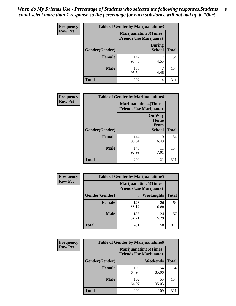| Frequency      | <b>Table of Gender by Marijuanatime3</b> |                                                        |                                |              |
|----------------|------------------------------------------|--------------------------------------------------------|--------------------------------|--------------|
| <b>Row Pct</b> |                                          | Marijuanatime3(Times<br><b>Friends Use Marijuana</b> ) |                                |              |
|                | Gender(Gender)                           |                                                        | <b>During</b><br><b>School</b> | <b>Total</b> |
|                | <b>Female</b>                            | 147<br>95.45                                           | 4.55                           | 154          |
|                | <b>Male</b>                              | 150<br>95.54                                           | 4.46                           | 157          |
|                | <b>Total</b>                             | 297                                                    | 14                             | 311          |

| Frequency      | <b>Table of Gender by Marijuanatime4</b> |                                                                |                                                       |              |
|----------------|------------------------------------------|----------------------------------------------------------------|-------------------------------------------------------|--------------|
| <b>Row Pct</b> |                                          | <b>Marijuanatime4</b> (Times<br><b>Friends Use Marijuana</b> ) |                                                       |              |
|                | Gender(Gender)                           |                                                                | <b>On Way</b><br>Home<br><b>From</b><br><b>School</b> | <b>Total</b> |
|                | <b>Female</b>                            | 144<br>93.51                                                   | 10<br>6.49                                            | 154          |
|                | <b>Male</b>                              | 146<br>92.99                                                   | 11<br>7.01                                            | 157          |
|                | <b>Total</b>                             | 290                                                            | 21                                                    | 311          |

| Frequency      | <b>Table of Gender by Marijuanatime5</b> |              |                                                                |              |
|----------------|------------------------------------------|--------------|----------------------------------------------------------------|--------------|
| <b>Row Pct</b> |                                          |              | <b>Marijuanatime5</b> (Times<br><b>Friends Use Marijuana</b> ) |              |
|                | Gender(Gender)                           |              | Weeknights                                                     | <b>Total</b> |
|                | <b>Female</b>                            | 128<br>83.12 | 26<br>16.88                                                    | 154          |
|                | <b>Male</b>                              | 133<br>84.71 | 24<br>15.29                                                    | 157          |
|                | <b>Total</b>                             | 261          | 50                                                             | 311          |

| Frequency      | <b>Table of Gender by Marijuanatime6</b> |                                                                |                 |              |  |
|----------------|------------------------------------------|----------------------------------------------------------------|-----------------|--------------|--|
| <b>Row Pct</b> |                                          | <b>Marijuanatime6</b> (Times<br><b>Friends Use Marijuana</b> ) |                 |              |  |
|                | Gender(Gender)                           |                                                                | <b>Weekends</b> | <b>Total</b> |  |
|                | <b>Female</b>                            | 100<br>64.94                                                   | 54<br>35.06     | 154          |  |
|                | <b>Male</b>                              | 102<br>64.97                                                   | 55<br>35.03     | 157          |  |
|                | <b>Total</b>                             | 202                                                            | 109             | 311          |  |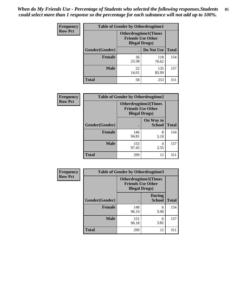*When do My Friends Use - Percentage of Students who selected the following responses.Students could select more than 1 response so the percentage for each substance will not add up to 100%.* **85**

| <b>Frequency</b> | <b>Table of Gender by Otherdrugtime1</b> |                        |                                                          |              |
|------------------|------------------------------------------|------------------------|----------------------------------------------------------|--------------|
| <b>Row Pct</b>   |                                          | <b>Illegal Drugs</b> ) | <b>Otherdrugtime1</b> (Times<br><b>Friends Use Other</b> |              |
|                  | Gender(Gender)                           |                        | Do Not Use                                               | <b>Total</b> |
|                  | <b>Female</b>                            | 36<br>23.38            | 118<br>76.62                                             | 154          |
|                  | <b>Male</b>                              | 22<br>14.01            | 135<br>85.99                                             | 157          |
|                  | <b>Total</b>                             | 58                     | 253                                                      | 311          |

| Frequency      | <b>Table of Gender by Otherdrugtime2</b> |                                                    |                             |              |
|----------------|------------------------------------------|----------------------------------------------------|-----------------------------|--------------|
| <b>Row Pct</b> |                                          | <b>Friends Use Other</b><br><b>Illegal Drugs</b> ) | <b>Otherdrugtime2(Times</b> |              |
|                | Gender(Gender)                           |                                                    | On Way to<br><b>School</b>  | <b>Total</b> |
|                | <b>Female</b>                            | 146<br>94.81                                       | 8<br>5.19                   | 154          |
|                | <b>Male</b>                              | 153<br>97.45                                       | 4<br>2.55                   | 157          |
|                | <b>Total</b>                             | 299                                                | 12                          | 311          |

| Frequency      | <b>Table of Gender by Otherdrugtime3</b> |                        |                                                         |              |
|----------------|------------------------------------------|------------------------|---------------------------------------------------------|--------------|
| <b>Row Pct</b> |                                          | <b>Illegal Drugs</b> ) | <b>Otherdrugtime3(Times</b><br><b>Friends Use Other</b> |              |
|                | Gender(Gender)                           |                        | <b>During</b><br><b>School</b>                          | <b>Total</b> |
|                | <b>Female</b>                            | 148<br>96.10           | 6<br>3.90                                               | 154          |
|                | <b>Male</b>                              | 151<br>96.18           | 6<br>3.82                                               | 157          |
|                | <b>Total</b>                             | 299                    | 12                                                      | 311          |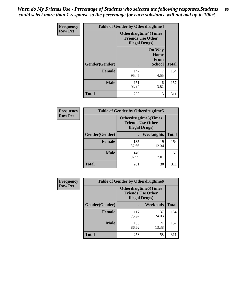*When do My Friends Use - Percentage of Students who selected the following responses.Students could select more than 1 response so the percentage for each substance will not add up to 100%.* **86**

| <b>Frequency</b> | <b>Table of Gender by Otherdrugtime4</b> |                                                       |                                                       |              |
|------------------|------------------------------------------|-------------------------------------------------------|-------------------------------------------------------|--------------|
| <b>Row Pct</b>   |                                          | <b>Otherdrugtime4(Times</b><br><b>Illegal Drugs</b> ) | <b>Friends Use Other</b>                              |              |
|                  | Gender(Gender)                           |                                                       | <b>On Way</b><br>Home<br><b>From</b><br><b>School</b> | <b>Total</b> |
|                  | <b>Female</b>                            | 147<br>95.45                                          | 7<br>4.55                                             | 154          |
|                  | <b>Male</b>                              | 151<br>96.18                                          | 6<br>3.82                                             | 157          |
|                  | <b>Total</b>                             | 298                                                   | 13                                                    | 311          |

| Frequency      | <b>Table of Gender by Otherdrugtime5</b> |                                                                                    |             |              |
|----------------|------------------------------------------|------------------------------------------------------------------------------------|-------------|--------------|
| <b>Row Pct</b> |                                          | <b>Otherdrugtime5</b> (Times<br><b>Friends Use Other</b><br><b>Illegal Drugs</b> ) |             |              |
|                | Gender(Gender)                           |                                                                                    | Weeknights  | <b>Total</b> |
|                | Female                                   | 135<br>87.66                                                                       | 19<br>12.34 | 154          |
|                | <b>Male</b>                              | 146<br>92.99                                                                       | 11<br>7.01  | 157          |
|                | <b>Total</b>                             | 281                                                                                | 30          | 311          |

| <b>Frequency</b> | <b>Table of Gender by Otherdrugtime6</b> |                                                                                   |             |              |
|------------------|------------------------------------------|-----------------------------------------------------------------------------------|-------------|--------------|
| <b>Row Pct</b>   |                                          | <b>Otherdrugtime6(Times</b><br><b>Friends Use Other</b><br><b>Illegal Drugs</b> ) |             |              |
|                  | Gender(Gender)                           |                                                                                   | Weekends    | <b>Total</b> |
|                  | <b>Female</b>                            | 117<br>75.97                                                                      | 37<br>24.03 | 154          |
|                  | <b>Male</b>                              | 136<br>86.62                                                                      | 21<br>13.38 | 157          |
|                  | <b>Total</b>                             | 253                                                                               | 58          | 311          |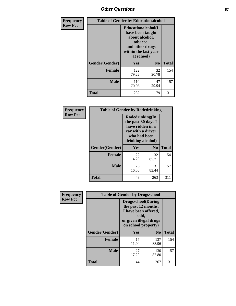# *Other Questions* **87**

| <b>Frequency</b> | <b>Table of Gender by Educationalcohol</b> |                                                                                                                                       |                |              |  |
|------------------|--------------------------------------------|---------------------------------------------------------------------------------------------------------------------------------------|----------------|--------------|--|
| <b>Row Pct</b>   |                                            | <b>Educationalcohol</b> (I<br>have been taught<br>about alcohol,<br>tobacco,<br>and other drugs<br>within the last year<br>at school) |                |              |  |
|                  | Gender(Gender)                             | <b>Yes</b>                                                                                                                            | N <sub>0</sub> | <b>Total</b> |  |
|                  | <b>Female</b>                              | 122<br>79.22                                                                                                                          | 32<br>20.78    | 154          |  |
|                  | <b>Male</b>                                | 110<br>70.06                                                                                                                          | 47<br>29.94    | 157          |  |
|                  | <b>Total</b>                               | 232                                                                                                                                   | 79             | 311          |  |

| Frequency      | <b>Table of Gender by Rodedrinking</b> |                                                                                                                     |                |              |  |
|----------------|----------------------------------------|---------------------------------------------------------------------------------------------------------------------|----------------|--------------|--|
| <b>Row Pct</b> |                                        | Rodedrinking(In<br>the past 30 days I<br>have ridden in a<br>car with a driver<br>who had been<br>drinking alcohol) |                |              |  |
|                | Gender(Gender)                         | Yes                                                                                                                 | N <sub>0</sub> | <b>Total</b> |  |
|                | <b>Female</b>                          | 22<br>14.29                                                                                                         | 132<br>85.71   | 154          |  |
|                | <b>Male</b>                            | 26<br>16.56                                                                                                         | 131<br>83.44   | 157          |  |
|                | <b>Total</b>                           | 48                                                                                                                  | 263            | 311          |  |

| <b>Frequency</b> | <b>Table of Gender by Drugsschool</b> |                                                                                                                                     |                |              |  |
|------------------|---------------------------------------|-------------------------------------------------------------------------------------------------------------------------------------|----------------|--------------|--|
| <b>Row Pct</b>   |                                       | <b>Drugsschool</b> (During<br>the past 12 months,<br>I have been offered,<br>sold,<br>or given illegal drugs<br>on school property) |                |              |  |
|                  | Gender(Gender)                        | <b>Yes</b>                                                                                                                          | N <sub>0</sub> | <b>Total</b> |  |
|                  | <b>Female</b>                         | 17<br>11.04                                                                                                                         | 137<br>88.96   | 154          |  |
|                  | <b>Male</b>                           | 27<br>17.20                                                                                                                         | 130<br>82.80   | 157          |  |
|                  | <b>Total</b>                          | 44                                                                                                                                  | 267            | 311          |  |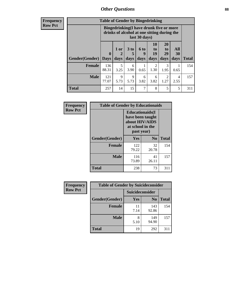# *Other Questions* **88**

**Frequency Row Pct**

| <b>Table of Gender by Bingedrinking</b> |                         |                                                                                                         |                   |                   |                        |                               |                   |              |
|-----------------------------------------|-------------------------|---------------------------------------------------------------------------------------------------------|-------------------|-------------------|------------------------|-------------------------------|-------------------|--------------|
|                                         |                         | Bingedrinking(I have drunk five or more<br>drinks of alcohol at one sitting during the<br>last 30 days) |                   |                   |                        |                               |                   |              |
| <b>Gender</b> (Gender)                  | $\bf{0}$<br><b>Days</b> | 1 or<br>days                                                                                            | 3 to<br>5<br>days | 6 to<br>9<br>days | 10<br>to<br>19<br>days | <b>20</b><br>to<br>29<br>days | All<br>30<br>days | <b>Total</b> |
| <b>Female</b>                           | 136<br>88.31            | 5<br>3.25                                                                                               | 6<br>3.90         | 0.65              | $\mathfrak{D}$<br>1.30 | 3<br>1.95                     | 0.65              | 154          |
| <b>Male</b>                             | 121<br>77.07            | 9<br>5.73                                                                                               | 9<br>5.73         | 6<br>3.82         | 6<br>3.82              | 2<br>1.27                     | 4<br>2.55         | 157          |
| <b>Total</b>                            | 257                     | 14                                                                                                      | 15                | 7                 | 8                      | 5                             | 5                 | 311          |

| Frequency      | <b>Table of Gender by Educationaids</b> |                                                                                                 |             |              |  |
|----------------|-----------------------------------------|-------------------------------------------------------------------------------------------------|-------------|--------------|--|
| <b>Row Pct</b> |                                         | <b>Educationaids</b> (I<br>have been taught<br>about HIV/AIDS<br>at school in the<br>past year) |             |              |  |
|                | Gender(Gender)                          | Yes                                                                                             | $\bf N_0$   | <b>Total</b> |  |
|                | <b>Female</b>                           | 122<br>79.22                                                                                    | 32<br>20.78 | 154          |  |
|                | <b>Male</b>                             | 116<br>73.89                                                                                    | 41<br>26.11 | 157          |  |
|                | <b>Total</b>                            | 238                                                                                             | 73          | 311          |  |

| <b>Frequency</b> | <b>Table of Gender by Suicideconsider</b> |                 |                |       |  |
|------------------|-------------------------------------------|-----------------|----------------|-------|--|
| <b>Row Pct</b>   |                                           | Suicideconsider |                |       |  |
|                  | Gender(Gender)                            | Yes             | N <sub>0</sub> | Total |  |
|                  | Female                                    | 11<br>7.14      | 143<br>92.86   | 154   |  |
|                  | <b>Male</b>                               | 8<br>5.10       | 149<br>94.90   | 157   |  |
|                  | <b>Total</b>                              | 19              | 292            | 311   |  |